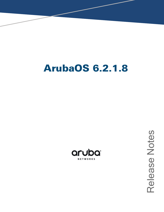# **ArubaOS 6.2.1.8**



Release Notes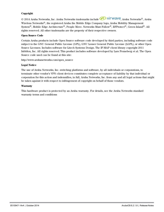#### **Copyright**

© 2014 Aruba Networks, Inc. Aruba Networks trademarks include <a>
O All<br/>TWAVE Aruba Networks®, Aruba Wireless Networks®, the registered Aruba the Mobile Edge Company logo, Aruba Mobility Management System®, Mobile Edge Architecture®, People Move. Networks Must Follow®, RFProtect®, Green Island®. All rights reserved. All other trademarks are the property of their respective owners.

#### **Open Source Code**

Certain Aruba products include Open Source software code developed by third parties, including software code subject to the GNU General Public License (GPL), GNU Lesser General Public License (LGPL), or other Open Source Licenses. Includes software for Litech Systems Design. The IF-MAP client library copyright 2011 Infoblox, Inc. All rights reserved. This product includes software developed by Lars Fenneberg et al. The Open Source code used can be found at this site:

http://www.arubanetworks.com/open\_source

#### **Legal Notice**

The use of Aruba Networks, Inc. switching platforms and software, by all individuals or corporations, to terminate other vendor's VPN client devices constitutes complete acceptance of liability by that individual or corporation for this action and indemnifies, in full, Aruba Networks, Inc. from any and all legal actions that might be taken against it with respect to infringement of copyright on behalf of those vendors.

#### **Warranty**

This hardware product is protected by an Aruba warranty. For details, see the Aruba Networks standard warranty terms and conditions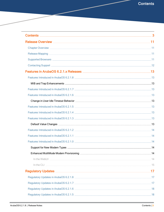<span id="page-2-0"></span>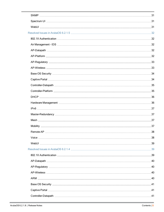| Remote AP | $\dots$ 38 |
|-----------|------------|
|           |            |
|           |            |
|           |            |
|           |            |
|           |            |
|           |            |
|           |            |
|           |            |
|           |            |
|           |            |
|           |            |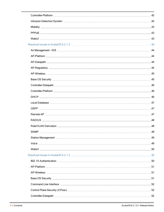| <b>SNMP</b> | 49 |
|-------------|----|
|             |    |
|             |    |
|             |    |
|             |    |
|             |    |
|             |    |
|             |    |
|             |    |
|             |    |
|             |    |
|             |    |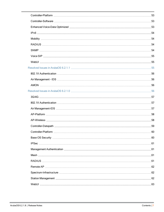| Controller-Platform | 60 |
|---------------------|----|
|                     |    |
|                     |    |
|                     |    |
|                     |    |
|                     |    |
|                     |    |
|                     |    |
|                     |    |
|                     |    |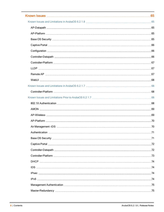| Authentication | $\dots$ .71 |
|----------------|-------------|
|                |             |
|                |             |
|                |             |
|                |             |
|                |             |
|                |             |
|                |             |
|                |             |
|                |             |
|                |             |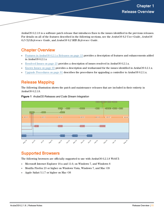<span id="page-10-0"></span>ArubaOS 6.2.1.8 is a software patch release that introduces fixes to the issues identified in the previous releases. For details on all of the features described in the following sections, see the *ArubaOS 6.2 User Guide*, *ArubaOS 6.2 CLI Reference Guide*, and *ArubaOS 6.2 MIB Reference Guide*.

# <span id="page-10-1"></span>Chapter Overview

- <sup>l</sup> Features in ArubaOS 6.2.1.x [Releases](#page-12-0) on page 13 provides a description of features and enhancements added in ArubaOS 6.2.1.x
- [Resolved](#page-22-0) Issues on page  $23$  provides a description of issues resolved in ArubaOS 6.2.1.x.
- <sup>l</sup> [Known](#page-64-0) Issues on page 65 provides a description and workaround for the issues identified in ArubaOS 6.2.1.x.
- **IDe** Upgrade [Procedures](#page-80-0) on page 81 describes the procedures for upgrading a controller to ArubaOS 6.2.1.x.

# <span id="page-10-2"></span>Release Mapping

The following illustration shows the patch and maintenance releases that are included in their entirety in ArubaOS 6.2.1.8.



**Figure 1** *ArubaOS Releases and Code Stream Integration*

# <span id="page-10-3"></span>Supported Browsers

The following browsers are officially supported to use with ArubaOS 6.2.1.8 WebUI:

- $\bullet$  Microsoft Internet Explorer 10.x and 11.0, on Windows 7, and Windows 8
- <sup>l</sup> Mozilla Firefox 23 or higher on Windows Vista, Windows 7, and Mac OS
- Apple Safari 5.1.7 or higher on Mac OS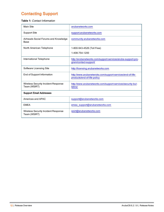# <span id="page-11-0"></span>Contacting Support

#### **Table 1:** Contact Information

| Main Site                                                  | arubanetworks.com                                                                         |  |
|------------------------------------------------------------|-------------------------------------------------------------------------------------------|--|
| <b>Support Site</b>                                        | support.arubanetworks.com                                                                 |  |
| Airheads Social Forums and Knowledge<br>Base               | community.arubanetworks.com                                                               |  |
| North American Telephone                                   | 1-800-943-4526 (Toll Free)                                                                |  |
|                                                            | 1-408-754-1200                                                                            |  |
| International Telephone                                    | http://arubanetworks.com/support-services/aruba-support-pro-<br>gram/contact-support/     |  |
| Software Licensing Site                                    | http://licensing.arubanetworks.com                                                        |  |
| End of Support Information                                 | http://www.arubanetwroks.com/support-services/end-of-life-<br>products/end-of-life-policy |  |
| <b>Wireless Security Incident Response</b><br>Team (WSIRT) | http://www.arubanetworks.com/support-services/security-bul-<br>letins/                    |  |
| <b>Support Email Addresses</b>                             |                                                                                           |  |
| Americas and APAC                                          | support@arubanetworks.com                                                                 |  |
| <b>EMEA</b>                                                | emea_support@arubanetworks.com                                                            |  |
| <b>Wireless Security Incident Response</b><br>Team (WSIRT) | wsirt@arubanetworks.com                                                                   |  |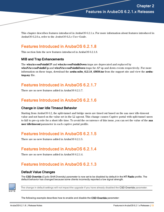<span id="page-12-0"></span>This chapter describes features introduced in ArubaOS 6.2.1.x. For more information about features introduced in ArubaOS 6.2.0.x, refer to the *ArubaOS 6.2.x User Guide.*

# <span id="page-12-1"></span>Features Introduced in ArubaOS 6.2.1.8

This section lists the new features introduced in ArubaOS 6.2.1.8.

### <span id="page-12-2"></span>MIB and Trap Enhancements

The **wlsxAccessPointIsUP** and **wlsxAccessPointIsDown** traps are deprecated and replaced by **wlsxNAccessPointIsUp** and **wlsxNAccessPointIsDown** traps for AP up and down events respectively. For more information on these traps, download the **aruba-mibs\_6.2.1.8\_43656.tar** from the support site and view the **arubatrap.my** file.

# <span id="page-12-3"></span>Features Introduced in ArubaOS 6.2.1.7

There are no new features added in ArubaOS 6.2.1.7.

# <span id="page-12-4"></span>Features Introduced in ArubaOS 6.2.1.6

### <span id="page-12-5"></span>Change in User Idle Timeout Behavior

Starting from ArubaOS 6.2, the split-tunnel and bridge users are timed out based on the aaa user idle-timeout value and not based on the value set in the L2 ageout. This change causes Captive portal with split-tunnel users to fall to pre-cp role for a short idle time. To avoid the occurrence of this issue, you can set the value of the **aaa user idletimeout** parameter in each captive portal profile.

# <span id="page-12-6"></span>Features Introduced in ArubaOS 6.2.1.5

There are no new features added in ArubaOS 6.2.1.5.

# <span id="page-12-7"></span>Features Introduced in ArubaOS 6.2.1.4

There are no new features added in ArubaOS 6.2.1.4.

# <span id="page-12-8"></span>Features Introduced in ArubaOS 6.2.1.3

### <span id="page-12-9"></span>Default Value Changes

The CSD Override (Cyclic Shift Diversity) parameter is now set to be disabled by default in the HT Radio profile. The default behavior has changed because some clients incorrectly reported a low signal strength.



The change in default settings will not impact the upgrade if you have already disabled the CSD Override parameter.

The following example describes how to enable and disable the CSD Override parameter: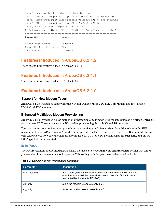```
(host) (config) #rf ht-radio-profile default-a
(host) (High-throughput radio profile "default-a") csd-override
(host) (High-throughput radio profile "default-a") no csd-override
(host) (High-throughput radio profile "default-a") #end
(host) #show rf ht-radio-profile default-a
High-throughput radio profile "default-a" (Predefined (editable))
-----------------------------------------------------------------
Parameter Value
--------- -----
40 MHz intolerance Disabled
Honor 40 MHz intolerance Enabled
```
# <span id="page-13-0"></span>Features Introduced in ArubaOS 6.2.1.2

There are no new features added in ArubaOS 6.2.1.2.

CSD override Disabled

# <span id="page-13-1"></span>Features Introduced in ArubaOS 6.2.1.1

There are no new features added in ArubaOS 6.2.1.1

# <span id="page-13-2"></span>Features Introduced in ArubaOS 6.2.1.0

#### <span id="page-13-3"></span>Support for New Modem Types

ArubaOS 6.2.1.0 introduces support for the Novatel Ovation MC551 4G LTE USB Modem and the Pantech UML290 4G USB modem.

### <span id="page-13-4"></span>Enhanced MultiMode Modem Provisioning

ArubaOS 6.2.1.0 introduces a new method of provisioning a multimode USB modem (such as a Verizon UML290) for a remote AP. These changes simplify modem provisioning for both 3G and 4G networks.

The previous modem configuration procedure required that you define a driver for a 3G modem in the **USB modem** field in the AP provisioning profile, or define a driver for a 4G modem in the **4G USB type** field. Starting with ArubaOS 6.2.1.0, you can configure drivers for both a 3G or a 4G modem using the **USB field**, and the 4**G USB Type** field is deprecated.

#### <span id="page-13-5"></span>In the WebUI

The AP provisioning profile in ArubaOS 6.2.1.0 includes a new **Cellular Network Preference** setting that allows you to select how the modem should operate. This setting includes parameters described in [Table](#page-13-6) 2.

| <b>Parameter</b> | <b>Description</b>                                                                                                                                                                       |
|------------------|------------------------------------------------------------------------------------------------------------------------------------------------------------------------------------------|
| auto (default)   | In this mode, modem firmware will control the cellular network service<br>selection; so the cellular network service failover and fallback is not<br>interrupted by the remote AP (RAP). |
| 3g only          | Locks the modem to operate only in 3G                                                                                                                                                    |
| 4g only          | Locks the modem to operate only in 4G                                                                                                                                                    |

<span id="page-13-6"></span>

|  | Table 2: Cellular Network Preference Parameters |
|--|-------------------------------------------------|
|--|-------------------------------------------------|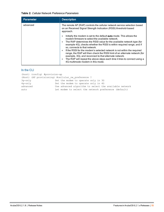#### **Table 2:** Cellular Network Preference Parameters

| <b>Parameter</b> | <b>Description</b>                                                                                                                                                                                                                                                                                                                                                                                                                                                                                                                                                                                                                                                                   |
|------------------|--------------------------------------------------------------------------------------------------------------------------------------------------------------------------------------------------------------------------------------------------------------------------------------------------------------------------------------------------------------------------------------------------------------------------------------------------------------------------------------------------------------------------------------------------------------------------------------------------------------------------------------------------------------------------------------|
| advanced         | The remote AP (RAP) controls the cellular network service selection based<br>on an Received Signal Strength Indication (RSSI) threshold-based<br>approach.                                                                                                                                                                                                                                                                                                                                                                                                                                                                                                                           |
|                  | Initially the modem is set to the default <b>auto</b> mode. This allows the<br>۰<br>modem firmware to select the available network.<br>The RAP determines the RSSI value for the available network type (for<br>example 4G), checks whether the RSSI is within required range, and if<br>so, connects to that network.<br>If the RSSI for the modem's selected network is not within the required<br>$\bullet$<br>range, the RAP will then check the RSSI limit of an alternate network (for<br>example, 3G), and reconnect to that alternate network.<br>The RAP will repeat the above steps each time it tries to connect using a<br>$\bullet$<br>4G multimode modem in this mode. |

### <span id="page-14-0"></span>In the CLI

| (host) (config) #provision-ap |                                                        |
|-------------------------------|--------------------------------------------------------|
|                               | (Host) (AP provisioning) #cellular nw preference ?     |
| $3q$ -only                    | Set the modem to operate only in 3G                    |
| $4q$ -only                    | Set the modem to operate only in 4G                    |
| advanced                      | Use advanced algorithm to select the available network |
| auto                          | Let modem to select the network preference (default)   |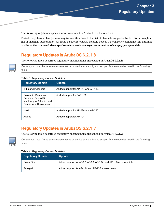<span id="page-16-0"></span>The following regulatory updates were introduced in ArubaOS 6.2.1.x releases.

Periodic regulatory changes may require modifications to the list of channels supported by AP. For a complete list of channels supported by AP using a specific country domain, access the controller command-line interface and issue the command **show ap allowed-channels country-code <country-code> ap-type <ap-model>**.

# <span id="page-16-1"></span>Regulatory Updates in ArubaOS 6.2.1.8

The following table describes regulatory enhancements introduced in ArubaOS 6.2.1.8:

Contact your local Aruba sales representative on device availability and support for the countries listed in the following table.

|  | Table 3: Regulatory Domain Updates |  |  |
|--|------------------------------------|--|--|
|--|------------------------------------|--|--|

| <b>Regulatory Domain</b>                                                                             | <b>Update</b>                        |
|------------------------------------------------------------------------------------------------------|--------------------------------------|
| India and Indonesia                                                                                  | Added support for AP-114 and AP-115. |
| Colombia, Dominican<br>Republic, Puerto Rico,<br>Montenegro, Albania, and<br>Bosnia, and Herzegovina | Added support for RAP-155.           |
| Mexico                                                                                               | Added support for AP-224 and AP-225. |
| Algeria                                                                                              | Added support for AP-104.            |

# <span id="page-16-2"></span>Regulatory Updates in ArubaOS 6.2.1.7

The following table describes regulatory enhancements introduced in ArubaOS 6.2.1.7:



Contact your local Aruba sales representative on device availability and support for the countries listed in the following table.

#### **Table 4:** Regulatory Domain Updates

| <b>Regulatory Domain</b> | <b>Update</b>                                                     |
|--------------------------|-------------------------------------------------------------------|
| Costa Rica               | Added support for AP-92, AP-93, AP-134, and AP-135 access points. |
| Senegal                  | Added support for AP-134 and AP-135 access points.                |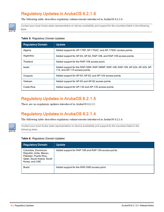

<span id="page-17-0"></span>The following table describes regulatory enhancements introduced in ArubaOS 6.2.1.6:

Contact your local Aruba sales representative on device availability and support for the countries listed in the following table.

#### **Table 5:** Regulatory Domain Updates

| <b>Regulatory Domain</b> | <b>Update</b>                                                                                                    |
|--------------------------|------------------------------------------------------------------------------------------------------------------|
| Algeria                  | Added support for AP-175P, AP-175AC, and AP-175DC access points.                                                 |
| Argentina                | Added support for AP-93, AP-92, RAP-108, and RAP-109 access points.                                              |
| Thailand                 | Added support for the RAP-109 access point.                                                                      |
| <b>Israel</b>            | Added support for the RAP-3WN, RAP-3WNP, RAP-108, RAP-109, AP-224, AP-225, AP-<br>114, and AP-115 access points. |
| Uruguay                  | Added support for AP-93, AP-92, and AP-104 access points.                                                        |
| Vietnam                  | Added support for AP-93 and AP-92 access points.                                                                 |
| Costa Rica               | Added support for AP-134 and AP-135 access points.                                                               |

# <span id="page-17-1"></span>Regulatory Updates in ArubaOS 6.2.1.5

There are no regulatory updates introduced in ArubaOS 6.2.1.5.

# <span id="page-17-2"></span>Regulatory Updates in ArubaOS 6.2.1.4

The following table describes regulatory enhancements introduced in ArubaOS 6.2.1.4:



Contact your local Aruba sales representative on device availability and support for the countries listed in the following table.

#### **Table 6:** Regulatory Domain Updates

| <b>Regulatory Domain</b>                                                                                                 | <b>Update</b>                                        |
|--------------------------------------------------------------------------------------------------------------------------|------------------------------------------------------|
| Columbia, Dominican<br>Republic, India, Macau,<br>Pakistan, Puerto Rico,<br>Qatar, Saudi Arabia, South<br>Korea, and UAE | Added support for RAP-108 and RAP-109 access points. |
| <b>Brazil</b>                                                                                                            | Added support for the RAP-2WG access point.          |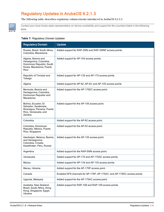

<span id="page-18-0"></span>The following table describes regulatory enhancements introduced in ArubaOS 6.2.1.3.

Contact your local Aruba sales representative on device availability and support for the countries listed in the following table.

#### **Table 7:** Regulatory Domain Updates

| <b>Regulatory Domain</b>                                                                                       | <b>Update</b>                                                           |  |  |
|----------------------------------------------------------------------------------------------------------------|-------------------------------------------------------------------------|--|--|
| Russia, Brazil, South Africa,<br>Colombia, Macedonia                                                           | Added support for RAP-3WN and RAP-3WNP access points.                   |  |  |
| Algeria, Bosnia and<br>Herzegovina, Columbia,<br>Dominican Republic, South<br>Korea, Macedonia, Puerto<br>Rico | Added support for AP-104 access points.                                 |  |  |
| Republic of Trinidad and<br>Tobago                                                                             | Added support for AP-135 and AP-175 access points.                      |  |  |
| Algeria                                                                                                        | Added support for AP-92, AP-93, and AP-105 access points.               |  |  |
| Bermuda, Bosnia and<br>Herzegovina, Colombia,<br>Dominican Republic and<br>Macedonia                           | Added support for the AP-175DC access point.                            |  |  |
| Bolivia, Ecuador, El<br>Salvador, Guatemala,<br>Nicaragua, Panama, Puerto<br>Rico, Venezuela, and<br>Zambia    | Added support for the AP-105 access point.                              |  |  |
| Colombia                                                                                                       | Added support for the AP-92 access point.                               |  |  |
| Colombia, Dominican<br>Republic, Mexico, Puerto<br>Rico, Singapore                                             | Added support for the AP-93 access point.                               |  |  |
| Azerbaijan, Belarus, Bosnia<br>and Herzegovina,<br>Colombia, Croatia,<br>Kazakhstan, Peru, Russia              | Added support for the AP-135 access point.                              |  |  |
| Argentina                                                                                                      | Added support for the RAP-5WN access point.                             |  |  |
| Venezuela                                                                                                      | Added support for AP-175 and AP-175AC access points.                    |  |  |
| Macau                                                                                                          | Added support for AP-134 and AP-135 access points.                      |  |  |
| Macau, Ukraine                                                                                                 | Added support for the AP-175P access point.                             |  |  |
| Canada                                                                                                         | Enabled DFS channels for AP-175P, AP-175AC, and AP-175DC access points. |  |  |
| Uganda, Malaysia                                                                                               | Added support for the AP-175AC access point.                            |  |  |
| Australia, New Zealand,<br>Brazil, South Africa, Hong<br>Kong, Singapore, Egypt,<br>Ukraine                    | Added support for RAP-108 and RAP-109 access points.                    |  |  |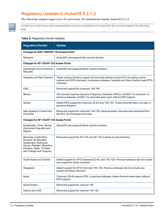NOTE

<span id="page-19-0"></span>The following changes impact new AP and remote AP installations running ArubaOS 6.2.1.2:

Contact your local Aruba sales representative on device availability and support for the countries listed in the following table.

#### **Table 8:** Regulatory Domain Updates

| <b>Regulatory Domain</b>                                                                                                                                  | <b>Update</b>                                                                                                                                                                         |  |  |  |
|-----------------------------------------------------------------------------------------------------------------------------------------------------------|---------------------------------------------------------------------------------------------------------------------------------------------------------------------------------------|--|--|--|
| Changes for RAP-108/RAP-109 Access Points                                                                                                                 |                                                                                                                                                                                       |  |  |  |
| Malaysia                                                                                                                                                  | ArubaOS now supports this country domain.                                                                                                                                             |  |  |  |
| Changes for AP-124/AP-125 Access Points                                                                                                                   |                                                                                                                                                                                       |  |  |  |
| Kazakhstan and Dominican<br>Republic                                                                                                                      | ArubaOS now supports these country domains.                                                                                                                                           |  |  |  |
| Australia and New Zealand                                                                                                                                 | These country domains support all channels allowed by the FCC (including indoor,<br>outdoor and DFS channels). In previous releases, Australia and New Zealand used ETSI<br>channels. |  |  |  |
| <b>UAE</b>                                                                                                                                                | Removed support for channels 149-165.                                                                                                                                                 |  |  |  |
| Mexico                                                                                                                                                    | This domain requires Dynamic Frequency Selection (DFS) in all 802.11a channels. In<br>previous releases, all 802.11a channels were open without DFS support.                          |  |  |  |
| Serbia                                                                                                                                                    | Added DFS support for channels 52-64 and 100-140. These channels were not open in<br>previous releases.                                                                               |  |  |  |
| New Zealand, Puerto Rico,<br>Columbia                                                                                                                     | Removed support for channels 120-128, because these channels were removed from<br>the FCC list of allowed channels.                                                                   |  |  |  |
| Changes for AP-134/AP-135 Access Points                                                                                                                   |                                                                                                                                                                                       |  |  |  |
| Kazakhstan, Chile, Serbia,<br>Dominican Republic and<br>Nigeria                                                                                           | ArubaOS now supports these country domains.                                                                                                                                           |  |  |  |
| Bermuda, Costa Rica,<br>Ecuador, El Salvador,<br>Guatemala, Honduras,<br>Kenya, Pakistan, Mauritius,<br>Panama, Qatar, Trinidad<br>and Tobago and Uruguay | Removed support for AP-134 and AP-135 in these country domains.                                                                                                                       |  |  |  |
| South Korea and Taiwan                                                                                                                                    | Added support for DFS Channels 52-64, and 100-128. Previous releases did not include<br>any support for these channels.                                                               |  |  |  |
| Singapore                                                                                                                                                 | Added support for DFS Channels 100-140. Previous releases did not include any<br>support for these channels.                                                                          |  |  |  |
| Israel                                                                                                                                                    | Channels 36-48 require DFS. In previous releases, these channels were open without<br>DFS support.                                                                                    |  |  |  |
| Saudi Arabia                                                                                                                                              | Removed support for channel 165.                                                                                                                                                      |  |  |  |
| Ireland and UAE                                                                                                                                           | Removed support for channel 149-165.                                                                                                                                                  |  |  |  |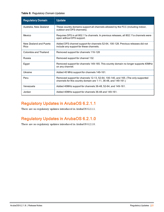**Table 8:** Regulatory Domain Updates

| <b>Regulatory Domain</b>       | <b>Update</b>                                                                                                                                       |
|--------------------------------|-----------------------------------------------------------------------------------------------------------------------------------------------------|
| Australia, New Zealand         | These country domains support all channels allowed by the FCC (including indoor,<br>outdoor and DFS channels).                                      |
| Mexico                         | Requires DFS in all 802.11a channels. In previous releases, all 802.11a channels were<br>open without DFS support.                                  |
| New Zealand and Puerto<br>Rico | Added DFS channel support for channels 52-64, 100-128. Previous releases did not<br>include any support for these channels.                         |
| Colombia and Thailand          | Removed support for channels 116-128                                                                                                                |
| Russia                         | Removed support for channel 132.                                                                                                                    |
| Egypt                          | Removed support for channels 149-165. This country domain no longer supports 40MHz<br>on any channel.                                               |
| Ukraine                        | Added 40 MHz support for channels 149-161.                                                                                                          |
| Peru                           | Removed support for channels 12-13, 52-64, 100-140, and 165. (The only supported<br>channels for this country domain are 1-11, 36-48, and 149-161.) |
| Venezuela                      | Added 40MHz support for channels 36-48, 52-64, and 149-161.                                                                                         |
| Jordan                         | Added 40MHz support for channels 36-48 and 149-161.                                                                                                 |

<span id="page-20-0"></span>There are no regulatory updates introduced in ArubaOS 6.2.1.1.

# <span id="page-20-1"></span>Regulatory Updates in ArubaOS 6.2.1.0

There are no regulatory updates introduced in ArubaOS 6.2.1.0.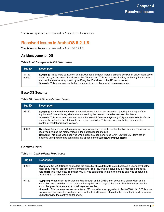<span id="page-22-0"></span>The following issues are resolved in ArubaOS 6.2.1.x releases.

# <span id="page-22-1"></span>Resolved Issues in ArubaOS 6.2.1.8

The following issues are resolved in ArubaOS 6.2.1.8.

### <span id="page-22-2"></span>Air Management- IDS

**Table 9:** Air Management- IDS Fixed Issues

| <b>Bug ID</b>  | <b>Description</b>                                                                                                                                                                                                                                                                                                                                                                                           |
|----------------|--------------------------------------------------------------------------------------------------------------------------------------------------------------------------------------------------------------------------------------------------------------------------------------------------------------------------------------------------------------------------------------------------------------|
| 81740<br>97522 | <b>Symptom:</b> Traps were sent when an SSID went up or down instead of being sent when an AP went up or<br>down. Also, an incorrect IP address of the AP was sent. This issue is resolved by replacing the incorrect<br>traps with the correct traps, and by verifying the IP address of the AP sent is correct.<br>Scenario: This issue was not limited to a specific controller model or release version. |

### <span id="page-22-3"></span>Base OS Security

**Table 10:** Base OS Security Fixed Issues

| <b>Bug ID</b> | <b>Description</b>                                                                                                                                                                                                                                                                                                                                                                                                                                     |
|---------------|--------------------------------------------------------------------------------------------------------------------------------------------------------------------------------------------------------------------------------------------------------------------------------------------------------------------------------------------------------------------------------------------------------------------------------------------------------|
| 93237         | Symptom: An internal module (Authentication) crashed on the controller. Ignoring the usage of the<br>equivalentToMe attribute, which was not used by the master controller resolved this issue.<br>Scenario: This issue was observed when the Novell® Directory System (NDS) pushed the bulk of user<br>data as the value for the attribute to the master controller. This issue was not limited to a specific<br>controller model or release version. |
| 99038         | Symptom: An increase in the memory usage was observed in the authentication module. This issue is<br>resolved by fixing the memory leak in the authentication module.<br>Scenario: This issue was observed when client devices performed EAP-TLS with EAP-termination<br>enabled using certificates containing the optional field Subject Alternative Name.                                                                                            |

### <span id="page-22-4"></span>Captive Portal

| Table 11: Captive Portal Fixed Issues |  |  |  |  |  |  |
|---------------------------------------|--|--|--|--|--|--|
|---------------------------------------|--|--|--|--|--|--|

| <b>Bug ID</b> | <b>Description</b>                                                                                                                                                                                                                                                                                                                                                                                                                                                                                                                            |
|---------------|-----------------------------------------------------------------------------------------------------------------------------------------------------------------------------------------------------------------------------------------------------------------------------------------------------------------------------------------------------------------------------------------------------------------------------------------------------------------------------------------------------------------------------------------------|
| 93927         | Symptom: On 7200 Series controllers the output of show datapath user displayed a user entry but the<br>user entry was not present in the control plane. This issue was resolved by internal code changes.<br>Scenario: This issue occurred when WLAN was configured in the tunnel mode and was observed in<br>ArubaOS 6.2 or later versions.                                                                                                                                                                                                  |
| 94167         | Symptom: When client traffic was moving through an L3 GRE tunnel between a data switch and a<br>controller, the controller did not provide the captive portal page to the client. The fix ensures that the<br>controller provides the captive portal page to the client.<br>Scenario: This issue was observed after an M3 controller was upgraded to ArubaOS 6.1.3.10. This issue<br>was caused because the controller was unable to find the correct role for the client traffic and, therefore,<br>did not provide the captive portal page. |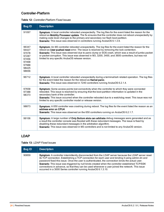# <span id="page-23-0"></span>Controller-Platform

|  | <b>Table 12: Controller-Platform Fixed Issues</b> |  |
|--|---------------------------------------------------|--|
|--|---------------------------------------------------|--|

| <b>Bug ID</b>                                                                 | <b>Description</b>                                                                                                                                                                                                                                                                                                                                                                                                                                                    |
|-------------------------------------------------------------------------------|-----------------------------------------------------------------------------------------------------------------------------------------------------------------------------------------------------------------------------------------------------------------------------------------------------------------------------------------------------------------------------------------------------------------------------------------------------------------------|
| 91097                                                                         | Symptom: A local controller rebooted unexpectedly. The log files for the event listed the reason for the<br>reboot as Mobility Processor update. The fix ensures that the controller does not reboot unexpectedly by<br>making code level changes to the primary and secondary nor flash boot partition.<br>Scenario: This issue was observed in controllers running ArubaOS 6.1.3.9.                                                                                 |
| 96347<br>94427<br>97078<br>97287<br>97456<br>97468<br>97988<br>98425<br>98656 | Symptom: An M3 controller rebooted unexpectedly. The log files for the event listed the reason for the<br>reboot as User pushed reset error. The issue is resolved by removing the lock contention.<br>Scenario: This issue was observed due to panic dump or SOS crash, which was a result of jumbo packet<br>or packet corruption. This issue was observed in M3, 3200, 3400, and 3600 controllers, but was not<br>limited to any specific ArubaOS release version. |
| 96712                                                                         | Symptom: A local controller rebooted unexpectedly during a terminal/ssh related operation. The log files<br>for the event listed the reason for the reboot as Kernel panic.<br>Scenario: This issue was observed in 7240 controllers running ArubaOS 6.2.1.4.                                                                                                                                                                                                         |
| 97658<br>97388<br>98373                                                       | Symptom: Some access points lost connectivity when the controller to which they were connected<br>rebooted. This issue is resolved by ensuring that the boot partition information is updated in the<br>secondary bank of the controller.<br>Scenario: This issue occurred when the controller rebooted due to a watchdog reset. This issue was not<br>limited to any specific controller model or release version.                                                   |
| 98873                                                                         | Symptom: A 650 controller was crashing during reboot. The log files for the event listed the reason as an<br>address error on CPU4.<br>Scenario: This issue was observed on the 650 controllers running on ArubaOS 6.2.1.7.                                                                                                                                                                                                                                           |
| 99106                                                                         | Symptom: A large number of Only Bottom slots can arbitrate debug messages were generated and as<br>a result the controller console was flooded with these redundant messages. The issue is fixed by<br>disabling these redundant messages in the arbitration algorithm.<br>Scenario: This issue was observed in M3 controllers and is not limited to any ArubaOS version.                                                                                             |

### <span id="page-23-1"></span>LDAP

**Table 13:** LDAP Fixed Issues

| <b>Bug ID</b> | <b>Description</b>                                                                                                                                                                                                                                                                                                                                                                                                                                                                                                                                                                     |
|---------------|----------------------------------------------------------------------------------------------------------------------------------------------------------------------------------------------------------------------------------------------------------------------------------------------------------------------------------------------------------------------------------------------------------------------------------------------------------------------------------------------------------------------------------------------------------------------------------------|
| 90859         | Symptom: A controller intermittently disconnected from the LDAP server because the LDAP server reset<br>its TCP connection. Establishing a TCP connection for each user and binding it using admin-dn and<br>password fixed this issue. Once the user is authenticated, the connection binds the actual user.<br>Scenario: This issue was triggered by null binds created when the controller established TCP/SSK<br>connections in advance, so that they can be used whenever a user joined the network. This issue<br>occurred in a 3000 Series controller running ArubaOS 6.1.3.10. |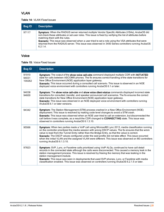### <span id="page-24-0"></span>VLAN

#### **Table 14:** VLAN Fixed Issues

| <b>Bug ID</b> | <b>Description</b>                                                                                                                                                                                                                                                                                                                                                                                                                                                                 |
|---------------|------------------------------------------------------------------------------------------------------------------------------------------------------------------------------------------------------------------------------------------------------------------------------------------------------------------------------------------------------------------------------------------------------------------------------------------------------------------------------------|
| 97117         | <b>Symptom:</b> When the RADIUS server returned multiple Vendor Specific Attributes (VSAs), ArubaOS did<br>not check these attributes or set user roles. This issue is fixed by verifying the list of attributes before<br>matching them with the rules.<br>Scenario: This issue was observed when a user tried to set a role using the VSA attributes that were<br>returned from the RADIUS server. This issue was observed in 3400 Series controllers running ArubaOS<br>6.2.1.4 |

### <span id="page-24-1"></span>Voice

#### **Table 15:** Voice Fixed Issues

| <b>Bug ID</b>            | <b>Description</b>                                                                                                                                                                                                                                                                                                                                                                                                                                                                                                                                           |
|--------------------------|--------------------------------------------------------------------------------------------------------------------------------------------------------------------------------------------------------------------------------------------------------------------------------------------------------------------------------------------------------------------------------------------------------------------------------------------------------------------------------------------------------------------------------------------------------------|
| 91910<br>94031<br>100262 | Symptom: The output of the show voice call-cdrs command displayed multiple CDR with INITIATED<br>state for calls between ASCOM® phones. The fix ensures correct handling of the state transitions for<br>New Office Environment (NOE) application layer gateway.<br>Scenario: This issue occurred during a consulted call scenario. This issue is observed in an NOE<br>deployed voice environment with controllers running ArubaOS 6.1 or later.                                                                                                            |
| 94038<br>94600           | Symptom: The show voice call-cdrs and show voice client-status commands displayed incorrect state<br>transitions for consulted, transfer, and speaker announced call scenarios. The fix ensures the correct<br>state transitions for New Office Environment (NOE) application layer gateway.<br>Scenario: This issue was observed in an NOE deployed voice environment with controllers running<br>ArubaOS 6.1 or later versions.                                                                                                                            |
| 94342                    | Symptom: The Station Management (STM) process crashed in a New Office Environment (NOE)<br>deployment. This issue is resolved by making code level changes to avoid a STM crash.<br>Scenario: This issue was observed when an NOE user tried to call an extension, but disconnected the<br>call before it was complete, as a result the CDR changed to CONNECTING state. This issue was<br>observed in controllers running ArubaOS 6.1.3.10.                                                                                                                 |
| 95566                    | Symptom: When two parties made a VoIP call using Microsoft® Lync 2013, media classification running<br>on the controller prioritized the media session with wrong DSCP values. The fix ensures that the wmm<br>value is read from the Tunnel Entry rather than the Bridge Entry, so that the value is correct.<br>Scenario: The DSCP values configured under the ssid-profile did not take effect. This issue occurred<br>when the initial VLAN and the assigned VLAN were different. This issue was observed on M3 controllers<br>running ArubaOS 6.1.3.10. |
| 97823                    | Symptom: SVP, Lync, or Facetime calls prioritized using VoIP ALGs, continued to have call detail<br>records in the connected state although the calls were disconnected. This caused a memory leak in the<br>station management process. This issue is resolved by freeing the memory that was leaking in the<br>station management module.<br>Scenario: This issue was seen in deployments that used SVP phones, Lync, or Facetime with media<br>classification enabled. This issue was observed on controllers running ArubaOS 6.2.1.5 or later.           |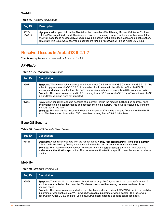### <span id="page-25-0"></span>**WebUI**

#### **Table 16:** WebUI Fixed Issues

| <b>Bug ID</b>   | <b>Description</b>                                                                                                                                                                                                                                                                                                                                                                                                                  |
|-----------------|-------------------------------------------------------------------------------------------------------------------------------------------------------------------------------------------------------------------------------------------------------------------------------------------------------------------------------------------------------------------------------------------------------------------------------------|
| 96284<br>100319 | Symptom: When you click on the Plan tab of the controller's WebUI using Microsoft® Internet Explorer<br>11, the Plan page fails to load. This issue is resolved by making changes to the internal code such that<br>the Plan page loads successfully. Also, removed the scope for function declaration and object creation.<br><b>Scenario:</b> This issue was observed on controllers running ArubaOS 6.2.1.x and ArubaOS 6.1.3.x. |

# <span id="page-25-1"></span>Resolved Issues in ArubaOS 6.2.1.7

The following issues are resolved in ArubaOS 6.2.1.7.

# <span id="page-25-2"></span>AP-Platform

**Table 17:** AP-Platform Fixed Issues

| <b>Bug ID</b> | <b>Description</b>                                                                                                                                                                                                                                                                                                                                                                                                                                                     |
|---------------|------------------------------------------------------------------------------------------------------------------------------------------------------------------------------------------------------------------------------------------------------------------------------------------------------------------------------------------------------------------------------------------------------------------------------------------------------------------------|
| 96913         | <b>Symptom:</b> When a controller was upgraded from ArubaOS 5.x or ArubaOS 6.0.x to ArubaOS 6.3.1.3, APs<br>failed to upgrade to ArubaOS 6.3.1.3. A defensive check is made in the affected API so that PAPI<br>messages which are smaller than the PAPI header size are handled properly in 6.0.x compared to 5.x.<br>Scenario: This issue was observed in APs running ArubaOS 5.x or ArubaOS 6.0.x. APs running ArubaOS<br>6.1 and later versions were not impacted. |
| 97237         | Symptom: A controller rebooted because of a memory leak in the module that handles address, route,<br>and interface related configurations and notifications on the system. This issue is resolved by fixing the<br>memory leak in the flow.<br><b>Scenario:</b> The memory leak occurred when an interface or STP states changed frequently with a PAPI<br>error. This issue was observed on 650 controllers running ArubaOS 6.2.1.6 or later.                        |

### <span id="page-25-3"></span>Base OS Security

**Table 18:** Base OS Security Fixed Issues

| <b>Bug ID</b> | <b>Description</b>                                                                                                                                                                                                                                                                                                                                                                                                           |
|---------------|------------------------------------------------------------------------------------------------------------------------------------------------------------------------------------------------------------------------------------------------------------------------------------------------------------------------------------------------------------------------------------------------------------------------------|
| 96458         | Symptom: A controller rebooted with the reboot cause Nanny rebooted machine - low on free memory.<br>This issue is resolved by freeing the memory that was leaking in the authentication module.<br>Scenario: This issue was observed for VPN users when the cert-cn-lookup parameter was disabled<br>under aaa authentication vpn profile. This issue was not limited to a specific controller model or release<br>version. |

### <span id="page-25-4"></span>**Mobility**

**Table 19:** Mobility Fixed Issues

| <b>Bug ID</b> | <b>Description</b>                                                                                                                                                                                                                                                                                                                                                                                                                                                                                                                           |
|---------------|----------------------------------------------------------------------------------------------------------------------------------------------------------------------------------------------------------------------------------------------------------------------------------------------------------------------------------------------------------------------------------------------------------------------------------------------------------------------------------------------------------------------------------------------|
| 96569         | Symptom: The client did not receive an IP address through DHCP, and could not pass traffic when L3<br>mobility was enabled on the controller. This issue is resolved by clearing the state machine of the<br>affected client.<br>Scenario: This issue was observed when the client roamed from a Virtual AP (VAP) in which the mobile-<br>ip parameter was enabled to a VAP in which the mobile-ip parameter was disabled. This issue was<br>observed in ArubaOS 6.2 and later versions, but was not limited to a specific controller model. |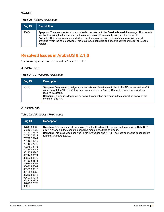### <span id="page-26-0"></span>**WebUI**

#### **Table 20:** WebUI Fixed Issues

| <b>Bug ID</b> | <b>Description</b>                                                                                                                                                                                                                                                                                                                                                                                                          |
|---------------|-----------------------------------------------------------------------------------------------------------------------------------------------------------------------------------------------------------------------------------------------------------------------------------------------------------------------------------------------------------------------------------------------------------------------------|
| 68464         | Symptom: The user was forced out of a WebUI session with the Session is invalid message. This issue is<br>resolved by fixing the timing issue for the exact session ID from cookies in the https request.<br>Scenario: This issue was observed when a web page of the parent domain name was accessed<br>previously from the same browser. This issue was not limited to a specific controller model or release<br>version. |

# <span id="page-26-1"></span>Resolved Issues in ArubaOS 6.2.1.6

The following issues were resolved in ArubaOS 6.2.1.6:

### <span id="page-26-2"></span>AP-Platform

**Table 21:** AP-Platform Fixed Issues

| <b>Bug ID</b> | <b>Description</b>                                                                                                                                                                                                                                                                                                                                      |
|---------------|---------------------------------------------------------------------------------------------------------------------------------------------------------------------------------------------------------------------------------------------------------------------------------------------------------------------------------------------------------|
| 87857         | Symptom: Fragmented configuration packets sent from the controller to the AP can cause the AP to<br>come up with the "D:" (dirty) flag. Improvements to how ArubaOS handles out-of-order packets<br>resolve this issue.<br><b>Scenario:</b> This issue is triggered by network congestion or breaks in the connection between the<br>controller and AP. |

### <span id="page-26-3"></span>AP-Wireless

| <b>Table 22: AP Wireless Fixed Issues</b> |  |  |  |
|-------------------------------------------|--|--|--|
|-------------------------------------------|--|--|--|

| <b>Bug ID</b>                                                                                                                                                                                                                                                                                                          | <b>Description</b>                                                                                                                                                                                                                                                                                                          |
|------------------------------------------------------------------------------------------------------------------------------------------------------------------------------------------------------------------------------------------------------------------------------------------------------------------------|-----------------------------------------------------------------------------------------------------------------------------------------------------------------------------------------------------------------------------------------------------------------------------------------------------------------------------|
| 67847 69062<br>69346 71530<br>74352 74687<br>74792 75212<br>75792 75944<br>7614276217<br>76715 77273<br>77275 78118<br>8073582147<br>8324283243<br>83244 83624<br>8383384170<br>84339 84511<br>8501585054<br>8508685367<br>8595988515<br>8913689253<br>8925689816<br>90603 91084<br>9287192877<br>92878 92879<br>93923 | <b>Symptom:</b> APs unexpectedly rebooted. The log files listed the reason for the reboot as <b>Data BUS</b><br>error. A change in the exception handling module has fixed this issue.<br><b>Scenario:</b> This issue was observed in AP-120 Series and AP-68P devices connected to controllers<br>running ArubaOS 6.3.1.2. |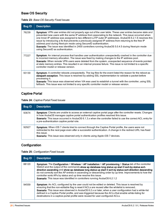### <span id="page-27-0"></span>Base OS Security

|  | Table 23: Base OS Security Fixed Issues |  |
|--|-----------------------------------------|--|
|--|-----------------------------------------|--|

| <b>Bug ID</b> | <b>Description</b>                                                                                                                                                                                                                                                                                                                                                                                                                                                                                                                                                                                                                                          |
|---------------|-------------------------------------------------------------------------------------------------------------------------------------------------------------------------------------------------------------------------------------------------------------------------------------------------------------------------------------------------------------------------------------------------------------------------------------------------------------------------------------------------------------------------------------------------------------------------------------------------------------------------------------------------------------|
| 76239         | Symptom: VPN user entries did not properly age out of the user table. These user entries became stale and<br>prevented new users with the same IP address from associating to the network. This issue occurred when<br>one Inner-IP address was assigned to two different L2TP outer-IP addresses. ArubaOS 6.2.1.6 resolves this<br>issue by introducing a fix that prevents a previously assigned IP address from returning to the free IP<br>address pool during Next-pin mode using SecurelD authentication.<br>Scenario: The issue was identified in 2400 controllers running ArubaOS 5.0.4.5 during Next-pin mode<br>using SecurelD as authentication. |
| 77227         | Symptom: An internal process that handles user authentication unexpectedly crashed in the controller due<br>to incorrect memory allocation. The issue was fixed by making changes to the IP address pool.<br>Scenario: When remote VPN users were deleted from the system, unexpected sequence of events pointed<br>at stale memory entries. This resulted in an internal process failure. This issue is not limited to a specific<br>controller model or release version.                                                                                                                                                                                  |
| 93130         | Symptom: A controller reboots unexpectedly. The log files for the event listed the reason for the reboot as<br>datapath exception. This issue is resolved by adding SSL implementation to validate a packet before<br>processing it.<br><b>Scenario</b> : This issue was observed when VIA was used to establish a tunnel with the controller, using SSL<br>fallback. This issue was not limited to any specific controller model or release version.                                                                                                                                                                                                       |

# <span id="page-27-1"></span>Captive Portal

### **Table 24:** Captive Portal Fixed Issues

| <b>Bug ID</b> | <b>Description</b>                                                                                                                                                                                                                                                                                                                                            |
|---------------|---------------------------------------------------------------------------------------------------------------------------------------------------------------------------------------------------------------------------------------------------------------------------------------------------------------------------------------------------------------|
| 93674         | Symptom: Clients are unable to access an external captive portal page after the controller resets. Changes<br>in how ArubaOS manages captive portal authentication profiles resolved this issue.<br>Scenario: This issue occurred in ArubaOS 6.1.3.x when the controller failed to use the correct ACL entry for<br>a pre-authentication captive portal role. |
| 92927         | <b>Symptom:</b> When iOS 7 clients tried to connect through the Captive Portal profile, the users were not<br>redirected to the next page even after a successful authentication. A change in the redirect URL has fixed<br>this issue.<br><b>Scenario:</b> This issue was observed only in clients using Apple iOS 7 devices.                                |

# <span id="page-27-2"></span>**Configuration**

| <b>Bug ID</b> | <b>Description</b>                                                                                                                                                                                                                                                                                                                                                                                                                                                                                                                                                                            |
|---------------|-----------------------------------------------------------------------------------------------------------------------------------------------------------------------------------------------------------------------------------------------------------------------------------------------------------------------------------------------------------------------------------------------------------------------------------------------------------------------------------------------------------------------------------------------------------------------------------------------|
| 88120         | Symptom: The Configuration > Wireless > AP Installation > AP provisioning > Status tab of the controller<br>WebUI and the output of the commands show ap database long status up start 0 sort-by status sort-<br>direction ascending and show ap database long status up start 0 sort-by status sort-direction descending<br>do not correctly sort the AP entries in ascending or descending order by up time. Improvements to how the<br>controller sorts APs by status and up time resolve this issue.<br><b>Scenario:</b> This issue was identified in controllers running ArubaOS 6.2.1.2 |
| 94559         | <b>Symptom:</b> An ACL configured by the user could not be edited or deleted. This issue is resolved by<br>ensuring that the non-editable flag is reset if ACLs are reused after the whitelist is removed<br>Scenario: This issue was observed in ArubaOS 6.2.x or later, when a user configuration had a white-list<br>defined in a Captive Portal profile, and was triggered because the ACLs that enable white-listing for<br>destinations in a captive-portal profile were reused for user-configured ACLs.                                                                               |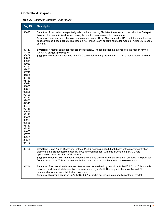# <span id="page-28-0"></span>Controller-Datapath

| Table 26: Controller-Datapath Fixed Issues |
|--------------------------------------------|
|--------------------------------------------|

| <b>Bug ID</b>                                                                                                                                                                                                                                                                                                  | <b>Description</b>                                                                                                                                                                                                                                                                                                                                                                                                                                             |
|----------------------------------------------------------------------------------------------------------------------------------------------------------------------------------------------------------------------------------------------------------------------------------------------------------------|----------------------------------------------------------------------------------------------------------------------------------------------------------------------------------------------------------------------------------------------------------------------------------------------------------------------------------------------------------------------------------------------------------------------------------------------------------------|
| 93423                                                                                                                                                                                                                                                                                                          | Symptom: A controller unexpectedly rebooted, and the log file listed the reason for the reboot as Datapath<br>timeout. This issue is fixed by increasing the stack memory size in the data plane.<br>Scenario: This issue was observed when clients using SSL VPN connected to RAP and the controller tried<br>to decompress these packets. This issue is not limited to any specific controller model or ArubaOS release<br>version.                          |
| 87417<br>87846<br>90469<br>90896<br>89641<br>88039<br>94157<br>89433<br>90746<br>94636<br>88445<br>95332<br>90024<br>91853<br>92827<br>92828<br>92829<br>92830<br>92832<br>87949<br>92464<br>92466<br>95655<br>88226<br>90458<br>92294<br>93555<br>95333<br>93825<br>94007<br>95703<br>92988<br>89539<br>94476 | Symptom: A master controller reboots unexpectedly. The log files for the event listed the reason for the<br>reboot as datapath exception.<br>Scenario: This issue is observed in a 7240 controller running ArubaOS 6.3.1.1 in a master-local topology.                                                                                                                                                                                                         |
| 82770                                                                                                                                                                                                                                                                                                          | Symptom: Using Aruba Discovery Protocol (ADP), access points did not discover the master controller<br>after enabling Broadcast/Multicast (BC/MC) rate optimization. With this fix, enabling BC/MC rate<br>optimization does not block ADP packets.<br>Scenario: When BC/MC rate optimization was enabled on the VLAN, the controller dropped ADP packets<br>from access points. This issue was not limited to a specific controller model or release version. |
| 95756                                                                                                                                                                                                                                                                                                          | Symptom: The firewall stall-detection feature was not enabled by default in ArubaOS 6.2.1.x. This issue is<br>resolved, and firewall stall-detection is now enabled by default. The output of the show firewall CLI<br>command now shows stall detection is enabled.<br>Scenario: This issue occurred in ArubaOS 6.2.1.x, and is not limited to a specific controller model.                                                                                   |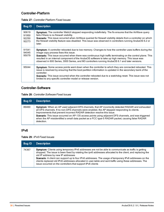### <span id="page-29-0"></span>Controller-Platform

|  | <b>Table 27: Controller Platform Fixed Issues</b> |
|--|---------------------------------------------------|
|--|---------------------------------------------------|

| <b>Bug ID</b>                    | <b>Description</b>                                                                                                                                                                                                                                                                                                                                                                                                                                                           |
|----------------------------------|------------------------------------------------------------------------------------------------------------------------------------------------------------------------------------------------------------------------------------------------------------------------------------------------------------------------------------------------------------------------------------------------------------------------------------------------------------------------------|
| 90619<br>91950<br>92250<br>92273 | <b>Symptom:</b> The controller WebUI stopped responding indefinitely. The fix ensures that the AirWave query<br>fails if there is no firewall visibility.<br>Scenario: This issue occurred when AirWave queried for firewall visibility details from a controller on which<br>the firewall visibility feature was disabled. This issue was observed in controllers running ArubaOS 6.2 or<br>later.                                                                          |
| 91541<br>94045<br>95079          | <b>Symptom:</b> A controller rebooted due to low memory. Changes to how the controller uses buffers during the<br>image copy process fixes this issue.<br>Scenario: This issue occurred when there was continuous high traffic terminating on the control plane. This<br>resulted in an internal component of the ArubaOS software to take up high memory. This issue was<br>observed in 600 Series, 3000 Series, and M3 controllers running ArubaOS 6.1 and later versions. |
| 95044                            | <b>Symptom:</b> Some access points went down when the controller to which they are connected rebooted. This<br>issue is resolved by ensuring that the boot partition information is updated in the secondary bank of the<br>controller.<br>Scenario: This issue occurred when the controller rebooted due to a watchdog reset. This issue was not<br>limited to any specific controller model or release version.                                                            |

## <span id="page-29-1"></span>Controller-Software

**Table 28:** Controller Software Fixed Issues

| <b>Bug ID</b> | <b>Description</b>                                                                                                                                                                                                                                                                                                                                                                                                                                                                                   |
|---------------|------------------------------------------------------------------------------------------------------------------------------------------------------------------------------------------------------------------------------------------------------------------------------------------------------------------------------------------------------------------------------------------------------------------------------------------------------------------------------------------------------|
| 89460         | Symptom: When an AP used adjacent DFS channels, that AP incorrectly detected RADAR and exhausted<br>all DFS channels. If no non-DFS channels were enabled, the AP stopped responding to clients.<br>Improvements that prevent incorrect RADAR detection resolve this issue.<br>Scenario: This issue occurred on AP-135 access points using adjacent DFS channels, and was triggered<br>when the AP misidentified a small data packet as a FCC type-5 RADAR packet, causing false RADAR<br>detection. |

### <span id="page-29-2"></span>IPv6

**Table 29:** IPv6 Fixed Issues

| <b>Bug ID</b> | <b>Description</b>                                                                                                                                                                                                                                                                                                                                                                                                                                                                                                                                  |
|---------------|-----------------------------------------------------------------------------------------------------------------------------------------------------------------------------------------------------------------------------------------------------------------------------------------------------------------------------------------------------------------------------------------------------------------------------------------------------------------------------------------------------------------------------------------------------|
| 74367         | <b>Symptom:</b> Clients using temporary IPv6 addresses are not be able to communicate as traffic is getting<br>dropped. The issue is been fixed by rotating the ipv6 addresses allocated to the client, and replacing the<br>old IP address by new IP addresses<br>Scenario: A client can support up to four IPv6 addresses. The usage of temporary IPv6 addresses on the<br>clients replaced old IPv6 addresses allocated in user-table and sent traffic using these addresses. The<br>issue occurred on the controllers that support IPv6 clients |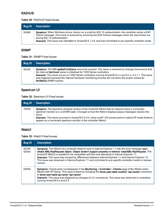### <span id="page-30-0"></span>RADIUS

#### **Table 30:** RADIUS Fixed Issues

| Bug ID | <b>Description</b>                                                                                                                                                                                                                                                                                                                                                |
|--------|-------------------------------------------------------------------------------------------------------------------------------------------------------------------------------------------------------------------------------------------------------------------------------------------------------------------------------------------------------------------|
| 93689  | Symptom: When Windows phone clients run a script for 802.1X authentication, the controller sends a EAP<br>Failure message. This issue is resolved by removing the EAP-Failure messages when the client times out<br>during 802.1X authentication.<br>Scenario: This issue was identified in ArubaOS 6.1.3.8, and was not limited to any specific controller mode. |

### <span id="page-30-1"></span>SNMP

**Table 31:** SNMP Fixed Issues

| <b>Bug ID</b> | <b>Description</b>                                                                                                                                                                                                                                                                                                                                                                                                                 |
|---------------|------------------------------------------------------------------------------------------------------------------------------------------------------------------------------------------------------------------------------------------------------------------------------------------------------------------------------------------------------------------------------------------------------------------------------------|
| 94205         | Symptom: The MIB sysExtFanStatus cannot be queried. This issue is resolved by changes that ensure that<br>the internal fanCount value is initialized for 7200 Series controllers.<br>Scenario: This issue occurs on 7200 Series controllers running ArubaOS 6.2.x and 6.3.x. 6.3.1.1. This issue<br>was triggered because the internal hardware monitoring process did not return the proper values for<br>fanStatus SNMP queries. |

# <span id="page-30-2"></span>Spectrum UI

**Table 32:** Spectrum UI Fixed Issues

| <b>Bug ID</b> | <b>Description</b>                                                                                                                                                                                                                                                                                                                                                                           |
|---------------|----------------------------------------------------------------------------------------------------------------------------------------------------------------------------------------------------------------------------------------------------------------------------------------------------------------------------------------------------------------------------------------------|
| 76439         | Symptom: The Spectrum Analysis section of the ArubaOS WebUI fails to respond when a connected<br>spectrum monitor is in a DOWN state. Changes to how the WebUI displays popup messages resolve this<br>ISSUE.<br>Scenario: This issue occurred in ArubaOS 6.2.0.0, when anAP-105 access point in hybrid AP mode failed to<br>appear as a connected spectrum monitor in the controller WebUI. |

### <span id="page-30-3"></span>WebUI

**Table 33:** WebUI Fixed Issues

| <b>Bug ID</b>  | <b>Description</b>                                                                                                                                                                                                                                                                                                                                                                                                                                                                                                                                  |
|----------------|-----------------------------------------------------------------------------------------------------------------------------------------------------------------------------------------------------------------------------------------------------------------------------------------------------------------------------------------------------------------------------------------------------------------------------------------------------------------------------------------------------------------------------------------------------|
| 92340<br>92649 | <b>Symptom:</b> The WebUI of a controller failed to load in Internet Explorer 11 with the error message can't<br>create XMLHttpRequest object: Object doesn't support property or method 'creatXMLHttpRequest. The<br>ArubaOS WebUI is updated to be compatible with the new standards in Internet Explorer 11.<br>Scenario: This issue was caused by differences between Internet Explorer 11 and Internet Explorer 10.<br>This issue was observed in Internet Explorer 11 and not limited to any specific controller model or release<br>version. |
| 93606          | Symptom: Clients were not displayed in the Monitoring > Controller > Clients page of the WebUI when<br>filtered with AP Name. This issue is fixed by changing the show user-table location <ap-name> command<br/>to show user-table ap-name <ap-name>.<br/><b>Scenario:</b> This issue was triggered by changes to CLI commands. This issue was observed in controllers<br/>running ArubaOS 6.2 and 6.3.</ap-name></ap-name>                                                                                                                        |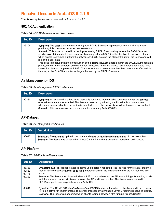# <span id="page-31-0"></span>Resolved Issues in ArubaOS 6.2.1.5

The following issues were resolved in ArubaOS 6.2.1.5:

### <span id="page-31-1"></span>802.1X Authentication

**Table 34:** 802.1X Authentication Fixed Issues

| <b>Bug ID</b> | <b>Description</b>                                                                                                                                                                                                                                                                                                                                                                                                                                                                                                                                                                                                                                                                                                                                                                                                                                                                                                                             |
|---------------|------------------------------------------------------------------------------------------------------------------------------------------------------------------------------------------------------------------------------------------------------------------------------------------------------------------------------------------------------------------------------------------------------------------------------------------------------------------------------------------------------------------------------------------------------------------------------------------------------------------------------------------------------------------------------------------------------------------------------------------------------------------------------------------------------------------------------------------------------------------------------------------------------------------------------------------------|
| 89106         | <b>Symptom:</b> The <b>class</b> attribute was missing from RADIUS accounting messages sent to clients when<br>previously idle clients reconnected to the network.<br>Scenario: This issue occurred in a deployment using RADIUS accounting, where the RADIUS server<br>sends class attributes in the access-accept messages for to 802.1X authentication. In previous releases,<br>when an idle user timed out from the network, ArubaOS deleted the class attribute for the user along with<br>rest of the user data.<br>This issue is resolved with the introduction of the delete-keycache parameter in the 802.1X authentication<br>profile, which, when enabled, deletes the user keycache when the client's user entries get deleted. This<br>forces the client to complete a full 802.1X authentication process when the client reconnects after an idle<br>timeout, so the CLASS attributes will again be sent by the RADIUS servers. |

### <span id="page-31-2"></span>Air Management - IDS

**Table 35:** Air Management IDS Fixed Issues

| <b>Bug ID</b> | <b>Description</b>                                                                                                                                                                                                                                                                                                                                                                            |
|---------------|-----------------------------------------------------------------------------------------------------------------------------------------------------------------------------------------------------------------------------------------------------------------------------------------------------------------------------------------------------------------------------------------------|
| 90330         | Symptom: An adhoc AP marked to be manually contained would not be contained unless the protect<br>from adhoc feature was enabled. This issue is resolved by allowing traditional adhoc containment<br>whenever enhanced adhoc protection is enabled, even if the <b>protect from adhoc</b> feature is not enabled.<br>Scenario: This issue was observed on controllers running ArubaOS 6.2.x. |

### <span id="page-31-3"></span>AP-Datapath

**Table 36:** AP-Datapath Fixed Issues

| Bug ID | <b>Description</b>                                                                                                                                                                              |
|--------|-------------------------------------------------------------------------------------------------------------------------------------------------------------------------------------------------|
| 90645  | Symptom: The ap-name option in the command show datapath session ap-name did not take affect.<br>Scenario: This issue was observed on ArubaOS 6.2.1.3 and any controller model can be impacted. |

### <span id="page-31-4"></span>AP-Platform

|  | <b>Table 37: AP-Platform Fixed Issues</b> |  |  |
|--|-------------------------------------------|--|--|
|--|-------------------------------------------|--|--|

| <b>Bug ID</b>                    | <b>Description</b>                                                                                                                                                                                                                                                                                                                                                                                                                                                                          |
|----------------------------------|---------------------------------------------------------------------------------------------------------------------------------------------------------------------------------------------------------------------------------------------------------------------------------------------------------------------------------------------------------------------------------------------------------------------------------------------------------------------------------------------|
| 88389<br>89882<br>90175<br>90332 | Symptom: 802.11n-cagpable access points unexpectedly rebooted. The log files for the event listed the<br>reason for the reboot as kernel page fault. Improvements in the wireless driver of the AP resolved this<br>issue.<br><b>Scenario:</b> This issue was observed when a 802.11n-capable campus AP was in bridge forwarding mode<br>and there was a connectivity issue between the AP and the controller. This issue was observed in<br>802.11n-capable access points running ArubaOS. |
| 89016                            | Symptom: The SNMP OID wlanStaAccessPointESSID had no value when a client roamed from a down<br>AP to an active AP. Improvements to internal processes that manage Layer-2 roaming resolve this issue.<br>Scenario: This issue was observed when clients roamed between APs running ArubaOS 6.2.x                                                                                                                                                                                            |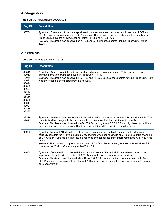# <span id="page-32-0"></span>AP-Regulatory

|  |  | Table 38: AP-Regulatory Fixed Issues |  |  |
|--|--|--------------------------------------|--|--|
|--|--|--------------------------------------|--|--|

| <b>Bug ID</b> | <b>Description</b>                                                                                                                                                                                                                                                                                                                                                                            |
|---------------|-----------------------------------------------------------------------------------------------------------------------------------------------------------------------------------------------------------------------------------------------------------------------------------------------------------------------------------------------------------------------------------------------|
| 86764         | Symptom: The output of the show ap allowed channels command incorrectly indicated that AP-68 and<br>AP-68P access points supported 5 GHZ channels. This issue is resolved by changes that modify how<br>ArubaOS displays the allowed channel list for AP-68 and AP-68P APs.<br><b>Scenario:</b> This issue was observed on AP-68 and AP-68P access points running ArubaOS 6.1.x and<br>6.2.x. |

# <span id="page-32-1"></span>AP-Wireless

**Table 39:** AP-Wireless Fixed Issues

| <b>Bug ID</b>                                                                                                                       | <b>Description</b>                                                                                                                                                                                                                                                                                                                                                                                                                                                              |
|-------------------------------------------------------------------------------------------------------------------------------------|---------------------------------------------------------------------------------------------------------------------------------------------------------------------------------------------------------------------------------------------------------------------------------------------------------------------------------------------------------------------------------------------------------------------------------------------------------------------------------|
| 89046<br>89053<br>89058<br>84081<br>88044<br>88569<br>88631<br>88843<br>89044<br>89325<br>89326<br>89811<br>89901<br>92336<br>93335 | Symptom: An access point continuously stopped responding and rebooted. This issue was resolved by<br>improvements to the wireless drivers in ArubaOS 6.1.3.11.<br>Scenario: This issue was observed in AP-125 and AP-220 Series access points running ArubaOS 6.1.3.x<br>when the clients disconnected from the network.                                                                                                                                                        |
| 88328<br>89623                                                                                                                      | Symptom: Wireless clients experienced packet loss when connected to remote APs in bridge mode. This<br>issue is fixed by changes that ensure some buffer is reserved for transmitting unicast traffic.<br>Scenario: This issue was observed in AP-105 APs running ArubaOS 6.1.3.8 with high levels of multicast<br>or broadcast traffic in the network. This issue was not limited to a specific controller model.                                                              |
| 90960                                                                                                                               | Symptom: Microsoft® Surface Pro and Surface RT clients were unable to acquire an IP address or<br>correctly populate the ARP table with a MAC address when connecting to an AP using 20 MHz channels<br>on 2.4 GHz or 5 GHz radios. This issue is resolved by channel scanning improvements to APs in 20 MHz<br>mode.<br>Scenario: This issue was triggered when Microsoft Surface clients running Windows 8 or Windows 8.1<br>connected to 20 MHz APs running ArubaOS 6.1.3.8. |
| 91856                                                                                                                               | Symptom: Certain 802.11b clients did not communicate with Aruba 802.11n-capable access points.<br>Improvements in the wireless driver of 802.11n-capable access points resolve this issue.<br>Scenario: This issue was observed when Denso® 802.11b handy terminals communicated with Aruba<br>802.11n-capable access points on channel 7. This issue was not limited to any specific controller model<br>or release version.                                                   |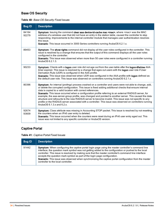### <span id="page-33-0"></span>Base OS Security

| Table 40: Base OS Security Fixed Issues |  |  |  |  |
|-----------------------------------------|--|--|--|--|
|-----------------------------------------|--|--|--|--|

| <b>Bug ID</b>  | <b>Description</b>                                                                                                                                                                                                                                                                                                                                                                                                                                                                                                                                                                                                                                                                                                                                              |
|----------------|-----------------------------------------------------------------------------------------------------------------------------------------------------------------------------------------------------------------------------------------------------------------------------------------------------------------------------------------------------------------------------------------------------------------------------------------------------------------------------------------------------------------------------------------------------------------------------------------------------------------------------------------------------------------------------------------------------------------------------------------------------------------|
| 84164<br>92279 | Symptom: Issuing the command clear aaa device-id-cache mac <mac>, where <mac> was the MAC<br/>address of a wireless user that did not have an entry in the station table, caused the controller to stop<br/>responding. Improvements to the internal controller module that manages user authentication resolves<br/>this issue.<br/>Scenario: This issue occurred in 3000 Series controllers running ArubaOS 6.2.1.x.</mac></mac>                                                                                                                                                                                                                                                                                                                              |
| 89453          | Symptom: The show rights command did not display all the user roles configured in the controller. This<br>issue is resolved by a change that ensures that the output of this command displays all the user roles<br>configured in the controller.<br>Scenario: This issue was observed when more than 50 user roles were configured in a controller running<br>ArubaOS 6.2.1.3.                                                                                                                                                                                                                                                                                                                                                                                 |
| 90233          | Symptom: Clients with a logon user role did not age out from the user-table after the logon-lifetime AAA<br>timer expired. This issue is resolved by a change that ages out users with the logon user role if User<br>Derivation Rule (UDR) is configured in the AAA profile.<br>Scenario: This issue was observed when UDR was configured in the AAA profile with logon defined as<br>the default user role. This issue was observed on controllers running ArubaOS 6.2.1.x.                                                                                                                                                                                                                                                                                   |
| 80396          | Symptom: An internal (profmgr) process crashed on a controller and users were not able to change, add,<br>or delete the corrupted configuration. This issue is fixed adding additional checks that ensure internal<br>data is copied to a valid location with correct references.<br>Scenario: This issue occurred when a configuration profile referring to an external RADIUS server, for<br>example, the aaa-server-group profile, was changed and pointed to another server. This caused the data<br>structure and refcounts to the new RADIUS server to become invalid. This issue was not specific to any<br>profile or the RADIUS server associated with a controller. This issue was observed on controllers running<br>ArubaOS $6.1.3.x$ and $6.2.x$ . |
| 92674<br>93609 | Symptom: Class attribute was missing in Accounting STOP packet. This issue is resolved by not resetting<br>the counters when an IPv6 user entry is deleted.<br>Scenario: This issue occurred when the counters were reset during an IPv6 user entry aged out. This<br>issue was not limited to any specific controller or ArubaOS version.                                                                                                                                                                                                                                                                                                                                                                                                                      |

# <span id="page-33-1"></span>Captive Portal

**Table 41:** Captive Portal Fixed Issues

| <b>Bug ID</b> | <b>Description</b>                                                                                                                                                                                                                                                                                                                                                                                                                                                                                                                                |
|---------------|---------------------------------------------------------------------------------------------------------------------------------------------------------------------------------------------------------------------------------------------------------------------------------------------------------------------------------------------------------------------------------------------------------------------------------------------------------------------------------------------------------------------------------------------------|
| 91442         | Symptom: When configuring the captive portal login page using the master controller's command line<br>interface, the question mark symbol was not getting added to the configuration or pushed to the local<br>controller. This issue is resolved by making sure that the master controller's command line interface<br>accepts the question mark symbol as part of the login page configuration.<br>Scenario: This issue was observed when synchronizing the captive portal configuration from the master<br>controller to the local controller. |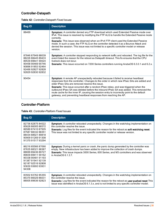# <span id="page-34-0"></span>Controller-Datapath

|  |  | Table 42: Controller-Datapath Fixed Issues |
|--|--|--------------------------------------------|
|--|--|--------------------------------------------|

| <b>Bug ID</b>                                                                                                                                   | <b>Description</b>                                                                                                                                                                                                                                                                                                                                                                                                                                                                                                                                                                           |
|-------------------------------------------------------------------------------------------------------------------------------------------------|----------------------------------------------------------------------------------------------------------------------------------------------------------------------------------------------------------------------------------------------------------------------------------------------------------------------------------------------------------------------------------------------------------------------------------------------------------------------------------------------------------------------------------------------------------------------------------------------|
| 88469                                                                                                                                           | <b>Symptom:</b> A controller denied any FTP download which used Extended Passive mode over<br>IPv4. This issue is resolved by modifying the FTP ALG to handle the Extended Passive mode<br>correctly.<br><b>Scenario:</b> This issue was observed when an IPv4 FTP client used the Extended Passive<br>mode. In such a case, the FTP ALG on the controller detected it as a Bounce Attack and<br>denied the session. This issue was not limited to a specific controller model or release<br>version.                                                                                        |
| 87846 87949 88039<br>88226 88445 89433<br>89539 89641 90024<br>90458 90469 90746<br>90896 91853 92464<br>92466 92827 92828<br>92829 92830 92832 | Symptom: A controller stopped responding to network traffic and rebooted. The log file for the<br>event listed the reason for the reboot as Datapath timeout. This fix ensures that the CPU<br>livelock does not recur.<br><b>Scenario:</b> This issue occurred on 7200 Series controllers running ArubaOS 6.3.0.1 and 6.2.x.                                                                                                                                                                                                                                                                |
| 90454                                                                                                                                           | Symptom: A remote AP unexpectedly rebooted because it failed to receive heartbeat<br>responses from the controller. Changes to the order in which new IPsec SAs are added and<br>older IPsec SAs are removed resolve this issue.<br><b>Scenario:</b> This issue occurred after a random IPsec rekey, and was triggered when the<br>outbound IPsec SA was deleted before the inbound IPsec SA was added. This removed the<br>route cache for the inner IP, causing the session entry to incorrectly point to the default<br>gateway, and preventing heartbeat responses from reaching the AP. |

### <span id="page-34-1"></span>Controller-Platform

|  | <b>Table 43: Controller-Platform Fixed Issues</b> |  |
|--|---------------------------------------------------|--|
|--|---------------------------------------------------|--|

| <b>Bug ID</b>                                                                                                                                                                 | <b>Description</b>                                                                                                                                                                                                                                                                                                              |
|-------------------------------------------------------------------------------------------------------------------------------------------------------------------------------|---------------------------------------------------------------------------------------------------------------------------------------------------------------------------------------------------------------------------------------------------------------------------------------------------------------------------------|
| 82736 82875 84022<br>85628 86005 86572<br>86589 87410 87505<br>87587 88332 88351<br>88434 88921 89818<br>90909 91269 91308<br>91370 91517 93294                               | <b>Symptom:</b> A controller rebooted unexpectedly. Changes in the watchdog implementation on<br>the controller resolve the issue.<br>Scenario: Log files for the event indicated the reason for the reboot as soft watchdog reset.<br>This issue was not limited to any specific controller model or release version.          |
| 86216 85566 87090<br>87635 88321 88387<br>88699 89436 89727<br>89839 89911 90162<br>90338 90481 91193<br>91387 91941 92139<br>92187 92516 92808<br>93630 93693 93931<br>94308 | Symptom: During a kernel panic or crash, the panic dump generated by the controller was<br>empty. New infrastructure has been added to improve the collection of crash dumps.<br><b>Scenario:</b> This issue impacts 3000 Series, 600 Series, and M3 controllers and was observed<br>in Aruba $OS 6.1.3.7$                      |
| 83502 83762 85355<br>85370 86029 86031<br>88005 89636 92823                                                                                                                   | Symptom: A controller rebooted unexpectedly. Changes in the watchdog implementation on<br>the controller resolve the issue.<br>Scenario: Log files for the event indicated the reason for the reboot as user pushed reset This<br>issue was identified in ArubaOS 6.1.3.x, and is not limited to any specific controller model. |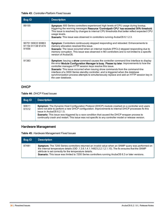**Table 43:** Controller-Platform Fixed Issues

| <b>Bug ID</b>                                   | <b>Description</b>                                                                                                                                                                                                                                                                                                                                                                                                                                                                                                                         |
|-------------------------------------------------|--------------------------------------------------------------------------------------------------------------------------------------------------------------------------------------------------------------------------------------------------------------------------------------------------------------------------------------------------------------------------------------------------------------------------------------------------------------------------------------------------------------------------------------------|
| 89155                                           | Symptom: 600 Series controllers experienced high levels of CPU usage during bootup,<br>triggering the warning messages Resource 'Controlpath CPU' has exceeded 30% threshold.<br>This issue is resolved by changes to internal CPU thresholds that better reflect expected CPU<br>usage levels.<br><b>Scenario</b> : This issue was observed in controllers running ArubaOS 6.1.2.3.                                                                                                                                                       |
| 90751 90633 90863<br>91154 91138 91474<br>91656 | Symptom: Controllers continuously stopped responding and rebooted. Enhancements to<br>memory allocation resolved this issue.<br><b>Scenario:</b> The issue occurred when an internal module (FPCLI) stopped responding due to<br>memory corruption. This issue was observed in M3 controllers and is not limited to a specific<br>version of ArubaOS.                                                                                                                                                                                      |
| 91383                                           | Symptom: Issuing a show command causes the controller command-line interface to display<br>the error Module Configuration Manager is busy. Please try later. Improvements to how the<br>controller manages HTTP session keys resolve this issue.<br>Scenario: This issue occurred when issuing show commands from the command-line<br>interface of a 3000 Series standby controller, and is triggered when the database<br>synchronization process attempts to simultaneously replace and add an HTTP session key in<br>the user database. |

## <span id="page-35-0"></span>DHCP

#### **Table 44:** DHCP Fixed Issues

| <b>Bug ID</b>  | <b>Description</b>                                                                                                                                                                                                                                                                                                                                                                                                                                      |
|----------------|---------------------------------------------------------------------------------------------------------------------------------------------------------------------------------------------------------------------------------------------------------------------------------------------------------------------------------------------------------------------------------------------------------------------------------------------------------|
| 90611<br>91512 | Symptom: The Dynamic Host Configuration Protocol (DHCP) module crashed on a controller and users<br>were not able to perform a new DHCP configuration. Improvements to internal DHCP processes fix this<br>issue in ArubaOS 6.2.1.5.<br><b>Scenario:</b> This issue was triggered by a race condition that caused the DHCP wrapper process to<br>continually crash and restart. This issue was not specific to any controller model or release version. |

# <span id="page-35-1"></span>Hardware Management

| Table 45: Hardware Management Fixed Issues |
|--------------------------------------------|
|--------------------------------------------|

| <b>Bug ID</b> | <b>Description</b>                                                                                                                                                                                                                                                                                                                                                                  |
|---------------|-------------------------------------------------------------------------------------------------------------------------------------------------------------------------------------------------------------------------------------------------------------------------------------------------------------------------------------------------------------------------------------|
| 87481         | <b>Symptom:</b> The 7200 Series controllers returned an invalid value when an SNMP query was performed on<br>the internal temperature details (OID .1.3.6.1.4.1.14823.2.2.1.2.1.10). The fix ensures that the SNMP<br>attribute is set correctly for the temperature details.<br>Scenario: This issue was limited to 7200 Series controllers running ArubaOS 6.3 or later versions. |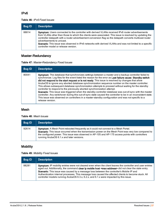#### IPv6

#### **Table 46:** IPv6 Fixed Issues

| Bug ID | <b>Description</b>                                                                                                                                                                                                                                                                                                                                                                                                                                                                                          |
|--------|-------------------------------------------------------------------------------------------------------------------------------------------------------------------------------------------------------------------------------------------------------------------------------------------------------------------------------------------------------------------------------------------------------------------------------------------------------------------------------------------------------------|
| 88814  | Symptom: Users connected to the controller with derived VLANs received IPv6 router advertisements<br>from VLANs other than those to which the clients were associated. This issue is resolved by updating the<br>controller datapath with a router advertisement conversion flag so the datapath converts multicast router<br>advertisements to unicast.<br>Scenario: This issue was observed in IPv6 networks with derived VLANs and was not limited to a specific<br>controller model or release version. |

### Master-Redundancy

|  | Table 47: Master-Redundancy Fixed Issues |  |
|--|------------------------------------------|--|
|--|------------------------------------------|--|

| <b>Bug ID</b> | <b>Description</b>                                                                                                                                                                                                                                                                                                                                                                                                                                                                                                                                                                                                                                                                                                                                                                                                                                                                                                                                                    |
|---------------|-----------------------------------------------------------------------------------------------------------------------------------------------------------------------------------------------------------------------------------------------------------------------------------------------------------------------------------------------------------------------------------------------------------------------------------------------------------------------------------------------------------------------------------------------------------------------------------------------------------------------------------------------------------------------------------------------------------------------------------------------------------------------------------------------------------------------------------------------------------------------------------------------------------------------------------------------------------------------|
| 80041         | Symptom: The database that synchronizes settings between a master and a backup controller failed to<br>synchronize. Log files for the event listed the reason for the error as Last failure cause: Standby switch<br>did not respond to the start request or is not ready. This issue is resolved by changes that allow<br>ArubaOS to ignore any aborted database synchronization sequence number on the master controller.<br>This allows subsequent database synchronization attempts to proceed without waiting for the standby<br>controller to respond to the previously aborted synchronization attempt.<br>Scenario: This issue was triggered when the standby controller database was out-of-sync with the master<br>controller. Any switchover during this out-of-sync state caused the controller to be in an inconsistent state.<br>This issue was observed on controllers in a master-standby configuration and was not specific to a<br>release version. |

## Mesh

#### **Table 48:** Mesh Issues

| <b>Bug ID</b> | <b>Description</b>                                                                                                                                                                                                                                                                                                                                   |
|---------------|------------------------------------------------------------------------------------------------------------------------------------------------------------------------------------------------------------------------------------------------------------------------------------------------------------------------------------------------------|
| 92614         | <b>Symptom:</b> A Mesh Point rebooted frequently as it could not connect to a Mesh Portal.<br>Scenario: This issue occurred when the transmission power on the Mesh Point was very low compared to<br>the configured power. This issue was observed in AP-105 and AP-175 access points with controllers<br>running ArubaOS 6.1.x and later versions. |

# Mobility

#### **Table 49:** Mobility Fixed Issues

| Bug ID | <b>Description</b>                                                                                                                                                                                                                                                                                                                                                                                                                                                                                                                 |
|--------|------------------------------------------------------------------------------------------------------------------------------------------------------------------------------------------------------------------------------------------------------------------------------------------------------------------------------------------------------------------------------------------------------------------------------------------------------------------------------------------------------------------------------------|
| 88281  | Symptom: IP mobility entries were not cleared even when the client leaves the controller and user entries<br>aged out. Additionally, the command clear ip mobile host <mac-address> did not clear the stale entry.<br/>Scenario: This issue was caused by a message loss between the controller's Mobile IP and<br/>Authentication internal processes. This message loss caused the affected clients to become stuck. All<br/>controller models running ArubaOS 6.3.x, 6.2.x, and 6.1.x were impacted by this issue.</mac-address> |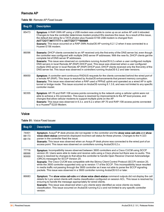# Remote AP

#### **Table 50:** Remote AP Fixed Issues

| <b>Bug ID</b> | <b>Description</b>                                                                                                                                                                                                                                                                                                                                                                                                                                                                                                                                                                                                                                                                                  |
|---------------|-----------------------------------------------------------------------------------------------------------------------------------------------------------------------------------------------------------------------------------------------------------------------------------------------------------------------------------------------------------------------------------------------------------------------------------------------------------------------------------------------------------------------------------------------------------------------------------------------------------------------------------------------------------------------------------------------------|
| 85473         | Symptom: A RAP-3WN AP using a USB modem was unable to come up as an active AP until it rebooted.<br>Changes to how the controller determines modem product IDs resolves this issue. As a result of this issue,<br>the default dial string for a TATA photon plus Huawei E156 USB modem is changed from<br>AATTDDTT##777777 to AATTDDTT**9999##.<br><b>Scenario:</b> This issue occurred on a RAP-3WN ArubaOS AP running 6.2.1.2 when it was connected to a<br>Huawei E156 modem.                                                                                                                                                                                                                    |
| 86096         | Scenario: DHCP clients connected to an AP received only the first entry of the DNS server list, even though<br>the controller was configured with multiple DNS server IP addresses. With the new fix, DHCP clients get the<br>complete list of DNS server IP addresses.<br>Scenario: This issue was observed on controllers running ArubaOS 6.2.x when a user configured multiple<br>DNS servers in local Remote AP (RAP) DHCP pool. This issue was observed when a user configured<br>multiple DNS server in local Remote AP (RAP) DHCP pool, DHCP clients received only the first entry of the<br>DNS server list. This issue was observed in controllers running ArubaOS 6.2 and later versions. |
| 86650         | Symptom: A controller sent continuous RADIUS requests for the clients connected behind the wired port of<br>a remote AP (RAP). This issue is resolved by ArubaOS enhancements that prevent memory corruption.<br>Scenario: This issue was observed when a RAP used a PPPoE uplink and operated as a wired AP in split-<br>tunnel or bridge mode. This issue occurred on ArubaOS running 6.1.3.6, and was not limited to any specific<br>controller model.                                                                                                                                                                                                                                           |
| 90355         | Symptom: AP-70 and RAP-108 access points connecting to the network using a cellular uplink were not<br>able to achieve a 3G connection. This issue is resolved by improvements to the AP boot process, and<br>changes that allow cellular modems to support multiple ports on the AP.<br>Scenario: This issue was observed in 6.3.x. and 6.2.x when AP-70 and RAP-108 access points connected<br>to a Huawei® E220 Modem.                                                                                                                                                                                                                                                                           |

#### Voice

| <b>Table 51: Voice Fixed Issues</b> |
|-------------------------------------|
|-------------------------------------|

| <b>Bug ID</b>           | <b>Description</b>                                                                                                                                                                                                                                                                                                                                                                                                                                                                                                                                                                                                                                                                                                                                                            |
|-------------------------|-------------------------------------------------------------------------------------------------------------------------------------------------------------------------------------------------------------------------------------------------------------------------------------------------------------------------------------------------------------------------------------------------------------------------------------------------------------------------------------------------------------------------------------------------------------------------------------------------------------------------------------------------------------------------------------------------------------------------------------------------------------------------------|
| 74401<br>88173<br>88174 | Symptom: Avaya® IP desk phones did not register in the controller and the show voice call-cdrs and show<br>voice-client status commands displayed incorrect call status for these phones. Changes to the H.323<br>parser in the controller fixed the issue.<br>Scenario: This issue was observed when an Avaya IP desk phone was connected to the wired port of an<br>access point. This issue was observed on controllers running ArubaOS 6.2.x.                                                                                                                                                                                                                                                                                                                             |
| 77716<br>88996<br>90000 | Symptom: Incompatibility issues observed between 3600 controllers and a Cisco CUCM using SCCP<br>version 20. Users were able to make and receive calls using a Cisco phone but there was no audio. This<br>issue is resolved by changes to that allow the controller to handle Open Receive Channel Acknowledge<br>(ORCA) messages for SCCP Version 20.<br>Scenario: The Cisco CUCM was compatible with the Skinny Client Control Protocol (SCCP) version 20,<br>while the 3600 controller supported only up to version 17 of the SCCP. This incompatibility issue resulted<br>in media traffic not passing through the 3600 controller as it was not able to parse the SCCP signaling<br>packets. This issue was observed in a 3600 controller running ArubaOS 6.0 or later. |
| 86683                   | Symptom: The show voice call-cdrs and show voice client-status command outputs did not display the call<br>details for Lync wired clients with media classification configured on session ACL. This issue is resolved by<br>ensuring to handle the message appropriately for wired clients.<br>Scenario: This issue was observed when Lync clients were identified as voice clients via media<br>classification. This issue occurred on ArubaOS running 6.2.x and not limited to any specific controller<br>version.                                                                                                                                                                                                                                                          |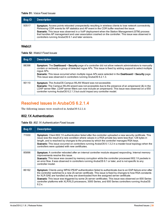#### **Table 51:** Voice Fixed Issues

| <b>Bug ID</b> | <b>Description</b>                                                                                                                                                                                                                                                                                                                                                                                                                                                        |
|---------------|---------------------------------------------------------------------------------------------------------------------------------------------------------------------------------------------------------------------------------------------------------------------------------------------------------------------------------------------------------------------------------------------------------------------------------------------------------------------------|
| 93517         | Symptom: Access points rebooted unexpectedly resulting in wireless clients to lose network connectivity.<br>Releasing CDR events for AP statistics and AP event in the CDR buffer resolved the issue.<br>Scenario: This issue was observed in a VoIP deployment when the Station Management (STM) process<br>that handles AP management and user association crashed on the controller. This issue was observed in<br>controllers running ArubaOS 6.1 and later versions. |

### WebUI

#### **Table 52:** WebUI Fixed Issues

| <b>Bug ID</b> | <b>Description</b>                                                                                                                                                                                                                                                                                                                                                                                                 |
|---------------|--------------------------------------------------------------------------------------------------------------------------------------------------------------------------------------------------------------------------------------------------------------------------------------------------------------------------------------------------------------------------------------------------------------------|
| 88398         | Symptom: The Dashboard > Security page of a controller did not allow network administrators to manually<br>contain or reclassify a group of detected rogue APs. This issue is fixed by adding support to select multiple<br>roque APs.<br>Scenario: This issue occurred when multiple rogue APs were selected in the Dashboard > Security page.<br>This issue was observed in controllers running ArubaOS 6.2.1.3. |
| 90110         | <b>Symptom:</b> The ArubaOS Campus WLAN Wizard was not accessible.<br>Scenario: The Campus WLAN wizard was not accessible due to the presence of an ampersand (&) in the<br>LDAP server filter. LDAP server filters can now include an ampersand. This issue was observed on a 650<br>controller running ArubaOS 6.2.1.3 but could impact any controller model.                                                    |

# Resolved Issues in ArubaOS 6.2.1.4

The following issues were resolved in ArubaOS 6.2.1.4:

## 802.1X Authentication

|  | Table 53: 802.1X Authentication Fixed Issues |
|--|----------------------------------------------|
|--|----------------------------------------------|

| <b>Bug ID</b> | <b>Description</b>                                                                                                                                                                                                                                                                                                                                                                                                                                                                                                                             |
|---------------|------------------------------------------------------------------------------------------------------------------------------------------------------------------------------------------------------------------------------------------------------------------------------------------------------------------------------------------------------------------------------------------------------------------------------------------------------------------------------------------------------------------------------------------------|
| 71930         | <b>Symptom:</b> Client 802.1X authentication failed after the controller uploaded a new security certificate. This<br>issue was the result of a rare condition where values in a RSA private key were less than 128 bytes in<br>length, and is resolved by changes to the process by which the controller manages RSA keys.<br>Scenario: This issue occurred on controllers running ArubaOS 6.1.3.2 in a master-local topology when the<br>controllers were updated with new certificates.                                                     |
| 85896         | Symptom: A controller rebooted after an internal controller module stopped responding. Internal memory<br>improvements resolve this issue.<br>Scenario: This issue was caused by memory corruption while the controller processed 802.1X packets in<br>an error flow. It was observed in controllers running ArubaOS 6.1 or later, and is not specific to any<br>controller model.                                                                                                                                                             |
| 86162         | Symptom: Clients using WPA2-PEAP authentication failed to authenticate due to an EAP-failure error after<br>the controller switched to a new 2k server certificate. This issue is fixed by changes to how RSA constants<br>for XLR-SAE are handled as they are downloaded from the assigned server certificate.<br>Scenario: This issue was triggered by some 2k server certificates. This issue was observed on 600 Series<br>controller platforms with XLR/XLS processors, 3000 Series, and 600 Series controllers running ArubaOS<br>6.2.x. |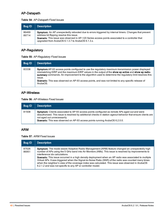### AP-Datapath

| <b>Bug ID</b>  | <b>Description</b>                                                                                                                                                                                                                                                                                         |
|----------------|------------------------------------------------------------------------------------------------------------------------------------------------------------------------------------------------------------------------------------------------------------------------------------------------------------|
| 86469<br>89714 | Symptom: An AP unexpectedly rebooted due to errors triggered by internal timers. Changes that prevent<br>address bit flipping resolve this issue.<br>Scenario: This issue was observed in AP-120 Series access points associated to a controller that<br>upgraded from ArubaOS 6.1.3.7 to ArubaOS 6.1.3.x. |

# AP-Regulatory

**Table 55:** AP-Regulatory Fixed Issues

| <b>Bug ID</b> | <b>Description</b>                                                                                                                                                                                                                                                                                                                                                                                                                                     |
|---------------|--------------------------------------------------------------------------------------------------------------------------------------------------------------------------------------------------------------------------------------------------------------------------------------------------------------------------------------------------------------------------------------------------------------------------------------------------------|
| 83338         | <b>Symptom:</b> AP-93 access points configured to use the regulatory maximum transmission power displayed<br>mismatching EIRP and the maximum EIRP values in the output of the show ap active and show ap radio-<br>summary commands. An improvement to the algorithm used to determine the regulatory limit resolves this<br>ISSUE.<br>Scenario: This was observed on AP-93 access points, and was not limited to any specific release of<br>ArubaOS. |

### AP-Wireless

**Table 56:** AP-Wireless Fixed Issues

| <b>Bug ID</b> | <b>Description</b>                                                                                                                                                                                                                                                                                                                        |
|---------------|-------------------------------------------------------------------------------------------------------------------------------------------------------------------------------------------------------------------------------------------------------------------------------------------------------------------------------------------|
| 81508         | <b>Symptom:</b> Clients associated to AP-93 access points configured as remote APs aged out and were<br>deauthorized. This issue is resolved by additional checks in station ageout behavior that ensure clients are<br>not aged out unnecessarily.<br><b>Scenario:</b> This was observed on AP-93 access points running ArubaOS 6.2.0.0. |

## ARM

**Table 57:** ARM Fixed Issues

| Bug ID         | <b>Description</b>                                                                                                                                                                                                                                                                                                                                                                                                                                                                                                                                                                                                              |
|----------------|---------------------------------------------------------------------------------------------------------------------------------------------------------------------------------------------------------------------------------------------------------------------------------------------------------------------------------------------------------------------------------------------------------------------------------------------------------------------------------------------------------------------------------------------------------------------------------------------------------------------------------|
| 87026<br>86951 | Symptom: The mode-aware Adaptive Radio Management (ARM) feature changed an unexpectedly high<br>number of APs using the 5 GHz band into Air Monitors (AMs). This issue is resolved by improvements to<br>interference idx calculations.<br>Scenario: This issue occurred in a high density deployment when an AP radio was associated to multiple<br>Virtual APs. It was triggered when the Signal-to-Noise Ratio (SNR) of the radio was counted many times<br>when the neighbor's view of the coverage index was calculated. This issue was observed in ArubaOS<br>6.2.1.2 and was not specific to any AP or controller model. |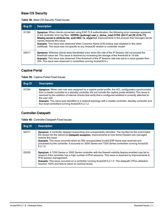## Base OS Security

|  | Table 58: Base OS Security Fixed Issues |  |
|--|-----------------------------------------|--|
|--|-----------------------------------------|--|

| <b>Bug ID</b> | <b>Description</b>                                                                                                                                                                                                                                                                                                                                                                                                                                                                                                                                   |
|---------------|------------------------------------------------------------------------------------------------------------------------------------------------------------------------------------------------------------------------------------------------------------------------------------------------------------------------------------------------------------------------------------------------------------------------------------------------------------------------------------------------------------------------------------------------------|
| 81390         | Symptom: When clients connected using EAP-TLS authentication, the following error message appeared<br>in the controller error log files: <errs>  authmgr  user.c, derive_role2:5759: {04:f7:e4:26:c3:fb-??}<br/>Missing server in attribute list, auth=802.1x, utype=L2. Improvements in the process that manages server<br/>names resolves this issue.<br/>Scenario: This issue was observed when Common Name (CN) lookup was disabled in the client<br/>certificate. The issue was not specific to any ArubaOS version or controller model.</errs> |
| 92817         | Symptom: Wireless clients were blacklisted even when the rate of the IP Session did not exceed the<br>threshold value set. This issue is resolved by increasing the storage of the threshold to 16 bits.<br>Scenario: This issue was observed if the threshold of the IP Session rate was set to a value greater than<br>255. This issue was observed in controllers running ArubaOS 6.x.                                                                                                                                                            |

### Captive Portal

**Table 59:** Captive Portal Fixed Issues

| <b>Bug ID</b> | <b>Description</b>                                                                                                                                                                                                                                                                                                                                                                                                                                                                                                      |
|---------------|-------------------------------------------------------------------------------------------------------------------------------------------------------------------------------------------------------------------------------------------------------------------------------------------------------------------------------------------------------------------------------------------------------------------------------------------------------------------------------------------------------------------------|
| 87294         | Symptom: When user role was assigned by a captive portal profile, the ACL configuration synchronized<br>from a master controller to a standby controller did not include the captive portal whitelist. This issue is<br>resolved by the addition of internal checks that verify that a configured whitelist is correctly attached to<br>the user role.<br>Scenario: This issue was identified in a network topology with a master controller, standby controller and<br>four local controllers running ArubaOS 6.2.1.2. |

# Controller-Datapath

| <b>Bug ID</b> | <b>Description</b>                                                                                                                                                                                                                                                                                                                                                                                                                                        |
|---------------|-----------------------------------------------------------------------------------------------------------------------------------------------------------------------------------------------------------------------------------------------------------------------------------------------------------------------------------------------------------------------------------------------------------------------------------------------------------|
| 84071         | Symptom: A controller stopped responding and unexpectedly rebooted. The log files for the event listed<br>the reason for the reboot as Datapath exception. Improvements to how frame headers are managed<br>resolve this issue.<br><b>Scenario:</b> This issue occurred when an SSL-encapsulated invalid ESP frame was received and<br>processed by the controller. It occurred on 3000 Series and 7200 Series controllers running ArubaOS<br>$6.2.1.0$ . |
| 83029         | Symptom: A 7200 Series or 3000 Series controller with the firewall-visibility feature enabled may fail to<br>respond if the controller has a high number of IPv6 sessions. This issue is resolved by improvements to<br>IPv6 session management.<br>Scenario: This issue occurred on a controller running ArubaOS 6.2.1.0. The datapath CPUs utilization<br>reaches 100% and fails to return to nominal levels.                                           |

**Table 60:** Controller-Datapath Fixed Issues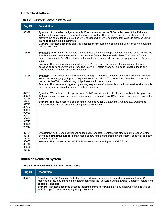## Controller-Platform

|  | <b>Table 61: Controller-Platform Fixed Issues</b> |  |
|--|---------------------------------------------------|--|
|--|---------------------------------------------------|--|

| <b>Bug ID</b>                                                                                                     | <b>Description</b>                                                                                                                                                                                                                                                                                                                                                                                                                                                                                                                                                                      |
|-------------------------------------------------------------------------------------------------------------------|-----------------------------------------------------------------------------------------------------------------------------------------------------------------------------------------------------------------------------------------------------------------------------------------------------------------------------------------------------------------------------------------------------------------------------------------------------------------------------------------------------------------------------------------------------------------------------------------|
| 85398                                                                                                             | Symptom: A controller configured as a DNS server responded to DNS queries, even if the IP domain<br>lookup and captive portal redirect features were disabled. This issue is resolved by a change that<br>prevents the controller from providing DNS services when DNS hostname translation is disabled using<br>the no ip domain lookup command.<br>Scenario: This issue occurred on a 3400 controller configured to operate as a DNS server while running<br>ArubaOS 6.1.3.6.                                                                                                         |
| 85685                                                                                                             | Symptom: An M3 controller module running ArubaOS 6.1.3.8 stopped responding and rebooted. The log<br>files for the event listed the reason for the crash as fpapps: Segmentation fault. The internal fpapps<br>process handles the VLAN interfaces on the controller. Changes to the internal fpapps process fix the<br>issue.<br>Scenario: This issue was observed when the VLAN interface on the controller constantly changed<br>between an UP and DOWN state, resulting in a VRRP status change. This issue is not limited to any<br>specific controller model or software version. |
| 86266                                                                                                             | Symptom: In rare cases, issuing commands through a telnet shell caused an internal controller process<br>to stop responding, triggering an unexpected controller reboot. This issue is resolved by changes that<br>prevent ArubaOS from referencing null pointers within the software.<br>Scenario: This issue was triggered by varying sequences of commands issued via the telnet shell, and is<br>not specific to any controller model or software version.                                                                                                                          |
| 87721<br>88368<br>89434<br>89441<br>89742<br>89924<br>90029<br>90059<br>90492<br>90634<br>91777<br>92675<br>94053 | Symptom: When the controller performs an SNMP walk on a voice client, an internal controller process<br>that manages client stations stopped responding. Changes to how SNMP entries are deleted resolve this<br>issue.<br>Scenario: This issue occurred on a controller running ArubaOS 6.3.x and ArubaOS 6.2.x, with voice<br>clients connected to the controller using a wired connection.                                                                                                                                                                                           |
| 87794<br>88311<br>88360<br>88683<br>88740<br>88505<br>88833                                                       | Symptom: A 7200 Series controller unexpectedly rebooted. Controller log files listed the reason for the<br>event as a datapath timeout. Improvements to how tunnels are created in the internal controller datapath<br>resolve this issue.<br>Scenario: This issue occurred in 7200 Series controllers running ArubaOS 6.2.1.x.                                                                                                                                                                                                                                                         |

# Intrusion Detection System

**Table 62:** Intrusion Detection System Fixed Issues

| Bug ID | <b>Description</b>                                                                                                                                                                                                                                                                                                                                                                                                   |
|--------|----------------------------------------------------------------------------------------------------------------------------------------------------------------------------------------------------------------------------------------------------------------------------------------------------------------------------------------------------------------------------------------------------------------------|
| 86681  | <b>Symptom:</b> The IDS (Intrusion Detection System) feature frequently triggered false alarms. ArubaOS<br>resolves this issue by changing the default setting for the IDS Large Duration Attack Detection feature from<br>enabled to disabled.<br>Scenario: This issue occurred because legitimate frames sent with a large duration were also treated as<br>an IDS Large Duration attack, triggering false alarms. |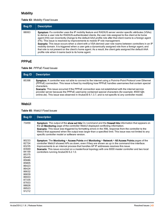### **Mobility**

#### **Table 63:** Mobility Fixed Issues

| <b>Bug ID</b> | <b>Description</b>                                                                                                                                                                                                                                                                                                                                                                                                                                                                                                                                                                                                                                                                                                                                                                                              |
|---------------|-----------------------------------------------------------------------------------------------------------------------------------------------------------------------------------------------------------------------------------------------------------------------------------------------------------------------------------------------------------------------------------------------------------------------------------------------------------------------------------------------------------------------------------------------------------------------------------------------------------------------------------------------------------------------------------------------------------------------------------------------------------------------------------------------------------------|
| 88063         | Symptom: If a controller uses the IP mobility feature and RADIUS server vendor specific attributes (VSAs)<br>to derive a user role for RADIUS-authenticated clients, the user role assigned to the client at its home<br>agent (HA) can incorrectly change to the default AAA profile role after that client roams to a foreign agent<br>(FA). This issue is resolved by improvements to mobile IP role management.<br>Scenario: This issue occurs when a client with a VSA-derived user role roams between controllers in an IP<br>mobility domain. It is triggered when a user gets a dynamically assigned role from a foreign agent, and<br>that role is not present on the client's home agent. As a result, the client gets assigned the default AAA<br>profile role when it roams back to its home agent. |

### PPPoE

#### **Table 64:** PPPoE Fixed Issues

| Bug ID | <b>Description</b>                                                                                                                                                                                                                                                                                                                                                                                                                                                                                                                                   |
|--------|------------------------------------------------------------------------------------------------------------------------------------------------------------------------------------------------------------------------------------------------------------------------------------------------------------------------------------------------------------------------------------------------------------------------------------------------------------------------------------------------------------------------------------------------------|
| 85398  | Symptom: A controller was not able to connect to the internet using a Point-to-Point Protocol over Ethernet<br>(PPPoE) connection. This issue is fixed by modifying how PPPoE handles usernames that contain special<br>characters.<br>Scenario: This issue occurred if the PPPoE connection was not established with the internet service<br>provider server because the PPPoE username contained special characters (for example: #0001@t-<br>online.de). This issue was observed in ArubaOS 6.1.3.7, and is not specific to any controller model. |

### WebUI

#### **Table 65:** WebUI Fixed Issues

| <b>Bug ID</b>                                                                                                                                                           | <b>Description</b>                                                                                                                                                                                                                                                                                                                                                                                                                                                  |
|-------------------------------------------------------------------------------------------------------------------------------------------------------------------------|---------------------------------------------------------------------------------------------------------------------------------------------------------------------------------------------------------------------------------------------------------------------------------------------------------------------------------------------------------------------------------------------------------------------------------------------------------------------|
| 73459                                                                                                                                                                   | Symptom: The output of the show acl hits CLI command and the firewall hits information that appears on<br>the UI Monitoring page of the controller WebUI displayed conflicting information.<br>Scenario: This issue was triggered by formatting errors in the XML response from the controller to the<br>WebUI that appeared when the output was larger than a specified limit. This issue was not limited to any<br>specific controller model or software version. |
| 80233<br>82724<br>83235<br>83949<br>84159<br>85375<br>85445<br>85686<br>85805<br>86423<br>86424<br>86632<br>86839<br>86933<br>87335<br>87933<br>88826<br>89523<br>91212 | Symptom: The Monitoring > Access Points and Monitoring > Network > All Access Points pages of the<br>controller WebUI showed APs as down, even if they are shown as up in the command-line interface.<br>Improvements to an internal process that handles AP IP addresses resolves this issue.<br>Scenario: This issue occurred on a master/local topology with one 6000 master controller and two local<br>controllers running ArubaOS 6.2.1.0.                    |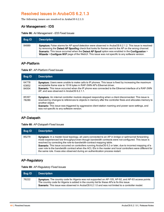# Resolved Issues in ArubaOS 6.2.1.3

The following issues are resolved in ArubaOS 6.2.1.3:

#### Air Management - IDS

**Table 66:** Air Management - IDS Fixed Issues

| Bug ID | <b>Description</b>                                                                                                                                                                                                                                                                                                                                                                                                         |
|--------|----------------------------------------------------------------------------------------------------------------------------------------------------------------------------------------------------------------------------------------------------------------------------------------------------------------------------------------------------------------------------------------------------------------------------|
| 84889  | <b>Symptom:</b> False alarms for AP spoof detection were observed in ArubaOS 6.2.1.2. This issue is resolved<br>by removing the Detect AP Spoofing check that looks for frames sent to the AP on the wrong channel.<br>Scenario: This issue occurred when the Detect AP Spoof option was enabled in the Configuration ><br>Wizards > Configure WIP page of the WebUI. This issue was not specific to any software version. |

#### AP-Platform

**Table 67:** AP-Platform Fixed Issues

| <b>Bug ID</b>           | <b>Description</b>                                                                                                                                                                                                                                                                                                                                                                       |
|-------------------------|------------------------------------------------------------------------------------------------------------------------------------------------------------------------------------------------------------------------------------------------------------------------------------------------------------------------------------------------------------------------------------------|
| 64778<br>63852<br>84004 | Symptom: Users were unable to make calls to IP phones. This issue is fixed by increasing the maximum<br>acceptable frame size to 1518 bytes in RAP-3WN AP's Ethernet driver.<br>Scenario: This issue occurred when the IP phone was connected to the Ethernet interface of a RAP-3WN<br>AP, and was observed in ArubaOS 6.2.1.1.                                                         |
| 85397<br>78289          | Symptom: An internal controller module stopped responding when a client disconnected. This issue is<br>resolved by changes to references to objects in memory after the controller frees and allocates memory to<br>another object.<br>Scenario: This issue was triggered by aggressive client station roaming and power save settings, and<br>was not specific to any software version. |

## AP-Datapath

**Table 68:** AP-Datapath Fixed Issues

| Bug ID | <b>Description</b>                                                                                                                                                                                                                                                                                                                                                                                                                                                                                                                                                                               |
|--------|--------------------------------------------------------------------------------------------------------------------------------------------------------------------------------------------------------------------------------------------------------------------------------------------------------------------------------------------------------------------------------------------------------------------------------------------------------------------------------------------------------------------------------------------------------------------------------------------------|
| 85279  | Symptom: In a master-local topology, all users connected to an AP in bridge or split-tunnel forwarding<br>mode experienced low throughput even though bandwidth contracts were not configured. This issue is<br>resolved by correcting the role-to-bandwidth-contract mapping table.<br>Scenario: This issue occurred on controllers running ArubaOS 6.2 or later, due to incorrect mapping of a<br>user role to the bandwidth contract when the ACL IDs in the master and local controllers were different for<br>the same role. It was also observed during an authentication process restart. |

### AP-Regulatory

|  |  | Table 69: AP-Regulatory Fixed Issues |  |  |
|--|--|--------------------------------------|--|--|
|--|--|--------------------------------------|--|--|

| <b>Bug ID</b> | <b>Description</b>                                                                                                                                                                                                                                                                                  |
|---------------|-----------------------------------------------------------------------------------------------------------------------------------------------------------------------------------------------------------------------------------------------------------------------------------------------------|
| 76222         | Symptom: The country code for Algeria was not supported on AP-105, AP-92, and AP-93 access points.<br>The country code for Algeria is added in the country list for these APs to fix this issue.<br>Scenario: This issue was observed in ArubaOS 6.2.1.0 and was not limited to a controller model. |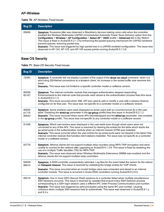### AP-Wireless

| <b>Table 70: AP-Wireless Fixed Issues</b> |
|-------------------------------------------|
|-------------------------------------------|

| <b>Bug ID</b> | <b>Description</b>                                                                                                                                                                                                                                                                                                                                                                                                                                                                                                                                                                                                                                           |
|---------------|--------------------------------------------------------------------------------------------------------------------------------------------------------------------------------------------------------------------------------------------------------------------------------------------------------------------------------------------------------------------------------------------------------------------------------------------------------------------------------------------------------------------------------------------------------------------------------------------------------------------------------------------------------------|
| 85806         | Symptom: Excessive jitter was observed in Blackberry devices making voice calls when the controller<br>enabled the Wireless Multimedia UAPSD (Unscheduled Automatic Power Save Delivery) option from the<br>Configuration > Wireless > AP Configuration > Select AP > SSID profile > Advanced tab in the WebUI.<br>This issue is fixed in ArubaOS 6.2.1.3 by enhancing the packet queuing mechanism for UAPSD hardware<br>transmit queues, reducing packet loss.<br>Scenario: This issue was triggered by high packet loss in a UAPSD-enabled configuration. This issue was<br>observed in AP-124, AP-125, and AP-105 access points running ArubaOS 6.1.3.6. |

# Base OS Security

|  | Table 71: Base OS Security Fixed Issues |  |  |  |
|--|-----------------------------------------|--|--|--|
|--|-----------------------------------------|--|--|--|

| <b>Bug ID</b>           | <b>Description</b>                                                                                                                                                                                                                                                                                                                                                                                                                                                                                                                                                      |
|-------------------------|-------------------------------------------------------------------------------------------------------------------------------------------------------------------------------------------------------------------------------------------------------------------------------------------------------------------------------------------------------------------------------------------------------------------------------------------------------------------------------------------------------------------------------------------------------------------------|
| 72093                   | Symptom: A controller did not display a portion of the output of the show run result command when it is<br>sent using SSH/telnet connections to a teraterm client. An increase in the socket buffer size resolves this<br>issue.<br>Scenario: This issue was not limited to a specific controller model or software version.                                                                                                                                                                                                                                            |
| 80006<br>85167          | Symptom: The internal controller module that manages authentication stopped responding.<br>Enhancements to the internal code that provide valid values to the authentication process fixes this issue<br>in ArubaOS 6.2.1.3.<br>Scenario: This issue occurred when XML API was used to add or modify a user with a session timeout<br>configured on for that user. The issue was not specific to a controller model or a software version.                                                                                                                              |
| 80805<br>81775<br>85642 | Symptom: Some wireless users were displayed as wired users with an incorrect tunnel ID in the user<br>table. Disabling the wired-ap parameter in the ap-group profile fixes this issue in ArubaOS 6.2.1.3.<br>Scenario: This issue occurred when some APs rebootstrapped and the wired-ap parameter was enabled<br>in the ap-group profile. This issue was not specific to any controller model or a software version.                                                                                                                                                  |
| 81458                   | Symptom: Wired user-entries were displayed in the user-table even though wired users were not<br>connected to any of the APs. This issue is resolved by clearing the entries for the table which tracks the<br>ap-wired ports in the authentication module when an internal module (STM) was restarted.<br>Scenario: This issue occurred when the user entries for ap-wired ports were not cleared in the table if the<br>internal controller module that handles client stations restarted. The issue was not specific to a controller<br>model or a software version. |
| 83776                   | Symptom: Atheros clients did not support multiple relay counters using WPA-TKIP encryption and were<br>unable to connect to the network after upgrading to ArubaOS 6.1.3.8. This issue is fixed by disabling the<br>use of a multiple Traffic Identifier (TID) for WPA-TKIP.<br>Scenario: This issue was observed when Wireless Multimedia Extensions (WMM) was enabled and the<br>atheros clients did not support multiple relay controllers.                                                                                                                          |
| 84628<br>86814          | Symptom: A 6000 controller unexpectedly rebooted. Log files for the event listed the reason for the reboot<br>as Datapath timeout. This issue is resolved by validating the bridge entries for VoIP clients.<br>Scenario: This issue occurred when an invalid bridge value was computed and stored in an internal<br>controller module. This issue is occurred in Aruba 6000 controllers running ArubaOS 6.2.0.0.                                                                                                                                                       |
| 85519                   | Symptom: One or more SSH (Secure Shell) sessions to a controller failed when multiple simultaneous<br>SSH sessions occurred. This issue is resolved by updates that ensure every SSH Daemon process<br>corresponding to a SSH login session uses a different IPC (Inter-Process Communication) port number.<br>Scenario: This issue was triggered by sshd processes using the same IPC port number, causing<br>collisions when multiple SSH sessions tried to authenticate. This issue was observed in ArubaOS 6.1.x<br>and 6.2.x.                                      |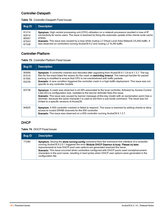## Controller-Datapath

| Table 72: Controller-Datapath Fixed Issues |  |
|--------------------------------------------|--|
|--------------------------------------------|--|

| <b>Bug ID</b> | <b>Description</b>                                                                                            |
|---------------|---------------------------------------------------------------------------------------------------------------|
| 81214         | <b>Symptom:</b> High central processing unit (CPU) utilization on a network processors resulted in loss of IP |
| 82914         | connectivity for some users. The issue is resolved by fixing the automatic update of the clients route cache  |
| 85597         | entries.                                                                                                      |
| 87043         | Scenario: This issue was caused by a loop while routing L2 Virtual Local Area Network (VLAN) traffic. It      |
| 87338         | was observed on controllers running ArubaOS 6.2 and routing L2 VLAN traffic.                                  |

# Controller-Platform

| <b>Table 73: Controller-Platform Fixed Issues</b> |  |
|---------------------------------------------------|--|
|---------------------------------------------------|--|

| <b>Bug ID</b>                    | <b>Description</b>                                                                                                                                                                                                                                                                                                                                                                                                                                                    |
|----------------------------------|-----------------------------------------------------------------------------------------------------------------------------------------------------------------------------------------------------------------------------------------------------------------------------------------------------------------------------------------------------------------------------------------------------------------------------------------------------------------------|
| 80956<br>81014<br>81555<br>83239 | <b>Symptom:</b> A controller crashed and rebooted after upgrading from ArubaOS 6.1.3.6 to 6.1.3.7. The log<br>files for the event listed the reason for the crash as watchdog timeout. The interrupt handler for packet<br>parsing is modified to ensure that CPU is not overwhelmed with traffic packets.<br><b>Scenario:</b> A race condition triggered the controller crash in a high-traffic deployment. This issue was not<br>specific to any controller models. |
| 83738                            | <b>Symptom:</b> A crash was observed in all APs associated to the local controller, followed by Access Control<br>Lists (ACLs) configuration loss. Updates to the banner delimiter fixes this issue.<br>Scenario: This issue was caused by banner message-of-the-day (motd) with an exclamation point (!) as a<br>delimiter, because the same character I is used to exit from a sub-mode command. The issue was not<br>limited to a specific versions of ArubaOS.    |
| 84825                            | <b>Symptom:</b> A 650 controller crashed or failed to respond. This issue is resolved by adding checks to deny<br>access to invalid DRAM channels for the 650 controller.<br>Scenario: This issue was observed on a 650 controller running ArubaOS 6.1.3.7.                                                                                                                                                                                                           |

## DHCP

#### **Table 74:** DHCP Fixed Issues

| Bug ID | <b>Description</b>                                                                                                                                                                                                                                                                                                                                                                                                                                                                                           |
|--------|--------------------------------------------------------------------------------------------------------------------------------------------------------------------------------------------------------------------------------------------------------------------------------------------------------------------------------------------------------------------------------------------------------------------------------------------------------------------------------------------------------------|
| 77280  | Symptom: Issuing the show running-config command from the command-line interface of a controller<br>running ArubaOS 6.2.0.1 triggered the error Module DHCP Daemon is busy. Please try later.<br>Improvements to how DHCP pool user options are generated resolved this issue.<br>Scenario: This issue occurred when controllers configured with DHCP pools used nonalphanumeric<br>characters in the pool name, resulting in bad syntax when DHCP user options were generated in the<br>configuration file. |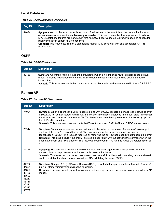#### Local Database

|  | Table 75: Local Database Fixed Issues |  |
|--|---------------------------------------|--|
|--|---------------------------------------|--|

| <b>Bug ID</b> | <b>Description</b>                                                                                                                                                                                                                                                                                                                                                                                                                                                                         |
|---------------|--------------------------------------------------------------------------------------------------------------------------------------------------------------------------------------------------------------------------------------------------------------------------------------------------------------------------------------------------------------------------------------------------------------------------------------------------------------------------------------------|
| 84494         | Symptom: A controller unexpectedly rebooted. The log files for the event listed the reason for the reboot<br>as Nanny rebooted machine - udbserver process died. This issue is resolved by improvements to how<br>MYSQL database failures are handled, in that ArubaOS better validates returned values and checks for<br>missing values in certain failure scenarios.<br>Scenario: This issue occurred on a standalone master 7210 controller with one associated AP-135<br>access point. |

## OSPF

**Table 76:** OSPF Fixed Issues

| <b>Bug ID</b> | <b>Description</b>                                                                                                                                                                                                                                                                                                                          |
|---------------|---------------------------------------------------------------------------------------------------------------------------------------------------------------------------------------------------------------------------------------------------------------------------------------------------------------------------------------------|
| 82730         | Symptom: A controller failed to add the default route when a neighboring router advertised the default<br>route. This issue is resolved by ensuring that the default route is not missed while adding the route<br>information.<br>Scenario: This issue was not limited to a specific controller model and was observed in ArubaOS 6.2.1.0. |

# Remote AP

|  | <b>Table 77: Remote AP Fixed Issues</b> |  |
|--|-----------------------------------------|--|
|--|-----------------------------------------|--|

| <b>Bug ID</b>                                                                          | <b>Description</b>                                                                                                                                                                                                                                                                                                                                                                                                                                                                                                                                      |
|----------------------------------------------------------------------------------------|---------------------------------------------------------------------------------------------------------------------------------------------------------------------------------------------------------------------------------------------------------------------------------------------------------------------------------------------------------------------------------------------------------------------------------------------------------------------------------------------------------------------------------------------------------|
| 74024                                                                                  | Symptom: When a client send DHCP packets along with 802.1X packets, an IP address is returned even<br>if 802.1X is not authenticated. As a result, the slot port information displayed in the user table is incorrect<br>for wired users connected to a remote AP. This issue is resolved by improvements that correctly update<br>the slot/port information.<br>Scenario: This issue was observed in ArubaOS controllers, and RAP-3WN, and RAP-5 access points.                                                                                        |
| 78914                                                                                  | Symptom: Stale user entries are present in the controller when a user moves from one AP coverage to<br>another, if the new AP has a different VLAN configuration for the same Extended Service Set<br>Identification (ESSID). This issue is resolved by removing the split-tunnel mobility that triggered the error.<br>Scenario: This issue occurs if the first AP deletes the user entry without notifying the controller when the<br>user moves from one AP to another. This issue was observed in APs running ArubaOS versions prior to<br>6.2.1.3. |
| 81245                                                                                  | Symptom: The user table contained stale entries for users that aged out or disassociated from the<br>network. Internal improvements to the user table resolve this issue.<br>Scenario: This issue occurred when users associated to a AP in split-tunnel forwarding mode and used<br>captive portal authentication roam to multiple APs exhibiting the same ESSID.                                                                                                                                                                                      |
| 84752<br>84391<br>84893<br>85160<br>85629<br>86217<br>86339<br>86372<br>86375<br>86738 | Symptom: Campus APs (CAPs) and Remote (RAPs) rebooted after upgrading the software to ArubaOS<br>6.2.1.3. Memory improvements resolve this issue.<br>Scenario: This issue was triggered by to insufficient memory and was not specific to any controller or AP<br>model.                                                                                                                                                                                                                                                                                |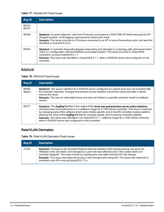#### **Table 77:** Remote AP Fixed Issues

| <b>Bug ID</b>  | <b>Description</b>                                                                                                                                                                                                                                                                                                                                                    |
|----------------|-----------------------------------------------------------------------------------------------------------------------------------------------------------------------------------------------------------------------------------------------------------------------------------------------------------------------------------------------------------------------|
| 86742<br>89701 |                                                                                                                                                                                                                                                                                                                                                                       |
| 85499          | Symptom: In some instances, calls from IP phones connected to a RAP-3WN AP failed because the AP<br>dropped packets. VLAN tagging improvements resolve this issue.<br>Scenario: This issue occurred on IP phones connected to an AP in tunnel forwarding mode, and was first<br>identified in ArubaOS 6.2.0.2.                                                        |
| 85053          | Symptom: A controller frequently stopped responding and rebooted in a topology with split-tunnel wired<br>users in a configuration with the RADIUS accounting enabled. This issue occurred in Aruba 6000<br>controllers running ArubaOS 6.2.1.1.<br>Scenario: This issue was identified in ArubaOS 6.2.1.1, when a RADIUS server was configured on the<br>controller. |

## RADIUS

#### **Table 78:** RADIUS Fixed Issues

| <b>Bug ID</b>  | <b>Description</b>                                                                                                                                                                                                                                                                                                                                                                                                                                                                                                                                                                                     |
|----------------|--------------------------------------------------------------------------------------------------------------------------------------------------------------------------------------------------------------------------------------------------------------------------------------------------------------------------------------------------------------------------------------------------------------------------------------------------------------------------------------------------------------------------------------------------------------------------------------------------------|
| 84060<br>85623 | Symptom: The source interface for a RADIUS server configured at a global level was not available after<br>the controller rebooted. Changes that prevent source interface values from being lost after a reboot<br>resolve this issue.<br><b>Scenario:</b> This was an intermittent issue and was not limited to a specific controller model or software<br>version.                                                                                                                                                                                                                                    |
| 85277          | Symptom: The AvgRspTm field in the output of the show aaa authentication-server radius statistics<br>command was incorrectly set to 0 in a software image for a 7200 Series controller. This issue is resolved<br>by changing parts of the software which were initially specific only to the M3 controller module platform,<br>allowing the value of the AvgRspTm field to correctly update, and increasing controller stability.<br>Scenario: This issue was identified in an ArubaOS 6.2.1.1 software image for a 7200 Series controller,<br>when a RADIUS server was configured on the controller. |

## Role/VLAN Derivation

**Table 79:** Role/VLAN Derivation Fixed Issues

| <b>Bug ID</b> | <b>Description</b>                                                                                                                                                                                                                                                                                                                                                                                                                                                |
|---------------|-------------------------------------------------------------------------------------------------------------------------------------------------------------------------------------------------------------------------------------------------------------------------------------------------------------------------------------------------------------------------------------------------------------------------------------------------------------------|
| 77242         | <b>Symptom:</b> Changes to the ArubaOS External Service Interface (ESI) Syslog parsing rule were not<br>reflected in the user table, and changes to a user role was reflected only in the system table and<br>controller datapath. This issue is fixed by updating the user table with the ESI role-change.<br>Scenario: This issue was observed during a role-change event using ESI. This issue was observed in<br>controllers and APs running ArubaOS 6.1.3.x. |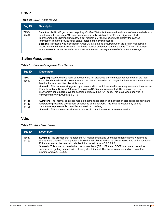#### SNMP

#### **Table 80:** SNMP Fixed Issues

| <b>Bug ID</b>  | <b>Description</b>                                                                                                                                                                                                                                                                                                                                                                                                                                                                                                                                                                                                                                                                                         |
|----------------|------------------------------------------------------------------------------------------------------------------------------------------------------------------------------------------------------------------------------------------------------------------------------------------------------------------------------------------------------------------------------------------------------------------------------------------------------------------------------------------------------------------------------------------------------------------------------------------------------------------------------------------------------------------------------------------------------------|
| 77584<br>81499 | Symptom: An SNMP get request to poll <i>sysExtCardStatus</i> for the operational status of any installed cards<br>could return the message "No such instance currently exists at this OID" and trigger an alert.<br>Improvements to SNMP polling allow a get request to <i>sysExtCardStatus</i> to display the cached<br>information from the previous poll status instead of an error message.<br>Scenario: This issue was identified in ArubaOS 6.1.2.5, and occurred when the SNMP request was<br>issued while the internal controller hardware monitor polled for hardware status. The SNMP request<br>would time out, but the controller would return the error message instead of a timeout message. |

# Station Management

|  |  | Table 81: Station Management Fixed Issues |  |
|--|--|-------------------------------------------|--|
|--|--|-------------------------------------------|--|

| <b>Bug ID</b>           | <b>Description</b>                                                                                                                                                                                                                                                                                                                                                                                                                                                                                                                                                                                                       |
|-------------------------|--------------------------------------------------------------------------------------------------------------------------------------------------------------------------------------------------------------------------------------------------------------------------------------------------------------------------------------------------------------------------------------------------------------------------------------------------------------------------------------------------------------------------------------------------------------------------------------------------------------------------|
| 83091<br>83547          | Symptom: Active APs of a local controller were not displayed on the master controller when the local<br>controller showed the APs were active on the master controller. A change that introduces a new action to<br>handle the race condition fixes this issue.<br><b>Scenario:</b> This issue was triggered by a race condition which resulted in creating session entries before<br>IPsec tunnel and Network Address Translation (NAT) rules were created. The session removal<br>mechanism could not remove the session entries without NAT flags. This issue was observed in<br>controllers running ArubaOS 6.2.1.0. |
| 84718<br>84719<br>84725 | Symptom: The internal controller module that manages station authentication stopped responding and<br>temporarily prevented clients from associating to the network. This issue is resolved by adding<br>validations to prevent this controller module from crashing.<br>Scenario: This issue was not limited to a specific controller model or release version.                                                                                                                                                                                                                                                         |

## Voice

**Table 82:** Voice Fixed Issues

| Bug ID         | <b>Description</b>                                                                                                                                                                                                                                                                                                                                                                                                                                                                                                         |
|----------------|----------------------------------------------------------------------------------------------------------------------------------------------------------------------------------------------------------------------------------------------------------------------------------------------------------------------------------------------------------------------------------------------------------------------------------------------------------------------------------------------------------------------------|
| 83517<br>84723 | Symptom: The process that handles the AP management and user association crashed when voice<br>clients were cleared. This impacted all the wireless clients and voice clients associated to the controller.<br>Enhancements to the internal code fixed this issue in ArubaOS 6.2.1.3.<br>Scenario: This issue occurred when the voice clients (SIP, H323, and SCCP) that were created as<br>servers were getting deleted twice at every client timeout. This issue was observed on controllers<br>running ArubaOS 6.2.1.1. |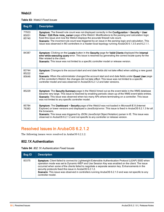#### **WebUI**

#### **Table 83:** WebUI Fixed Issues

| <b>Bug ID</b>           | <b>Description</b>                                                                                                                                                                                                                                                                                                                                                                                                                                                                                                            |
|-------------------------|-------------------------------------------------------------------------------------------------------------------------------------------------------------------------------------------------------------------------------------------------------------------------------------------------------------------------------------------------------------------------------------------------------------------------------------------------------------------------------------------------------------------------------|
| 77933<br>85051<br>85740 | Symptom: The firewall rule count was not displayed correctly in the Configuration > Security > User<br>Roles > Edit Role <role_name> page of the WebUI. Modifications to the parsing and calculation logic<br/>fixed this issue and now the WebUI displays the accurate firewall rule count.<br/>Scenario: The incorrect rule count was triggered by an issue in the parsing logic and calculation. This<br/>issue was observed in M3 controllers in a master-local topology running ArubaOS 6.1.3.5 and 6.2.1.1.</role_name> |
| 84387                   | Symptom: Clicking on the Locate button in the Security page for Valid Clients displayed the Internal<br>error while executing query error. This issue is resolved by generating the correct locate query for the<br>filter related to the client.<br>Scenario: This issue was not limited to a specific controller model or release version.                                                                                                                                                                                  |
| 83744<br>85222<br>85646 | Symptom: Changes to the account start and end date fields did not take effect when adding a new guest<br>user.<br>Scenario: When the administrator changed the account start and end date fields under Guest User page<br>of the controller's WebUI, the changes did not take effect. This issue was not limited to a specific<br>controller model and was observed in ArubaOS 6.2.1.2 and later versions.                                                                                                                    |
| 85229                   | Symptom: The Security Summary page in the WebUI timed out as the event table in the WMS database<br>became very large. This issue is resolved by enabling periodic clean-up of the WMS event table entries.<br>Scenario: This issue was observed when too many APs where terminating on a controller. This issue<br>was not limited to any specific controller model.                                                                                                                                                         |
| 85784<br>76383          | Symptom: The Dashboard > Security page of the WebUI was not loaded in Microsoft IE 8 (Internet<br>Explorer) or lower versions and displayed a JavaScript error. This issue is fixed in ArubaOS 6.2.1.3 for all<br>the browsers.<br>Scenario: This issue was triggered by JSON (JavaScript Object Notation) parser in IE. This issue was<br>observed in ArubaOS 6.2.1.2 and not specific to any controller or release version.                                                                                                 |

# Resolved Issues in ArubaOS 6.2.1.2

The following issues were resolved in ArubaOS 6.2.1.2:

### 802.1X Authentication

#### **Table 84:** 802.1X Authentication Fixed Issues

| <b>Bug ID</b> | <b>Description</b>                                                                                                                                                                                                                                                                                                                                                                                                                                                                                  |
|---------------|-----------------------------------------------------------------------------------------------------------------------------------------------------------------------------------------------------------------------------------------------------------------------------------------------------------------------------------------------------------------------------------------------------------------------------------------------------------------------------------------------------|
| 83375         | Symptom: Client failed to connect to Lightweight Extensible Authentication Protocol (LEAP) SSID when<br>operation mode was set to Dynamic-WEP and Use Session Key was enabled on the client. The issue<br>occurred when some of the clients failed to negotiate a separate session key. Enhancements in the<br>security protocols fixed this issue in ArubaOS 6.2.1.2.<br>Scenario: This issue was observed in controllers running ArubaOS 6.2.1.0 and was not specific to any<br>controller model. |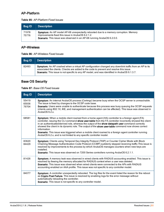### AP-Platform

**Table 85:** AP-Platform Fixed Issues

| Bug ID         | <b>Description</b>                                                                                                                                                                                                        |
|----------------|---------------------------------------------------------------------------------------------------------------------------------------------------------------------------------------------------------------------------|
| 71978<br>75776 | Symptom: An AP model AP-68 unexpectedly rebooted due to a memory corruption. Memory<br>improvements fixed this issue in ArubaOS 6.2.1.2.<br><b>Scenario:</b> This issue was observed in an AP-68 running ArubaOS 6.2.0.0. |

### AP-Wireless

**Table 86:** AP-Wireless Fixed Issues

| Bug ID | <b>Description</b>                                                                                                                                                                                                                                                                               |
|--------|--------------------------------------------------------------------------------------------------------------------------------------------------------------------------------------------------------------------------------------------------------------------------------------------------|
| 82493  | Symptom: An AP crashed when a virtual AP configuration changed any downlink traffic from an AP to its<br>associated the clients. Checks are added to the code to prevent and resolve this issue.<br>Scenario: This issue is not specific to any AP model, and was identified in ArubaOS 6.1.3.7. |

# Base OS Security

#### **Table 87:** Base OS Fixed Issues

| <b>Bug ID</b>           | <b>Description</b>                                                                                                                                                                                                                                                                                                                                                                                                                                                                                                                                                                                                  |
|-------------------------|---------------------------------------------------------------------------------------------------------------------------------------------------------------------------------------------------------------------------------------------------------------------------------------------------------------------------------------------------------------------------------------------------------------------------------------------------------------------------------------------------------------------------------------------------------------------------------------------------------------------|
| 55419<br>65936<br>79704 | Symptom: An internal ArubaOS process (Certmgr) became busy when the OCSP server is unreachable.<br>The issue is fixed by changes to the OCSP code base.<br>Scenario: Users were unable to authenticate because this process was busy queuing the OCSP requests<br>(clients using 802.1X, IKE, and management authentication can be affected). This issue was observed in<br>ArubaOS 6.2.x.                                                                                                                                                                                                                          |
| 68581                   | Symptom: When a mobile client roamed from a home agent (HA) controller to a foreign agent (FA)<br>controller, issuing the CLI command show user-table from the FA controller incorrectly showed the client<br>in an authenticated/derived role, whereas the output of the show datapath user command correctly<br>showed the client in its dynamic role. The output of the show user-table command now shows correct<br>information.<br>Scenario: This issue was triggered when a mobile client roamed to a foreign agent controller running<br>ArubaOS 6.2.x, and is not limited to any specific controller model. |
| 83620<br>84429          | Symptom: Clients using Temporal Key Integrity Protocol (TKIP) or Counter Cipher Mode with Block<br>Chaining Message Authentication Code Protocol (CCMP) suddenly stopped receiving traffic. This issue is<br>resolved by improvements to the process by which ArubaOS manages counters when new keys are<br>installed.<br><b>Scenario:</b> This issue was observed on 7200 Series controllers running ArubaOS 6.2.1.1.                                                                                                                                                                                              |
| 81426                   | Symptom: A memory leak was observed in wired clients with RADIUS accounting enabled. This issue is<br>resolved by freeing the memory allocated for RADIUS context when a user was deleted.<br>Scenario: This issue was observed when wired clients were connected to the APs with RADIUS<br>accounting enabled on AAA profile. This issue was not specific to any controller model.                                                                                                                                                                                                                                 |
| 84077                   | Symptom: A controller unexpectedly rebooted. The log files for the event listed the reason for the reboot<br>as Crypto Post Failure. This issue is resolved by enabling logs for the error message without<br>automatically reloading the controller.<br>Scenario: This issue is not specific to any controller model.                                                                                                                                                                                                                                                                                              |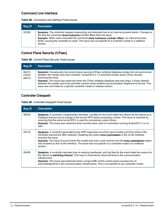## Command Line Interface

|  | Table 88: Command Line Interface Fixed Issues |  |  |
|--|-----------------------------------------------|--|--|
|--|-----------------------------------------------|--|--|

| <b>Bug ID</b> | <b>Description</b>                                                                                                                                                                                                                                                                                                                                                                                                |
|---------------|-------------------------------------------------------------------------------------------------------------------------------------------------------------------------------------------------------------------------------------------------------------------------------------------------------------------------------------------------------------------------------------------------------------------|
| 62292         | Symptom: The controller stopped responding and rebooted due to an internal process failure. Changes to<br>the way the command show hostname handles filters fixes the issue.<br>Scenario: When users executed the command show hostname   include <filter>, an internal process<br/>failed, causing the controller to crash. The issue was not specific to a controller model or a software<br/>version.</filter> |

# Control Plane Security (CPsec)

**Table 89:** Control Plane Security Fixed Issues

| <b>Bug ID</b>           | <b>Description</b>                                                                                                                                                                                                                                                                                                                                                                                                                                                                                                                 |
|-------------------------|------------------------------------------------------------------------------------------------------------------------------------------------------------------------------------------------------------------------------------------------------------------------------------------------------------------------------------------------------------------------------------------------------------------------------------------------------------------------------------------------------------------------------------|
| 66413<br>67875<br>68010 | Symptom: Occasionally, the control plane security (CPsec) whitelist database entries did not synchronize<br>between the master and local controller. ArubaOS 6.2.1.2 transmits smaller sized CPsec records.<br>resolving the issue.<br>Scenario: This issue was observed when the CPsec whitelist database size was large. A lossy network<br>between the master and local controller caused some whitelist synchronization fragments to be lost. This<br>issue was not limited to a specific controller model or release version. |

# Controller-Datapath

|  |  | Table 90: Controller-Datapath Fixed Issues |
|--|--|--------------------------------------------|
|--|--|--------------------------------------------|

| <b>Bug ID</b> | <b>Description</b>                                                                                                                                                                                                                                                                                                                                                                                                                                              |
|---------------|-----------------------------------------------------------------------------------------------------------------------------------------------------------------------------------------------------------------------------------------------------------------------------------------------------------------------------------------------------------------------------------------------------------------------------------------------------------------|
| 80625         | Symptom: A controller unexpectedly rebooted. Log files for the event listed the reason for the reboot as a<br>Datapath timeout due to change in the tunnel MTU while processing a frame. This issue is resolved by<br>ensuring that the same tunnel MTU is used for processing a given frame.<br><b>Scenario:</b> This issue was observed when tunnels were used on controllers running ArubaOS 6.1.3.x or<br>later.                                            |
| 83216         | Symptom: A controller generated proxy ARP responses out of the same trusted port from where it the<br>controller learned the MAC address. Disabling the option <b>bcmc-optimization</b> in the VLAN interface<br>resolves the issue.<br>Scenario: The issue occurred when the trusted port was a port channel and the bome-optimization option<br>was enabled on the VLAN interface. The issue was not specific to a controller model or a software<br>version. |
| 83409         | Symptom: A controller rebooted due to missing heartbeats, and log files for the event listed the reason for<br>the reboot as <b>watchdog timeout</b> . This issue is resolved by improvements to the communication<br>infrastructure.<br><b>Scenario:</b> This issue was observed when a huge traffic hit the control plane causing loss of<br>acknowledgments in the communication infrastructure. This is not specific to any controller model.               |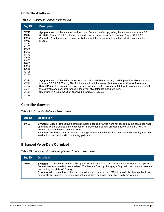## Controller-Platform

| <b>Bug ID</b>                                                                                                                                | <b>Description</b>                                                                                                                                                                                                                                                                                                                                                                                                                                                                  |
|----------------------------------------------------------------------------------------------------------------------------------------------|-------------------------------------------------------------------------------------------------------------------------------------------------------------------------------------------------------------------------------------------------------------------------------------------------------------------------------------------------------------------------------------------------------------------------------------------------------------------------------------|
| 79719<br>81014<br>81086<br>81087<br>81181<br>81207<br>81368<br>81393<br>81479<br>81669<br>81853<br>82085<br>82232<br>82645<br>82708<br>82835 | Symptom: A controller crashed and rebooted frequently after upgrading the software from ArubaOS<br>6.1.3.6 to ArubaOS 6.1.3.7. Improvements to packet processing fix this issue in ArubaOS 6.1.3.7.<br>Scenario: A high amount of control traffic triggered this issue, which is not specific to any controller<br>model                                                                                                                                                            |
| 80326<br>80780<br>81399<br>81462<br>82385<br>82775                                                                                           | Symptom: A controller failed to respond and rebooted without saving crash log tar files after upgrading<br>to ArubaOS 6.1.3.7. The log files for the event listed the reason for the reboot as Control Processor<br>Kernel Panic. This issue is resolved by improvements to the way internal datapath information is sent to<br>the control plane security process in the event of a datapath module failure.<br><b>Scenario:</b> This issue was first observed in ArubaOS 6.1.3.7. |

#### **Table 91:** Controller-Platform Fixed Issues

## Controller-Software

|  | <b>Table 92: Controller-Software Fixed Issues</b> |
|--|---------------------------------------------------|
|--|---------------------------------------------------|

| <b>Bug ID</b> | <b>Description</b>                                                                                                                                                                                                                                                                                                                                                                                               |
|---------------|------------------------------------------------------------------------------------------------------------------------------------------------------------------------------------------------------------------------------------------------------------------------------------------------------------------------------------------------------------------------------------------------------------------|
| 84622         | Symptom: Bridge Protocol Data Units (BPDUs) in tagged VLANs were not flooded by the controller when<br>spanning tree is disabled on the controller. Improvements to how process packets with a BDPU MAC<br>address are handled resolves this issue.<br>Scenario: This issue occurred when spanning tree was disabled on the controller and spanning tree was<br>enabled on the uplink switch on the tagged vlan. |

# Enhanced Voice-Data Optimized

| <b>Bug ID</b> | <b>Description</b>                                                                                                                                                                                                                                                                                                                                                                                                                                                      |
|---------------|-------------------------------------------------------------------------------------------------------------------------------------------------------------------------------------------------------------------------------------------------------------------------------------------------------------------------------------------------------------------------------------------------------------------------------------------------------------------------|
| 78034         | Symptom: A client connected to a 3G uplink port was unable to connect to the Internet when the option<br>firewall session-tunnel-fib was enabled. The issue is fixed by changing a flag set in the route cache entry<br>and adding the static ARP entry.<br>Scenario: When an uplink port on the controller was connected via 3G link, a NAT client was not able to<br>connect to the Internet. The issue was not specific to a controller model or a software version. |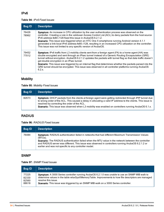#### IPv6

#### **Table 94:** IPv6 Fixed Issues

| Bug ID         | <b>Description</b>                                                                                                                                                                                                                                                                                                                                                                                                                                                                                                                                                                                      |
|----------------|---------------------------------------------------------------------------------------------------------------------------------------------------------------------------------------------------------------------------------------------------------------------------------------------------------------------------------------------------------------------------------------------------------------------------------------------------------------------------------------------------------------------------------------------------------------------------------------------------------|
| 76426<br>78962 | Symptom: An increase in CPU utilization by the user authentication process was observed on the<br>controller. Creating a rule in the validuser Access Control List (ACL) to deny packets from the host source<br>IPv6 address fe80::/128 fixed this issue in ArubaOS 6.2.1.2.<br><b>Scenario:</b> This issue was triggered when an HTC One X smartphone running Android version 4.1.1<br>generated a link-local IPv6 address fe80::/128, resulting in an increased CPU utilization on the controller.<br>This issue was not limited to any specific version of ArubaOS.                                 |
| 79452<br>77012 | Symptom: IPv6 traffic from L3 mobility clients sent from a foreign agent (FA) to a home agent (HA) was<br>double encrypted and sent through an IPsec tunnel instead of a Generic Routing Encapsulation (GRE)<br>tunnel without encryption. ArubaOS 6.2.1.2 updates the packets with tunnel flag so that data traffic doesn't<br>get double encryption in an IPsec tunnel.<br>Scenario: This issue was triggered by an internal flag that determines whether the packets parsed into the<br>GRE tunnel should be encrypted. This issue was observed in all controller platforms running ArubaOS<br>6.2 x |

# Mobility

**Table 95:** Mobility Fixed Issues

| <b>Bug ID</b> | <b>Description</b>                                                                                                                                                                                                                                                                                                                                                               |
|---------------|----------------------------------------------------------------------------------------------------------------------------------------------------------------------------------------------------------------------------------------------------------------------------------------------------------------------------------------------------------------------------------|
| 82673         | Symptom: DHCP packets from the clients at foreign agent were getting redirected through IPIP tunnel due<br>to wrong order of the ACL. This caused a delay in allocating a valid IP address to the clients. This issue is<br>resolved by correcting the order of the ACL.<br>Scenario: This issue was observed when L3 mobility was enabled on controllers running ArubaOS 6.1.x. |

## RADIUS

#### **Table 96:** RADIUS Fixed Issues

| Bug ID | <b>Description</b>                                                                                                                                                                                                                                                                                                                                                                |
|--------|-----------------------------------------------------------------------------------------------------------------------------------------------------------------------------------------------------------------------------------------------------------------------------------------------------------------------------------------------------------------------------------|
| 76484  | Symptom: RADIUS authentication failed in networks that had different Maximum Transmission Values<br>(MTUs).<br>Scenario: The RADIUS authentication failed when the MTU value in the network between the controller<br>and RADIUS server was different. This issue was observed in controllers running ArubaOS 6.2.1.2 or<br>earlier and was not specific to any controller model. |

### SNMP

#### **Table 97:** SNMP Fixed Issues

| <b>Bug ID</b> | <b>Description</b>                                                                                  |
|---------------|-----------------------------------------------------------------------------------------------------|
| 77225         | Symptom: A 3000 Series controller running ArubaOS 6.2.1.0 was unable to use an SNMP MIB walk to     |
| 82330         | determine values in the table wlsxSysXMemoryTable. Improvements to how file descriptors are managed |
| 82560         | resolve this issue.                                                                                 |
| 88618         | <b>Scenario:</b> This issue was triggered by an SNMP MIB walk on a 3000 Series controller.          |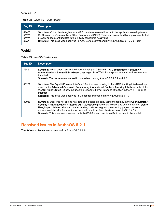### Voice SIP

#### **Table 98:** Voice SIP Fixed Issues

| <b>Bug ID</b> | <b>Description</b>                                                                                         |
|---------------|------------------------------------------------------------------------------------------------------------|
| 81487         | <b>Symptom:</b> Voice clients registered as SIP clients were overridden with the application-level gateway |
| 83707         | (ALG) value as Vocera or New Office Environment (NOE). This issue is resolved by improvements that         |
| 83757         | prevent subsequent updates to the initially configured ALG value.                                          |
| 84631         | Scenario: This issue was observed in 7200 Series controllers running ArubaOS 6.1.3.3 or later.             |

#### WebUI

**Table 99:** WebUI Fixed Issues

| <b>Bug ID</b> | <b>Description</b>                                                                                                                                                                                                                                                                                                                                                                                                                                                                                                 |
|---------------|--------------------------------------------------------------------------------------------------------------------------------------------------------------------------------------------------------------------------------------------------------------------------------------------------------------------------------------------------------------------------------------------------------------------------------------------------------------------------------------------------------------------|
| 76451         | Symptom: When guest users were imported using a .CSV file in the Configuration > Security ><br>Authentication > Internal DB > Guest User page of the WebUI, the sponsor's email address was not<br>imported.<br><b>Scenario:</b> The issue was observed in controllers running ArubaOS 6.1.3.4 and 6.2.x.                                                                                                                                                                                                          |
| 80269         | <b>Symptom:</b> The Gigabit Ethernet interface 10 option was missing in the VRRP tracking Interface drop-<br>down under Advanced Services > Redundancy > Add virtual Router > Tracking Interface table of the<br>WebUI. ArubaOS 6.2.1.2 now includes the Gigabit Ethernet interface 10 option in the VRRP tracking<br>Interface.<br><b>Scenario:</b> This issue was observed in M3 controller modules running ArubaOS 6.1.3.1.                                                                                     |
| 82959         | Symptom: User was not able to navigate to the fields properly using the tab key in the Configuration ><br>Security > Authentication > Internal DB > Guest User page of the WebUI and use the options: create<br>New, import, delete, print, and cancel. Adding code to the guest provisioning page to create an<br>appropriate tab index for new, import, and edit windows fixed this issue in ArubaOS 6.2.1.2.<br>Scenario: This issue was observed in ArubaOS 6.2.x and is not specific to any controller model. |

# Resolved Issues in ArubaOS 6.2.1.1

The following issues were resolved in ArubaOS 6.2.1.1: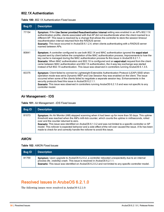#### 802.1X Authentication

|  | <b>Table 100:</b> 802.1X Authentication Fixed Issues |
|--|------------------------------------------------------|
|--|------------------------------------------------------|

| <b>Bug ID</b> | <b>Description</b>                                                                                                                                                                                                                                                                                                                                                                                                                                                                                                                                                                                                                 |
|---------------|------------------------------------------------------------------------------------------------------------------------------------------------------------------------------------------------------------------------------------------------------------------------------------------------------------------------------------------------------------------------------------------------------------------------------------------------------------------------------------------------------------------------------------------------------------------------------------------------------------------------------------|
| 77154         | Symptom: If the Use Server provided Reauthentication Interval setting was enabled in an AP's 802.11X<br>authentication profile, clients associated with that AP did not reauthenticate when the client roamed to a<br>different AP. This issue is resolved by a change that allows the controller to store the session timeout<br>reauthentication interval returned from the RADIUS server.<br><b>Scenario:</b> This issue occurred in ArubaOS 6.1.2.4, when clients authenticating with a RADIUS server<br>roamed between APs.                                                                                                   |
| 80841         | Symptom: A controller configured to use both 802.1X and MAC authentication ignored the eapol-start<br>request sent by client before the completion of the MAC authentication process, Improvements to how the<br>key cache is managed during the MAC authentication process fix this issue in ArubaOS 6.2.1.1.<br>Scenario: When MAC authentication and 802.1X is configured and an eapol-start request from the client<br>came between MAC authentication and 802.1X authentication, the 4-way key exchange was started<br>instead of full 802.1X authentication. This issue was observed in controllers running ArubaOS 6.1.3.5. |
| 83375         | Symptom: Client failed to connect to Lightweight Extensible Authentication Protocol (LEAP) SSID when<br>operation mode was set to Dynamic-WEP and Use Session Key was enabled on the client. The issue<br>occurred when some of the clients failed to negotiate a separate session key. Enhancements in the<br>security protocols fixed this issue in ArubaOS 6.2.1.1.<br><b>Scenario:</b> This issue was observed in controllers running ArubaOS 6.2.1.0 and was not specific to any<br>controller model.                                                                                                                         |

### Air Management - IDS

**Table 101:** Air Management - IDS Fixed Issues

| <b>Bug ID</b> | <b>Description</b>                                                                                                                                                                                                                                                                                                                                                                                                                                                                                                                                                  |
|---------------|---------------------------------------------------------------------------------------------------------------------------------------------------------------------------------------------------------------------------------------------------------------------------------------------------------------------------------------------------------------------------------------------------------------------------------------------------------------------------------------------------------------------------------------------------------------------|
| 81073         | Symptom: An Air Monitor (AM) stopped scanning when it had been up for more than 50 days. This uptime<br>threshold was reached when the AM's milli-tick counter, which counts the uptime in milliseconds, rolled<br>over and the counter returned to zero.<br>Scenario: This issue was identified on ArubaOS 6.1.3.2 and was not limited to a specific controller or AP<br>model. This rollover is expected behavior and a side effect of the roll over caused the issue. A fix has been<br>made to check for and correctly handle the rollover to avoid this issue. |

## AMON

**Table 102:** AMON Fixed Issues

| <b>Bug ID</b> | <b>Description</b>                                                                                                                                                                                                                                                                       |
|---------------|------------------------------------------------------------------------------------------------------------------------------------------------------------------------------------------------------------------------------------------------------------------------------------------|
| 81759         | Symptom: Upon upgrade to ArubaOS 6.2.0.2, a controller rebooted unexpectedly due to an internal<br>process (fw_visibility) crash. This issue is resolved in ArubaOS 6.2.1.1.<br>Scenario: This issue was identified on ArubaOS 6.2.0.2 and not limited to any specific controller model. |

# Resolved Issues in ArubaOS 6.2.1.0

The following issues were resolved in ArubaOS 6.2.1.0: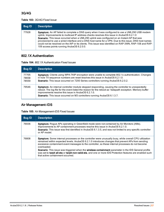## 3G/4G

#### **Table 103:** 3G/4G Fixed Issue

| <b>Bug ID</b> | <b>Description</b>                                                                                                                                                                                                                                                                                                                                                                                                                                                                                                                                            |
|---------------|---------------------------------------------------------------------------------------------------------------------------------------------------------------------------------------------------------------------------------------------------------------------------------------------------------------------------------------------------------------------------------------------------------------------------------------------------------------------------------------------------------------------------------------------------------------|
| 77928         | Symptom: An AP failed to complete a DNS query when it was configured to use a UML290 USB modem<br>uplink. Improvements to multicast IP address checks resolves this issue in ArubaOS 6.2.1.0<br>Scenario: This issue occurred when a UML290 uplink was configured on an Instant AP that was<br>provisioned to use a wired interface and a DNS host name for a VPN. Due to this issue, DNS host names<br>could not be resolved on the IAP or its clients. This issue was identified on RAP-3WN, RAP-108 and RAP-<br>109 access points running ArubaOS 6.2.0.0. |

## 802.1X Authentication

|  | <b>Table 104: 802.1X Authentication Fixed Issues</b> |
|--|------------------------------------------------------|
|--|------------------------------------------------------|

| <b>Bug ID</b>           | <b>Description</b>                                                                                                                                                                                                                                                                                                                                |
|-------------------------|---------------------------------------------------------------------------------------------------------------------------------------------------------------------------------------------------------------------------------------------------------------------------------------------------------------------------------------------------|
| 77705<br>78658<br>78559 | Symptom: Clients using WPA-TKIP encryption were unable to complete 802.1x authentication. Changes<br>in how TX sequence numbers are reset resolves this issue in ArubaOS 6.2.1.0.<br>Scenario: This issue occurred on 7200 Series controllers running ArubaOS 6.2.0.2.                                                                            |
| 79546                   | Symptom: An internal controller module stopped responding, causing the controller to unexpectedly<br>reboot. The log file for the event listed the reason for the reboot as "datapath exception. Memory buffer<br>improvements resolve this issue in ArubaOS 6.2.1.0.<br>Scenario: This issue occurred on M3 controllers running ArubaOS 6.1.3.7. |

# Air Management-IDS

| <b>Bug ID</b> | <b>Description</b>                                                                                                                                                                                                                                                                                                                                                                                                                                                                                                                                                                                 |
|---------------|----------------------------------------------------------------------------------------------------------------------------------------------------------------------------------------------------------------------------------------------------------------------------------------------------------------------------------------------------------------------------------------------------------------------------------------------------------------------------------------------------------------------------------------------------------------------------------------------------|
| 76936         | <b>Symptom:</b> Roque APs operating in Greenfield mode were not contained by Air Monitors (AMs).<br>Improvements to AP containment processes resolve this issue in ArubaOS 6.2.1.0.<br>Scenario: This issue was first identified in ArubaOS 6.1.3.5, and was not limited to any specific controller<br>or AP model.                                                                                                                                                                                                                                                                                |
| 76808         | <b>Symptom:</b> Some internal processes on the controller were unusually busy, while overall CPU utilization<br>remained within expected levels. ArubaOS 6.2.1.0 introduces changes that prevent APs from sending<br>excessive containment event messages to the controller, so these internal processes do not become<br>overloaded.<br>Scenario: This issue was triggered when the wireless containment parameter in the IDS General profile<br>was set to tarpit all-sta or tarpit-non-valid-sta, and one or more IDS Protection features are enabled such<br>that active containment occurred. |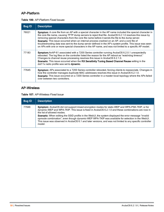## AP-Platform

#### **Table 106:** AP-Platform Fixed Issues

| <b>Bug ID</b> | <b>Description</b>                                                                                                                                                                                                                                                                                                                                                                                                                                                                                                                                                                                                                              |
|---------------|-------------------------------------------------------------------------------------------------------------------------------------------------------------------------------------------------------------------------------------------------------------------------------------------------------------------------------------------------------------------------------------------------------------------------------------------------------------------------------------------------------------------------------------------------------------------------------------------------------------------------------------------------|
| 76021         | Symptom: A core file from an AP with a special character in the AP name included the special character in<br>the core file name, causing TFTP dump servers to reject that file. ArubaOS 6.2.1.0 resolves this issue by<br>removing special characters from the core file name before it sends the file to the dump server.<br>Scenario: This issue occurred when an internal process crashed on an AP, and a core file of<br>troubleshooting data was sent to the dump server defined in the AP's system profile. This issue was seen<br>on APs with one or more special characters in the AP name, and was not limited to a specific AP model. |
| 77183         | Symptom: AnAP-61 associated with a 7200 Series controller running ArubaOS 6.2.0.1 unexpectedly<br>rebooted. The log files on the controller listed the reason for the AP reboot as "watchdog timeout."<br>Changes to channel reuse processing resolves this issue in ArubaOS 6.2.1.0.<br>Scenario: This issue occurred when the RX Sensitivity Tuning Based Channel Reuse setting in the<br>dot11x radio profile was set to <b>dynamic</b> .                                                                                                                                                                                                    |
| 77645         | <b>Symptom:</b> APs associated to a 7200 Series controller rebooted, forcing clients to reassociate. Changes in<br>how the controller manages duplicate MAC addresses resolves this issue in ArubaOS 6.2.1.0.<br>Scenario: This issue occurred on a 7200 Series controller in a master-local topology where the APs failed<br>over between two controllers.                                                                                                                                                                                                                                                                                     |

## AP-Wireless

**Table 107:** AP-Wireless Fixed Issue

| <b>Bug ID</b> | <b>Description</b>                                                                                                                                                                                                                                                                                                                                                                                                                                                                                                                                                      |
|---------------|-------------------------------------------------------------------------------------------------------------------------------------------------------------------------------------------------------------------------------------------------------------------------------------------------------------------------------------------------------------------------------------------------------------------------------------------------------------------------------------------------------------------------------------------------------------------------|
| 77946         | Symptom: ArubaOS did not support mixed encryption modes for static-WEP and WPA-PSK-TKIP, or for<br>dynamic-WEP and WPA-TKIP. This issue is fixed in ArubaOS 6.2.1.0 and these combinations are now in<br>the list of allowed modes.<br>Scenario: When editing the SSID profile in the WebUI, the system displayed the error message "invalid"<br>opmode combination", even though dynamic-WEP WPA-TKIP was available for selection in the WebUI.<br>This issue was observed in ArubaOS 6.1 and later versions, and was not limited to any specific controller<br>model. |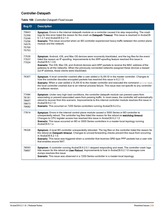## Controller-Datapath

|  | Table 108: Controller-Datapath Fixed Issues |
|--|---------------------------------------------|
|--|---------------------------------------------|

| <b>Bug ID</b>                                               | <b>Description</b>                                                                                                                                                                                                                                                                                                                                                                                                                                                                              |
|-------------------------------------------------------------|-------------------------------------------------------------------------------------------------------------------------------------------------------------------------------------------------------------------------------------------------------------------------------------------------------------------------------------------------------------------------------------------------------------------------------------------------------------------------------------------------|
| 75843<br>72359<br>73246<br>73256<br>74575<br>75700<br>75753 | Symptom: Errors in the internal datapath module on a controller caused it to stop responding. The crash<br>logs for this error listed the reason for the crash as Datapath Timeout. This issue is resolved in ArubaOS<br>6.1.3.7 and ArubaOS 6.2.1.0.<br>Scenario: This issue occurred when an M3 controller experienced heavy traffic between the control plane<br>module and the network.                                                                                                     |
| 77535<br>77537<br>77024                                     | Symptom: Android, iOS, and Mac OS devices were incorrectly blacklisted, and the log files for the event<br>listed the reason as IP spoofing. Improvements to the ARP-spoofing feature resolved this issue in<br>ArubaOS 6.1.3.6.<br>Scenario: The iOS, Mac OS, and Android devices sent ARP packets to receive the MAC address of the<br>gateway to all the networks. When the previously connected networks assigned these devices a leased<br>out IP address, these clients were blacklisted. |
| 76307                                                       | Symptom: A local controller crashed after a user added a VLAN ID in the master controller. Changes to<br>how the controller decodes encrypted packets has resolved this issue in 6.2.1.0.<br>Scenario: When a user added a VLAN ID to the master controller and executed the command write-mem,<br>the local controller crashed due to an internal process failure. This issue was not specific to any controller<br>or software version.                                                       |
| 77484<br>78181<br>78667<br>78873<br>79682                   | Symptom: Under very high load conditions, the controller datapath module can prevent users from<br>associating or prevent associated users from passing traffic. In most cases, the controller will automatically<br>reboot to recover from this scenario. Improvements to this internal controller module resolves this issue in<br>ArubaOS 6.2.1.0.<br>Scenario: This occurred on 7200 Series controllers running ArubaOS 6.2.0.x.                                                            |
| 77814                                                       | Symptom: Errors in the internal control plane module caused a 3000 Series or M3 controller to<br>unexpectedly reboot. The controller log files listed the reason for the reboot as watchdog timeout.<br>Changes to CPU register access has resolved this issue in ArubaOS 6.2.1.0<br>Scenario: This issue occurred on M3 or 3000 Series controllers in a master-local topology running<br>ArubaOS 6.1.x.                                                                                        |
| 78326                                                       | Symptom: A local M3 controller unexpectedly rebooted. The log files on the controller listed the reason for<br>the reboot as Datapath timeout. Changes to unicast forwarding checks prevent this issue from occurring<br>in ArubaOS 6.2.1.0.<br>Scenario: This issue was triggered when a controller that receives GRE-type PPP packets has a user role<br>that enables source NAT.                                                                                                             |
| 78593<br>79897                                              | Symptom: A controller running ArubaOS 6.2.0.1 stopped responding and reset. The controller crash logs<br>lists reason for the reboot as User Reboot. Improvements to how in ArubaOS 6.2.1.0 manages core<br>dumps resolves this issue.<br>Scenario: This issue was observed in a 7200 Series controller in a master-local topology.                                                                                                                                                             |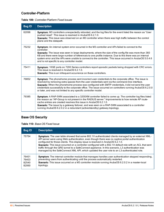## Controller-Platform

| <b>Table 109: Controller-Platform Fixed Issues</b> |  |  |
|----------------------------------------------------|--|--|
|----------------------------------------------------|--|--|

| <b>Bug ID</b> | <b>Description</b>                                                                                                                                                                                                                                                                                                                                                                                                                                                                                |
|---------------|---------------------------------------------------------------------------------------------------------------------------------------------------------------------------------------------------------------------------------------------------------------------------------------------------------------------------------------------------------------------------------------------------------------------------------------------------------------------------------------------------|
| 62096         | Symptom: M3 controllers unexpectedly rebooted, and the log files for the event listed the reason as "User<br>pushed reset". This issue is resolved in ArubaOS 6.2.1.0.<br>Scenario: This issue was observed on an M3 controller when there was high traffic between the control<br>plane and the datapath.                                                                                                                                                                                        |
| 75232         | Symptom: An internal system error occurred in the M3 controller and APs failed to connect to the<br>controller.<br>Scenario: The issue was seen in large deployments, where the size of the config file was more than 360<br>KB and there were large number of references to one profile instance. Due to this there was an internal<br>system error and the APs were unable to connect to the controller. This issue occurred in ArubaOS 5.0.4.6<br>and is not specific to any controller model. |
| 75411         | Symptom: 10GE ports on 7200 Series controllers report sporadic packets being dropped with CRC errors.<br>This issue is resolved in ArubaOS 6.2.1.0.<br>Scenario: This is an infrequent occurrence on these controllers.                                                                                                                                                                                                                                                                           |
| 76852         | Symptom: The phonehome process sent incorrect user credentials to the corporate office. The issue is<br>resolved by removing extra spaces from the user credentials sent via the command-line interface.<br>Scenario: When the phonehome process was configured with SMTP credentials, it did not send the user<br>credentials successfully to the corporate office. The issue occurred on controllers running ArubaOS 6.2.0.0<br>or later, and was not limited to any specific controller model. |
| 79385         | Symptom: A RAP-5WN associated to a 3200XM controller failed to come up. The controller log files listed<br>the reason as "AP-Group is not present in the RADIUS server." Improvements to how remote AP route-<br>cache entries are created resolves this issue in ArubaOS 6.2.1.0.<br>Scenario: The issue by a gateway failover, and was seen on a RAP-5WN associated to a controller<br>running ArubaOS 6.2.0.2 in a redundant (active/standby) gateway topology.                                |

# Base OS Security

**Table 110:** Base OS Fixed Issue

| <b>Bug ID</b>                    | <b>Description</b>                                                                                                                                                                                                                                                                                                                                                                                                                                                                                                                                                                                           |
|----------------------------------|--------------------------------------------------------------------------------------------------------------------------------------------------------------------------------------------------------------------------------------------------------------------------------------------------------------------------------------------------------------------------------------------------------------------------------------------------------------------------------------------------------------------------------------------------------------------------------------------------------------|
| 75754                            | Symptom: The user table showed that some 802.1X authenticated clients managed by an external XML-<br>API server were using Web authentication, even though there was no captive portal authentication<br>configured for those clients. This display issue is resolved in ArubaOS 6.2.1.0.<br>Scenario: This issue occurred on a controller configured with a 802.1X default role with an ACL that sent<br>traffic through the GRE tunnel to a SafeConnect appliance. In this scenario, L3 authentication was<br>managed by the SafeConnect XML API, which updated the user role to an L3-authenticated role. |
| 76401<br>76403<br>82540<br>82060 | Symptom: The internal controller module that manages handles user authentication stopped responding,<br>preventing users from authenticating until the process automatically restarted.<br>Scenario: This issue occurred on a M3 controller module running ArubaOS 6.2.0.2 in a master-local<br>topology.                                                                                                                                                                                                                                                                                                    |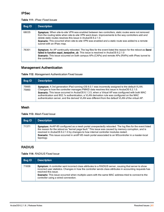#### IPSec

#### **Table 111:** IPsec Fixed Issues

| <b>Bug ID</b> | <b>Description</b>                                                                                                                                                                                                                                                                                                                                                                                                         |
|---------------|----------------------------------------------------------------------------------------------------------------------------------------------------------------------------------------------------------------------------------------------------------------------------------------------------------------------------------------------------------------------------------------------------------------------------|
| 68035         | <b>Symptom:</b> When site-to-site VPN was enabled between two controllers, static routes were not removed<br>from the routing table when site-to-site VPN went down. Improvements to the way controllers add and<br>delete static routes resolves this issue in ArubaOS 6.2.1.0.<br><b>Scenario:</b> This occurred when site-to-site VPN was enabled and a static route was added to a remote<br>subnet with an IPsec map. |
| 76301         | <b>Symptom:</b> An AP continually rebooted. The log files for the event listed the reason for the reboot as <b>Send</b><br>failed in function sapd_keepalive_cb. This issue is resolved in ArubaOS 6.2.1.0<br>Scenario: This issue occurred on both campus APs (CAPs) and remote APs (RAPs) with IPsec tunnel to<br>the controller.                                                                                        |

## Management Authentication

#### **Table 112:** Management Authentication Fixed Issues

| <b>Bug ID</b>  | <b>Description</b>                                                                                                                                                                                                                                                                                                                                                                                                                                                                                        |
|----------------|-----------------------------------------------------------------------------------------------------------------------------------------------------------------------------------------------------------------------------------------------------------------------------------------------------------------------------------------------------------------------------------------------------------------------------------------------------------------------------------------------------------|
| 75665<br>75860 | Symptom: A 3rd generation iPad running iOS 6.0.1 was incorrectly assigned to the default VLAN.<br>Changes to how the controller manages PMKID data resolves this issue in ArubaOS 6.2.1.0.<br><b>Scenario:</b> This issue occurred in ArubaOS 6.1.3.5, when a Virtual AP was configured with both MAC<br>authentication and 802.1x authentication, a VLAN derivation rule was configured on the MAC<br>authentication server, and the derived VLAN was different from the default VLAN of the virtual AP. |

#### Mesh

|  |  | <b>Table 113: Mesh Fixed Issue</b> |  |  |
|--|--|------------------------------------|--|--|
|--|--|------------------------------------|--|--|

| Bug ID | <b>Description</b>                                                                                                                                                                                                                                                                                                                                                                                                        |
|--------|---------------------------------------------------------------------------------------------------------------------------------------------------------------------------------------------------------------------------------------------------------------------------------------------------------------------------------------------------------------------------------------------------------------------------|
| 71371  | Symptom: AnAP-85 configured as a mesh portal unexpectedly rebooted. The log files for the event listed<br>the reason for the reboot as "kernel page fault." This issue was caused by memory corruption, and is<br>resolved in ArubaOS 6.2.1.0 by changes to how internal controller modules restart.<br>Scenario: This issue occurred in anAP-85 mesh portal associated to an M3controller in a master-local<br>topology. |

### RADIUS

#### **Table 114:** RADIUS Fixed Issue

| Bug ID | <b>Description</b>                                                                                                                                                                                                                                                                                                                                                                                |
|--------|---------------------------------------------------------------------------------------------------------------------------------------------------------------------------------------------------------------------------------------------------------------------------------------------------------------------------------------------------------------------------------------------------|
| 71836  | <b>Symptom:</b> A controller sent incorrect class attributes to a RADIUS server, causing that server to show<br>incorrect user statistics. Changes in how the controller sends class attributes in accounting requests has<br>resolved this issue.<br>Scenario: This issue occurred when multiple users with the same MAC address tried to connect to the<br>controller using a wired connection. |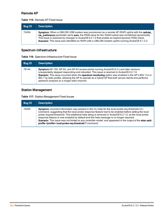## Remote AP

#### **Table 115:** Remote AP Fixed Issue

| <b>Bug ID</b> | <b>Description</b>                                                                                                                                                                                                                                                                                                                                                                                             |
|---------------|----------------------------------------------------------------------------------------------------------------------------------------------------------------------------------------------------------------------------------------------------------------------------------------------------------------------------------------------------------------------------------------------------------------|
| 72454         | Symptom: When a UML290 USB modem was provisioned as a remote AP (RAP) uplink with the cellular<br>nw_preference parameter set to auto, the RSSI value for the 3G/4G uplink was not fetched dynamically.<br>This issue is resolved by changes in ArubaOS 6.2.1.0 that enable an explicit dynamic RSSI check.<br>Scenario: This issue was identified on RAPs with a UML290 modem uplink running ArubaOS 6.1.3.3. |

# Spectrum-Infrastructure

| Table 116: Spectrum-Infrastructure Fixed Issue |
|------------------------------------------------|
|------------------------------------------------|

| <b>Bug ID</b> | <b>Description</b>                                                                                                                                                                                                                                                                                                                                                                                                                                            |
|---------------|---------------------------------------------------------------------------------------------------------------------------------------------------------------------------------------------------------------------------------------------------------------------------------------------------------------------------------------------------------------------------------------------------------------------------------------------------------------|
| 79144         | <b>Symptom:</b> AP-105, AP-92, and AP-93 access points running ArubaOS 6.2.x and later versions<br>unexpectedly stopped responding and rebooted. This issue is resolved in ArubaOS 6.2.1.0.<br>Scenario: This issue occurred when the spectrum monitoring option was enabled in the AP's 802.11a or<br>802.11g radio profile, allowing the AP to operate as a hybrid AP that both serves clients and performs<br>spectrum analysis on a single radio channel. |

# Station Management

|  |  |  | Table 117: Station Management Fixed Issues |
|--|--|--|--------------------------------------------|
|--|--|--|--------------------------------------------|

| Bug ID | <b>Description</b>                                                                                                                                                                                                                                                                                                                                                                                                                                                                                                                                                                                     |
|--------|--------------------------------------------------------------------------------------------------------------------------------------------------------------------------------------------------------------------------------------------------------------------------------------------------------------------------------------------------------------------------------------------------------------------------------------------------------------------------------------------------------------------------------------------------------------------------------------------------------|
| 74455  | <b>Symptom:</b> Incorrect information was present in the CLI help for the local-probe-req-threshold CLI<br>command, suggesting that the local probe response feature had to be enabled before setting the local<br>probe request threshold. This additional help string is removed in ArubaOS 6.2.1.0, as the local probe<br>response feature is now enabled by default and this help message is no longer required.<br>Scenario: This issue was not limited to any controller model, and appeared in the output of the wlan ssid-<br>profile <profile> local-probe-req-threshold ? command.</profile> |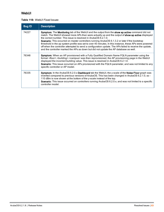### WebUI

#### **Table 118:** WebUI Fixed Issues

| <b>Bug ID</b> | <b>Description</b>                                                                                                                                                                                                                                                                                                                                                                                                                                                                                                                                                                                                                                                                              |
|---------------|-------------------------------------------------------------------------------------------------------------------------------------------------------------------------------------------------------------------------------------------------------------------------------------------------------------------------------------------------------------------------------------------------------------------------------------------------------------------------------------------------------------------------------------------------------------------------------------------------------------------------------------------------------------------------------------------------|
| 74227         | Symptom: The Monitoring tab of the WebUI and the output from the show ap active command did not<br>match. The WebUI showed more APs than were actually up and the output of show ap active displayed<br>the correct number. This issue is resolved in ArubaOS 6.2.1.0.<br><b>Scenario:</b> This occurred on master controllers running ArubaOS 6.1.3.2 or later if the bootstrap<br>threshold in the ap system profile was set to over 40 minutes. In this instance, these APs were powered<br>off when the controller attempted to send a configuration update. The APs failed to receive the update,<br>and the controller marked the APs as down but did not update the AP database as well. |
| 76348         | Symptom: When an AP provisioned with a Fully Qualified Domain Name FQLN parameter using the<br>format <floor>.<br/>building&gt;.<campus> was then reprovisioned, the AP provisioning page in the WebUI<br/>displayed the incorrect building value. This issue is resolved in ArubaOS 6.2.1.0.<br/>Scenario: This issue occurred on APs provisioned with the FQLN parameter, and was not limited to any<br>specific controller or AP model.</br></campus></floor>                                                                                                                                                                                                                                |
| 76335         | Symptom: In the ArubaOS 6.2.0.x Dashboard tab the WebUI, the y-scale of the Noise Floor graph was<br>inverted compared to previous versions of ArubaOS. This has been changed in ArubaOS 6.2.1.0, so -<br>110 dBm is now shown at the bottom of the y-scale instead of the top.<br><b>Scenario:</b> This issue occurred on controllers running ArubaOS 6.2.0.x, and was not limited to a specific<br>controller model.                                                                                                                                                                                                                                                                          |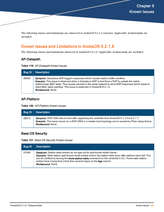The following issues and limitations are observed in ArubaOS 6.2.1.x releases. Applicable workarounds are included.

# Known Issues and Limitations in ArubaOS 6.2.1.8

The following issues and limitations observed in ArubaOS 6.2.1.8. Applicable workarounds are included.

#### AP-Datapath

**Table 119:** AP-Datapath Known Issues

| <b>Bug ID</b> | <b>Description</b>                                                                                                                                                                                                                                                                                                                                                                               |
|---------------|--------------------------------------------------------------------------------------------------------------------------------------------------------------------------------------------------------------------------------------------------------------------------------------------------------------------------------------------------------------------------------------------------|
| 99655         | Symptom: Gratuitous ARP triggers responses which causes station buffer overflow.<br>Scenario: This issue is observed when a Gratuitous ARP is sent from a RAP to update the uplink<br>switch/router MAC table. This causes devices in the same network to send ARP responses which leads to<br>client MAC table overflow. This issue is observed in ArubaOS 6.2.1.5.<br><b>Workaround: None.</b> |

### AP-Platform

**Table 120:** AP-Platform Known Issues

| Bug ID | <b>Description</b>                                                                                                                                                                                                                      |
|--------|-----------------------------------------------------------------------------------------------------------------------------------------------------------------------------------------------------------------------------------------|
| 98915  | Symptom: RAP-2WG fails to boot after upgrading the controller from ArubaOS 6.1.3.4 to 6.2.1.7.<br>Scenario: This issue occurs on a RAP-2WG in a master-local topology and is caused by IPsec setup failure.<br><b>Workaround: None.</b> |

### Base OS Security

**Table 121:** Base OS Security Known Issues

| <b>Bug ID</b> | <b>Description</b>                                                                                                                                                                                                                                                                                                                                                                                             |
|---------------|----------------------------------------------------------------------------------------------------------------------------------------------------------------------------------------------------------------------------------------------------------------------------------------------------------------------------------------------------------------------------------------------------------------|
| 97460         | Symptom: Station table entries do not age out for split-tunnel mode clients.<br>Scenario: Stale station split-tunnel mode entries exist in the station table even after stations have left. This<br>can be verified by issuing the <b>show station-table</b> command on the controller's CLI. Those stale station<br>entries have a long time (more than several days) on the Age column.<br>Workaround: None. |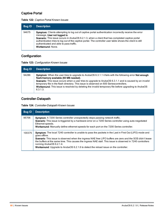## Captive Portal

| <b>Bug ID</b> | <b>Description</b>                                                                                                                                                                                                                                                                                                                                                                                                     |
|---------------|------------------------------------------------------------------------------------------------------------------------------------------------------------------------------------------------------------------------------------------------------------------------------------------------------------------------------------------------------------------------------------------------------------------------|
| 94675         | Symptom: Clients attempting to log out of captive portal authentication incorrectly receive the error<br>message, User not logged in.<br>Scenario: This issue occurs in ArubaOS 6.2.1.3, when a client that has completed captive portal<br>authentication tries to log out of the captive portal. The controller user table shows the client is still<br>authenticated and able to pass traffic.<br>Workaround: None. |

#### **Table 122:** Captive Portal Known Issues

# **Configuration**

| <b>Bug ID</b> | <b>Description</b>                                                                                                                                                                                                                                                                                                                                                                                                                                                                                       |
|---------------|----------------------------------------------------------------------------------------------------------------------------------------------------------------------------------------------------------------------------------------------------------------------------------------------------------------------------------------------------------------------------------------------------------------------------------------------------------------------------------------------------------|
| 94286         | <b>Symptom:</b> When the user tries to upgrade to ArubaOS 6.3.1.1 it fails with the following error <b>Not enough</b><br>flash/memory available (60 MB needed).<br><b>Scenario:</b> This issue occurs when a user tries to upgrade to ArubaOS 6.3.1.1 and is caused by an invalid<br>temporary file in the flash directory. This issue is observed on 600 Seriescontrollers.<br><b>Workaround:</b> This issue is resolved by deleting the invalid temporary file before upgrading to ArubaOS<br>6.3.1.3. |

#### Controller-Datapath

**Table 124:** Controller-Datapath Known Issues

| <b>Bug ID</b> | <b>Description</b>                                                                                                                                                                                                                                                                                                                                                                                                                                                         |
|---------------|----------------------------------------------------------------------------------------------------------------------------------------------------------------------------------------------------------------------------------------------------------------------------------------------------------------------------------------------------------------------------------------------------------------------------------------------------------------------------|
| 95706         | Symptom: A 7200 Series controller unexpectedly stops passing network traffic.<br>Scenario: This issue is triggered by a hardware error on a 7200 Series controller using auto-negotiated<br>Ethernet speeds.<br>Workaround: Manually define ethernet speeds for each port on the 7200 Series controller.                                                                                                                                                                   |
| 100375        | Symptom: The local 7240 controller is unable to pass the packets in the Last in First Out (LIFO) mode and<br>goes offline.<br>Scenario: This issue is observed when the ingress NAE free LIFO buffers are zero and the SOS didn't lease<br>the buffers at the same time. This causes the ingress NAE stall. This issue is observed in 7240 controllers<br>running ArubaOS 6.2.1.4.<br>Workaround: Upgrade to ArubaOS 6.2.1.6 to detect the reload issue on the controller. |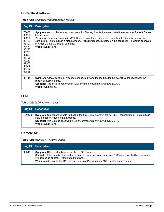## Controller-Platform

|  | Table 125: Controller-Platform Known Issues |  |
|--|---------------------------------------------|--|
|--|---------------------------------------------|--|

| <b>Bug ID</b>                                                                                                                       | <b>Description</b>                                                                                                                                                                                                                                                                                                                                                                                                          |
|-------------------------------------------------------------------------------------------------------------------------------------|-----------------------------------------------------------------------------------------------------------------------------------------------------------------------------------------------------------------------------------------------------------------------------------------------------------------------------------------------------------------------------------------------------------------------------|
| 76059<br>85289<br>92255<br>93467<br>93827<br>95431<br>96293<br>96791<br>96827<br>98196<br>99287<br>99360<br>99362<br>99472<br>99568 | Symptom: A controller reboots unexpectedly. The log files for the event listed the reason as Reboot Cause:<br>kernel panic.<br><b>Scenario:</b> This issue is seen in 7200 Series controller having a high density of IPv4 captive-portal users<br>configured. This results in a high number of httpd processes running on the controller. This issue observed<br>in ArubaOS 6.2.0.0 or later versions.<br>Workaround: None |
| 96115                                                                                                                               | Symptom: A local controller crashes unexpectedly and the log files for the event lists the reason for the<br>reboot as Kernel panic.<br><b>Scenario</b> : This issue is observed in 7220 controllers running ArubaOS 6.2.1.4.<br><b>Workaround: None.</b>                                                                                                                                                                   |

### LLDP

**Table 126:** LLDP Known Issues

| <b>Bug ID</b> | <b>Description</b>                                                                                                                                                                                                                                      |
|---------------|---------------------------------------------------------------------------------------------------------------------------------------------------------------------------------------------------------------------------------------------------------|
| 100439        | Symptom: Clients are unable to disable the 802.3 TLV power in the AP LLDP configuration. This results in<br>PoE allocation issue on the switches.<br>Scenario: This issue is observed in 7210 controllers running ArubaOS 6.2.1.7.<br>Workaround: None. |

## Remote AP

**Table 127:** Remote AP Known Issues

| Bug ID | <b>Description</b>                                                                                                                                                                                                                                                                                    |
|--------|-------------------------------------------------------------------------------------------------------------------------------------------------------------------------------------------------------------------------------------------------------------------------------------------------------|
| 99343  | Symptom: RAP randomly reestablishes a GRE tunnel.<br>Scenario: This issue is observed on a device connected to an untrusted RAP wired port that has the same<br>IP address as another RAP's default gateway.<br>Workaround: Include the RAP default gateway IP in validuser ACL. Enable enforce-dhcp. |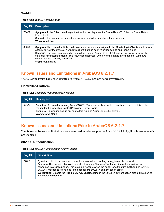#### **WebUI**

#### **Table 128:** WebUI Known Issues

| <b>Bug ID</b> | <b>Description</b>                                                                                                                                                                                                                                                                                                                                                                                                                                                                                      |
|---------------|---------------------------------------------------------------------------------------------------------------------------------------------------------------------------------------------------------------------------------------------------------------------------------------------------------------------------------------------------------------------------------------------------------------------------------------------------------------------------------------------------------|
| 76432         | Symptom: In the Client detail page, the trend is not displayed for Frame Rates To Client or Frame Rates<br>From Client.<br>Scenario: This issue is not limited to a specific controller model or release version.<br>Workaround: None                                                                                                                                                                                                                                                                   |
| 89070         | Symptom: The controller WebUI fails to respond when you navigate to the Monitoring > Clients window, and<br>attempt to view the status of a windows client that has been misclassified as an iPhone client.<br><b>Scenario:</b> This issue is observed in controllers running ArubaOS 6.2.1.3. It occurs only when viewing the<br>status for misclassified clients. This issue does not occur when viewing status information for Windows<br>clients that are correctly classified.<br>Workaround: None |

# Known Issues and Limitations in ArubaOS 6.2.1.7

The following issues have been reported in ArubaOS 6.2.1.7 and are being investigated.

#### Controller-Platform

**Table 129:** Controller-Platform Known Issues

| Bug ID | <b>Description</b>                                                                                                                                                                                                                                                                     |
|--------|----------------------------------------------------------------------------------------------------------------------------------------------------------------------------------------------------------------------------------------------------------------------------------------|
| 94304  | <b>Symptom:</b> A controller running ArubaOS 6.2.1.2 unexpectedly rebooted. Log files for the event listed the<br>reason for the reboot as Control Processor Kernel Panic.<br>Scenario: This issues occurs on controllers running ArubaOS 6.2.1.2 or later.<br><b>Workaround: None</b> |

# Known Issues and Limitations Prior to ArubaOS 6.2.1.7

The following issues and limitations were observed in releases prior to ArubaOS 6.2.1.7. Applicable workarounds are included.

#### 802.1X Authentication

**Table 130:** 802.1X Authentication Known Issues

| <b>Bug ID</b> | <b>Description</b>                                                                                                                                                                                                                                                                                                                                                                                                                                                                                                                     |
|---------------|----------------------------------------------------------------------------------------------------------------------------------------------------------------------------------------------------------------------------------------------------------------------------------------------------------------------------------------------------------------------------------------------------------------------------------------------------------------------------------------------------------------------------------------|
| 74663         | <b>Symptom:</b> Clients are not able to reauthenticate after rebooting or logging off the network.<br>Scenario: This issue is observed on a client running Windows 7 with machine authentication, and<br>connected to a Cisco phone. This issue only occurs when the eapol-logoff feature that handles EAPOL-<br>LOGOFF messages is enabled in the controller's 802.11X authentication profile.<br>Workaround: Disable the Handle EAPOL-Logoff setting in the 802.11X authentication profile (This setting<br>is disabled by default). |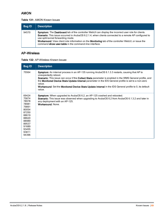## AMON

#### **Table 131:** AMON Known Issues

| <b>Bug ID</b> | <b>Description</b>                                                                                                                                                                                                                                                                                                                                                                                                  |
|---------------|---------------------------------------------------------------------------------------------------------------------------------------------------------------------------------------------------------------------------------------------------------------------------------------------------------------------------------------------------------------------------------------------------------------------|
| 94570         | Symptom: The Dashboard tab of the controller WebUI can display the incorrect user role for clients.<br>Scenario: This issue occurred in ArubaOS 6.2.1.4, when clients connected to a remote AP configured to<br>use split-tunnel forwarding mode.<br>Workaround: View client role information on the Monitoring tab of the controller WebUI, or issue the<br>command show user-table in the command-line interface. |

## AP-Wireless

| <b>Table 132: AP-Wireless Known Issues</b> |
|--------------------------------------------|
|--------------------------------------------|

| <b>Bug ID</b>                                                                                                                       | <b>Description</b>                                                                                                                                                                                                                                                                                                                                                                                                                                                        |
|-------------------------------------------------------------------------------------------------------------------------------------|---------------------------------------------------------------------------------------------------------------------------------------------------------------------------------------------------------------------------------------------------------------------------------------------------------------------------------------------------------------------------------------------------------------------------------------------------------------------------|
| 75564                                                                                                                               | Symptom: An internal process in an AP-135 running ArubaOS 6.1.3.3 restarts, causing that AP to<br>unexpectedly reboot.<br>Scenario: This issue can occur if the Collect Stats parameter is enabled in the WMS General profile, and<br>the Monitored Device Stats Update Interval parameter in the IDS General profile is set to a non-zero<br>value.<br>Workaround: Set the Monitored Device Stats Update Interval in the IDS General profile to 0, its default<br>value. |
| 69424<br>75874<br>78978<br>78981<br>79891<br>80054<br>87250<br>88619<br>88620<br>88989<br>89537<br>91689<br>93455<br>93811<br>94396 | Symptom: When upgraded to ArubaOS 6.2, an AP-125 crashed and rebooted.<br><b>Scenario:</b> This issue was observed when upgrading to ArubaOS 6.2 from ArubaOS 6.1.3.2 and later in<br>any deployment with an AP-125.<br>Workaround: None.                                                                                                                                                                                                                                 |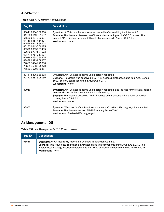## AP-Platform

|  |  | <b>Table 133: AP-Platform Known Issues</b> |  |  |
|--|--|--------------------------------------------|--|--|
|--|--|--------------------------------------------|--|--|

| <b>Bug ID</b>                                                                                                                                                                                                                                                                                      | <b>Description</b>                                                                                                                                                                                                                                                                          |
|----------------------------------------------------------------------------------------------------------------------------------------------------------------------------------------------------------------------------------------------------------------------------------------------------|---------------------------------------------------------------------------------------------------------------------------------------------------------------------------------------------------------------------------------------------------------------------------------------------|
| 58011 60846 60850<br>61100 61196 61537<br>61539 61540 63004<br>64156 64517 64524<br>64526 66118 66128<br>66133 66135 66185<br>66596 66659 67435<br>67670 67671 67673<br>67871 67872 67977<br>67978 67980 68875<br>68889 68934 68937<br>72069 74142 75366<br>75368 75369 75370<br>75539 75703 79854 | Symptom: A 650 controller reboots unexpectedly after enabling the internal AP.<br><b>Scenario:</b> This issue is observed in 650 controllers running ArubaOS 5.0 or later. The<br>internal AP is disabled when a 650 controller upgrades to ArubaOS 6.2.1.x.<br>Workaround: None.           |
| 89741 88763 89538<br>92872 92876 95060                                                                                                                                                                                                                                                             | Symptom: AP-125 access points unexpectedly rebooted.<br>Scenario: This issue was observed in AP-125 access points associated to a 7200 Series,<br>6000, or 3400 controller running ArubaOS 6.2.1.3.<br>Workaround: None                                                                     |
| 89916                                                                                                                                                                                                                                                                                              | Symptom: AP-125 access points unexpectedly rebooted, and log files for the event indicate<br>that the APs reboot because they are out of memory.<br>Scenario: This issue is observed AP-125 access points associated to a local controller<br>running ArubaOS 6.2.1.x.<br>Workaround: None. |
| 93955                                                                                                                                                                                                                                                                                              | Symptom: Windows Surface Pro does not allow traffic with MPDU aggregation disabled.<br><b>Scenario:</b> This issue occurs on AP-105 running ArubaOS 6.2.1.2.<br>Workaround: Enable MPDU aggregation.                                                                                        |

# Air Management -IDS

**Table 134:** Air Management - IDS Known Issues

| Bug ID | <b>Description</b>                                                                                                                                                                                                                                                                                       |
|--------|----------------------------------------------------------------------------------------------------------------------------------------------------------------------------------------------------------------------------------------------------------------------------------------------------------|
| 93516  | <b>Symptom:</b> An AP incorrectly reported a Overflow IE detection warning.<br>Scenario: This issue occurred when an AP associated to a controller running ArubaOS 6.2.1.2 in a<br>master-local topology incorrectly detected its own MAC address as a device sending malformed IE.<br>Workaround: None. |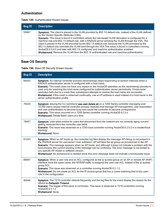#### Authentication

| <b>Bug ID</b> | <b>Description</b>                                                                                                                                                                                                                                                                                                                                                                                                                                                                                                                                                                                                                                                                                                                                                            |
|---------------|-------------------------------------------------------------------------------------------------------------------------------------------------------------------------------------------------------------------------------------------------------------------------------------------------------------------------------------------------------------------------------------------------------------------------------------------------------------------------------------------------------------------------------------------------------------------------------------------------------------------------------------------------------------------------------------------------------------------------------------------------------------------------------|
| 55867         | <b>Symptom:</b> The client is placed in the VLAN provided by 802.1X default role, instead of the VLAN defined<br>by the Vendor Specific Attributes (VSA).<br>Scenario: This issue is found in controllers where the role-based VLAN derivation is configured for a<br>machine role and 802.1X default role, with a RADIUS server sending the VLAN through the VSA. The<br>client is placed in the VLAN provided by the 802.1X default role, because the VLAN provided by the<br>802.1x default role overrides the VLAN sent through the VSA. This issue is found in controllers running<br>ArubaOS 6.0.0.0 and later with 802.1X configured and machine authentication enabled.<br>Workaround: Remove the VLAN from the 802.1X authenticated role and machine authentication. |

#### **Table 135:** Authentication Known Issues

# Base OS Security

**Table 136:** Base OS Security Known Issues

| <b>Bug ID</b> | <b>Description</b>                                                                                                                                                                                                                                                                                                                                                                                                                                                                                                                                                                                                                      |
|---------------|-----------------------------------------------------------------------------------------------------------------------------------------------------------------------------------------------------------------------------------------------------------------------------------------------------------------------------------------------------------------------------------------------------------------------------------------------------------------------------------------------------------------------------------------------------------------------------------------------------------------------------------------|
| 85453         | Symptom: An internal controller process (resolvewrap) stops responding at random intervals when a<br>RADIUS authentication server is configured with a host name.<br>Scenario: This crash does not have any impact on the ArubaOS operation as the resolvewrap process is<br>used only for resolving the host name configured for authentication server periodically. If host-name<br>resolution fails due to a crash then subsequent attempts to resolve the host name are successful.<br>Workaround: If this crash is observed continually, use an IP address is used instead of a host name in the<br>server authentication profile. |
| 76424         | Symptom: Issuing the CLI command aaa user delete all on a 7200 Series controller managing over<br>14,000 users causes internal controller process modules that manage AP management, user association<br>and user authentication to become busy and cause the controller to become unresponsive.<br>Scenario: This issue occurred on a 7200 Series controller running ArubaOS 6.2.x.x.<br>Workaround: Delete fewer users at a time.                                                                                                                                                                                                     |
| 79467         | Symptom: User table entries for users that disconnect from the network are not correctly aging out and<br>getting removed from the controller user table.<br>Scenario: This issue was observed on a 7240 local controller running ArubaOS 6.2.0.2 in a master/local<br>topology.<br>Workaround: None.                                                                                                                                                                                                                                                                                                                                   |
| 81243         | Symptom: When an AP boots up, the controller log files display the message AP-Group is not present in<br>the RADIUS server for username= <mac address="">; AP will take the ap-group as provisioned in the AP.<br/>Scenario: This message appears when an AP boots, and although it does not indicate a problem with the<br/>boot process, the current wording of the message can be confusing. The error message is not limited to<br/>any specific AP model or software version.<br/>Workaround: No workaround is needed since this error message does not indicate a functionality issue.</mac>                                      |
| 86867         | Symptom: When a user role and an ACL configured as the ip access-group on an AP or remote AP (RAP)<br>interface have the same name, the AP/RAP traffic is assigned the user role ACL instead of the ip access-<br>group ACL.<br>Scenario: This issue was observed on a controller running ArubaOS 6.2.1.2.<br>Workaround: Do not create an ACL for the IP access-group that has a name matching that of any user-<br>role in the configuration.                                                                                                                                                                                         |
| 95546         | Symptom: The 7210 controller reboots frequently and the log files for the event display the reason for the<br>reboot as Datapath Timeout.<br>Scenario: The trigger of this issue is not known. This issue is observed in 7210 controllers running<br>ArubaOS 6.3.1.2.<br>Workaround: None.                                                                                                                                                                                                                                                                                                                                              |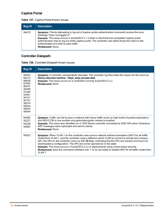## Captive Portal

| <b>Bug ID</b> | <b>Description</b>                                                                                                                                                                                                                                                                                                                                                                                                    |
|---------------|-----------------------------------------------------------------------------------------------------------------------------------------------------------------------------------------------------------------------------------------------------------------------------------------------------------------------------------------------------------------------------------------------------------------------|
| 94675         | Symptom: Clients attempting to log out of captive portal authentication incorrectly receive the error<br>message "User not logged in"<br>Scenario: This issue occurs in ArubaOS 6.2.1.3 when a client that has completed captive portal<br>authentication tries to log out of the captive portal. The controller user table shows the client is still<br>authenticated and able to pass traffic.<br>Workaround: None. |

#### **Table 137:** Captive Portal Known Issues

# Controller-Datapath

|  | Table 138: Controller-Datapath Known Issues |
|--|---------------------------------------------|
|--|---------------------------------------------|

| <b>Bug ID</b>                                                                                                              | <b>Description</b>                                                                                                                                                                                                                                                                                                                                                                                                                                                                                                                                                                                                         |
|----------------------------------------------------------------------------------------------------------------------------|----------------------------------------------------------------------------------------------------------------------------------------------------------------------------------------------------------------------------------------------------------------------------------------------------------------------------------------------------------------------------------------------------------------------------------------------------------------------------------------------------------------------------------------------------------------------------------------------------------------------------|
| 82402<br>84212<br>86636<br>87552<br>89437<br>90466<br>91280<br>93591<br>94721<br>94727<br>95074<br>95624<br>95643<br>95644 | Symptom: A controller unexpectedly rebooted. The controller log files listed the reason for the event as<br>Nanny rebooted machine - httpd_wrap process died.<br><b>Scenario:</b> This issue occurs on a controllers running ArubaOS 6.2.x.x.<br>Workaround: None.                                                                                                                                                                                                                                                                                                                                                         |
| 84585<br>92227<br>92228<br>92883                                                                                           | Symptom: Traffic can fail to pass a network with heavy traffic (such as high levels of packet replication),<br>and AES-CCM or one another encryption/decryption modes is enabled.<br>Scenario: This issue was identified on a 7200 Series controller connected to 2000 APs when Gratuitous<br>ARP messages were replicated and sent to clients.<br>Workaround: None                                                                                                                                                                                                                                                        |
| 90923                                                                                                                      | Symptom: When VLAN 1 on the controller uses source network address translation (NAT) for all traffic<br>routed from VLAN 1, and the controller uses a different uplink VLAN to connect to remote and campus<br>APs, the APs on the controller come up with ID flags, indicating that the APs are inactive and have not<br>downloaded a configuration. The APs are not be operational in this state.<br>Scenario: This issue occurs in ArubaOS 6.2.x.x in deployments using control plane security<br>Workaround: Issue the command interface vlan 1 no ip nat inside to disable NAT for all traffic routed from<br>VLAN 1. |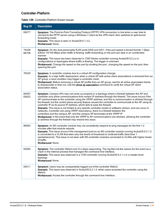## Controller-Platform

### **Table 139:** Controller-Platform Known Issues

| <b>Bug ID</b>  | <b>Description</b>                                                                                                                                                                                                                                                                                                                                                                                                                                                                                                                                                                                                                                                                                                                                                                                                                                                                                                                                                       |
|----------------|--------------------------------------------------------------------------------------------------------------------------------------------------------------------------------------------------------------------------------------------------------------------------------------------------------------------------------------------------------------------------------------------------------------------------------------------------------------------------------------------------------------------------------------------------------------------------------------------------------------------------------------------------------------------------------------------------------------------------------------------------------------------------------------------------------------------------------------------------------------------------------------------------------------------------------------------------------------------------|
| 69277          | Symptom: The Point-to-Point Tunneling Protocol (PPTP) VPN connection is lost when a user tries to<br>connect to the PPTP server using a Windows 7 client as the VPN client, then switches to split-tunnel<br>forwarding mode.<br>Scenario: This issue is seen in ArubaOS 6.1.3.2.<br>Workaround: None                                                                                                                                                                                                                                                                                                                                                                                                                                                                                                                                                                                                                                                                    |
| 74428<br>88758 | Symptom: On the dual-personality RJ45 ports 0/0/0 and 0/0/1, if the port speed is forced from/to 1 Gbps<br>to/from 10/100 Mbps when traffic is flowing, traffic forwarding on the port can stop in an unintended<br>manner.<br>Scenario: This issue has been observed in 7200 Series controller running ArubaOS 6.2.x.x in<br>configurations or topologies where traffic is flowing. The trigger is unknown.<br>Workaround: Change the speed on the port by shutting the port., changing the speed on the port, then<br>opening the port.                                                                                                                                                                                                                                                                                                                                                                                                                                |
| 76220          | Symptom: A controller crashes due to a virtual AP configuration change.<br>Scenario: In a high traffic deployment, when a virtual AP with active client associations is removed from an<br>AP group, a race condition may trigger a controller crash.<br>Workaround: Before removing a virtual AP profile from an AP group, wait for all active associated clients<br>to disassociate or time out. Use the show ap association command to verify the virtual AP client<br>association status.                                                                                                                                                                                                                                                                                                                                                                                                                                                                            |
| 84597<br>83623 | Symptom: Campus APs may not come up properly in a topology where a firewall between the AP and<br>controller only allow communications from certain IP address through the firewall. The issue occurs if the<br>AP communicates to the controller using the VRRP address, and this is communication is allowed through<br>the firewall, but the control plane security feature causes the controller to communicate to the AP using its<br>controller IP as its source IP address, which fails to pass the firewall.<br>Scenario: This issue is not limited to any specific controller model or software version, and can occur in<br>networks. Controller are using VRRP redundancy, there is a firewall between the<br>controllers and the campus AP, and the campus AP terminates at the VRRP IP<br>Workaround: In the event that only the VRRP to AP communications are allowed, allowing the controller-<br>ip address through the firewall may resolve this issue. |
| 86903          | Symptom: An M3 controller module may not consistently respond to ping messages for the first 1-2<br>minutes after that module reboots.<br>Scenario: This issue occurs if the management port on an M3 controller module running ArubaOS 6.2.1.2<br>is connected to a VLAN that sees very low levels of broadcast or multicast traffic (less than 1<br>packet/second). This issue is not seen with M3 controller modules connected to VLANs with higher levels<br>of traffic.<br>Workaround: None.                                                                                                                                                                                                                                                                                                                                                                                                                                                                        |
| 93005          | Symptom: The controller WebUI and CLI stops responding. The log files list the reason for the event as a<br>crash in the internal process that manages the command-line interface.<br>Scenario: This issue was observed in a 7240 controller running ArubaOS 6.2.1 x in a master-local<br>topology.<br>Workaround: None.                                                                                                                                                                                                                                                                                                                                                                                                                                                                                                                                                                                                                                                 |
| 93011          | Symptom: Users may be unexpectedly logged out of the controller WebUI.<br>Scenario: This issue was observed in ArubaOS 6.2.1.4, when users accessed the controller using the<br>WebUI.<br>Workaround: Access the controller through the command-line interface                                                                                                                                                                                                                                                                                                                                                                                                                                                                                                                                                                                                                                                                                                           |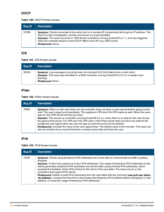## DHCP

## **Table 140:** DHCP Known Issues

| <b>Bug ID</b> | Description                                                                                                                                                                                                                                                                                                                                                                                          |
|---------------|------------------------------------------------------------------------------------------------------------------------------------------------------------------------------------------------------------------------------------------------------------------------------------------------------------------------------------------------------------------------------------------------------|
| 91099         | Symptom: Clients connected to the wired port on a remote AP occasionally fail to get an IP address. This<br>issue is under investigation, and the root cause is not yet identified.<br>Scenario: This issue occurred in 7200 Series controllers running ArubaOS 6.2.1.1, and was triggered<br>when the controller failed to send DHCP offers to the AP via a GRE tunnel.<br><b>Workaround: None.</b> |

## IDS

### **Table 141:** IDS Known Issues

| Bug ID | <b>Description</b>                                                                                                                                                                                                              |
|--------|---------------------------------------------------------------------------------------------------------------------------------------------------------------------------------------------------------------------------------|
| 90630  | Symptom: Log messages incorrectly warn of a blocked ACK DoS attack from a valid client.<br>Scenario: This issue was identified in a 6000 controller running ArubaOS 6.2.0.2 in a master-local<br>topology.<br>Workaround: None. |

## IPsec

### **Table 142:** IPsec Known Issues

| <b>Bug ID</b> | <b>Description</b>                                                                                                                                                                                                                                                                                                                                                                                                                                                                                                                                                                                                                                                                                                                                                              |
|---------------|---------------------------------------------------------------------------------------------------------------------------------------------------------------------------------------------------------------------------------------------------------------------------------------------------------------------------------------------------------------------------------------------------------------------------------------------------------------------------------------------------------------------------------------------------------------------------------------------------------------------------------------------------------------------------------------------------------------------------------------------------------------------------------|
| 75891         | <b>Symptom:</b> When an idle user times out, the controller does not send a ping request before aging out the<br>user. The user is aged out immediately. This applies to VPN and VIA-VPN users as well. When the users<br>age out, the VPN tunnel will also go down.<br>Scenario: This occurs on controllers running ArubaOS 6.2.x.x, when there is no data for the user during<br>the ageout time period. For VPN and VIA-VPN users, if the IPsec tunnel does not have any data for the<br>configured user ageout time, the user will age out and the tunnel will be deleted.<br>Workaround: Increase the value of the user ageout time. The default value is five minutes. This issue can<br>also be avoided if you ensure that there is always some data sent from the user. |

## IPv6

**Table 143:** IPv6 Known Issues

| <b>Bug ID</b> | <b>Description</b>                                                                                                                                                                                                                                                                                                                                                                                                                                                                                                                                                                                                                                                                                                                                                         |
|---------------|----------------------------------------------------------------------------------------------------------------------------------------------------------------------------------------------------------------------------------------------------------------------------------------------------------------------------------------------------------------------------------------------------------------------------------------------------------------------------------------------------------------------------------------------------------------------------------------------------------------------------------------------------------------------------------------------------------------------------------------------------------------------------|
| 74367         | Symptom: Clients using temporary IPv6 addresses are not be able to communicate as traffic is getting<br>dropped.<br>Scenario: A client can support up to four IPv6 addresses. The usage of temporary IPv6 addresses on the<br>clients generates additional IPv6 addresses and sends traffic using all these IPv6 addresses, which<br>exceeds the limitation of four IPv6 entries for the client in the user-table. The issue occurs on the<br>controllers that support IPv6 clients.<br>Workaround: Delete unused IPv6 addresses from the user-table with the command aaa ipv6 user delete<br><ip address="">, increase the time that a client keeps the temporary IPv6 address before changing to a new<br/>address, or Avoid the usage of temporary IPv6 addresses.</ip> |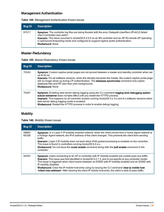## Management Authentication

|  |  |  | Table 144: Management Authentication Known Issues |  |  |
|--|--|--|---------------------------------------------------|--|--|
|--|--|--|---------------------------------------------------|--|--|

| <b>Bug ID</b> | <b>Description</b>                                                                                                                                                                                                                                                                                                                                                                            |
|---------------|-----------------------------------------------------------------------------------------------------------------------------------------------------------------------------------------------------------------------------------------------------------------------------------------------------------------------------------------------------------------------------------------------|
| 81517         | Symptom: The controller log files are being flooded with the error Datapath-UserRem (IPv4/L2) failed:<br>mac= <controller-mac-addr>.<br/>Scenario: This issue occurred in ArubaOS 6.2.0.0 on an M3 controller and an AP-93 remote AP operating<br/>in split-tunnel forwarding mode and configured to support captive portal authentication.<br/><b>Workaround: None</b></controller-mac-addr> |

# Master-Redundancy

**Table 145:** Master-Redundancy Known Issues

| <b>Bug ID</b> | <b>Description</b>                                                                                                                                                                                                                                                                                                                                                                                                  |
|---------------|---------------------------------------------------------------------------------------------------------------------------------------------------------------------------------------------------------------------------------------------------------------------------------------------------------------------------------------------------------------------------------------------------------------------|
| 70343         | Symptom: Custom captive portal pages are not synced between a master and standby controller when set<br>up to do so.<br><b>Scenario</b> : For all software versions, when the standby becomes the master, the custom captive portal page<br>will no longer show up during CP authentication. The database synchronize command only copies<br>database files and RF plan floor plan backgrounds.<br>Workaround: None |
| 75367         | Symptom: Enabling web-server debug logging using the CLI command logging level debugging system<br>subcat webserver does not take effect until you restart the HTTPD process.<br>Scenario: This happens on all controller models running ArubaOS 3.x, 5.x and 6.x software versions when<br>web-server debug logging mode is enabled.<br>Workaround: Restart the HTTPD process in order to enable debug logging.    |

## **Mobility**

|  | Table 146: Mobility Known Issues |  |
|--|----------------------------------|--|
|--|----------------------------------|--|

| <b>Bug ID</b>  | <b>Description</b>                                                                                                                                                                                                                                                                                                                                                                                                                                                                                                                                                                          |
|----------------|---------------------------------------------------------------------------------------------------------------------------------------------------------------------------------------------------------------------------------------------------------------------------------------------------------------------------------------------------------------------------------------------------------------------------------------------------------------------------------------------------------------------------------------------------------------------------------------------|
| 58883<br>60328 | Symptom: In a Layer-3 IP mobility enabled network, when the client moves from a Home Agent network to<br>a Foreign Agent network, the IPv4 address of the client changes. This prevents the client from sending<br>traffic.<br>Scenario: Layer-3 IP mobility does not work when IPv6 packet processing is enabled on the controller.<br>This issue is found in controllers running ArubaOS 6.2.x.x<br>Workaround: Do not issue the router enable command along with the ipv6 enable command in the<br>controller.                                                                           |
| 92453          | Symptom: Users connecting to an AP or controller with IP mobility enabled are unable pass any traffic<br>Scenario: This issue was first identified in ArubaOS 6.2.1.3, and is not specific to any controller model.<br>This issue is triggered when client roams between an ESSID with IP mobility enabled and an ESSID with<br>IP mobility disabled.<br>Workaround: Clear the IP mobile host entry using by issuing the CLI command clear ip mobile host<br><client-mac-address>. After clearing the client IP mobile host entry, the client is able to pass traffic.</client-mac-address> |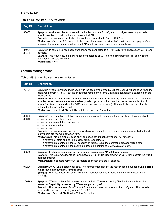# Remote AP

## **Table 147:** Remote AP Known Issues

| <b>Bug ID</b>  | <b>Description</b>                                                                                                                                                                                                                                                                                                                                                                                                                                                       |
|----------------|--------------------------------------------------------------------------------------------------------------------------------------------------------------------------------------------------------------------------------------------------------------------------------------------------------------------------------------------------------------------------------------------------------------------------------------------------------------------------|
| 83002          | <b>Symptom</b> : A wireless client connected to a backup virtual AP configured in bridge forwarding mode is<br>unable to get an IP address from an assigned VLAN.<br><b>Scenario:</b> This issue occurred when the controller upgraded to ArubaOS 6.2.x.x.<br><b>Workaround:</b> Once the AP connects to the controller, remove the virtual AP profile from the ap-group/ap-<br>name configuration, then return the virtual AP profile to the ap-group/ap-name settings. |
| 84004<br>85499 | Symptom: In some instances calls from IP phones connected to a RAP-3WN AP fail because the AP drops<br>packets.<br><b>Scenario:</b> This issue occurs on IP phones connected to an AP in tunnel forwarding mode, and was first<br>identified in ArubaOS 6.2.0.2.<br>Workaround: None                                                                                                                                                                                     |

# Station Management

|  |  | Table 148: Station Management Known Issues |  |  |
|--|--|--------------------------------------------|--|--|
|--|--|--------------------------------------------|--|--|

| <b>Bug ID</b>  | <b>Description</b>                                                                                                                                                                                                                                                                                                                                                                                                                                                                                                                                                                                                                                                                                                                                                                                                        |
|----------------|---------------------------------------------------------------------------------------------------------------------------------------------------------------------------------------------------------------------------------------------------------------------------------------------------------------------------------------------------------------------------------------------------------------------------------------------------------------------------------------------------------------------------------------------------------------------------------------------------------------------------------------------------------------------------------------------------------------------------------------------------------------------------------------------------------------------------|
| 72194          | Symptom: When VLAN pooling is used with the assignment type EVEN, the user VLAN changes when the<br>client roams from AP to AP, but the IP address remains the same until a release/renew is executed on the<br>client device.<br>Scenario: This issue occurs on any controller model with the VLAN mobility and preserve VLAN features<br>enabled. When these features are enabled, the bridge table of the controller keeps user entries for 12<br>hours. This issue occurs when the STM module (an internal process) of the controller does not find the<br>entry in the bridge lookup result.<br>Workaround: Disable VLAN mobility and the preserve VLAN feature.                                                                                                                                                     |
| 86620<br>88646 | Symptom: The output of the following commands incorrectly display entries that should have aged out.<br>show ap debug client-table<br>$\bullet$<br>show ap remote debug association<br>$\bullet$<br>show ap association<br>$\bullet$<br>show user<br>$\qquad \qquad \bullet$<br>Scenario: This issue was observed in networks where controllers are managing a heavy traffic load and<br>many users are roaming between APs.<br>Workaround: This is a display issue only, and does not impact controller or AP functions.<br>To remove for stale entries in the client table, reboot the AP.<br>$\bullet$<br>To remove stale entries in the AP association tables, issue the command process restart stm.<br>$\bullet$<br>To remove stale entries in the user table, issue the command process restart auth.<br>$\bullet$ |
| 90390          | Symptom: IP phones connected to the wired port on a remote AP get disconnected.<br>Scenario: This issue was identified in ArubaOS 6.2.1.x, and is triggered when GRE tunnels from the wired<br>port get dropped.<br>Workaround: Reboot the remote AP to restore connectivity to the IP phones.                                                                                                                                                                                                                                                                                                                                                                                                                                                                                                                            |
| 91224          | Symptom: An AP unexpectedly reboots. The controller log files list the reason for the event as Unexpected<br>stm (Station management) runtime error.<br>Scenario: This issue occurred on M3 controller modules running ArubaOS 6.2.1.4 in a master-local<br>topology.                                                                                                                                                                                                                                                                                                                                                                                                                                                                                                                                                     |
| 100799         | Symptom: Wireless clients fail to associate to an SSID. The controller log files for the event listed the<br>reason as Capability requested by STA unsupported by AP.<br>Scenario: This issue is seen for a Virtual AP profile that does not have a VLAN configured. This issue is<br>observed in controllers running ArubaOS 6.2.1.5.<br>Workaround: Add a VLAN ID to the Virtual AP profile.                                                                                                                                                                                                                                                                                                                                                                                                                            |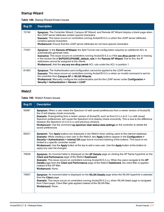## Startup Wizard

## **Table 149:** Startup Wizard Known Issues

| <b>Bug ID</b> | <b>Description</b>                                                                                                                                                                                                                                                                                                                                                                                                                                                                                            |
|---------------|---------------------------------------------------------------------------------------------------------------------------------------------------------------------------------------------------------------------------------------------------------------------------------------------------------------------------------------------------------------------------------------------------------------------------------------------------------------------------------------------------------------|
| 72740         | Symptom: The Controller Wizard, Campus AP Wizard, and Remote AP Wizard display a blank page when<br>the LDAP server attributes contain special characters.<br><b>Scenario:</b> This issue occurs on controllers running ArubaOS 6.2.x.x when the LDAP server attributes<br>contains special characters.<br><b>Workaround:</b> Ensure that the LDAP server attributes do not have special characters.                                                                                                          |
| 77057         | <b>Symptom:</b> In the <b>Remote APWizard</b> , the Split Tunnel role configuration requires an additional ACL to<br>automatically generate roles.<br><b>Scenarios:</b> This issue occurs on controllers running ArubaOS 6.2.x.x if the svc-dhcp permit rule is missing<br>in the access list of \$APGROUPNAME_default_role in the Remote AP Wizard. Due to this, the IP<br>addresses cannot be assigned to the clients.<br>Workaround: Add the any any svc-dhcp permit ACL rule under the ACL in position 1. |
| 81063         | Symptom: The Authentication port configuration cannot be applied to the LDAP server.<br>Scenario: This issue occurs on controllers running ArubaOS 6.2.x.x when an invalid command is sent to<br>the controller from Campus AP or WLAN Wizards.<br><b>Workaround:</b> Manually configure the authentication port for the LDAP server under Configuration ><br>Security > Authentication > Servers > LDAP.                                                                                                     |

## WebUI

### **Table 150:** WebUI Known Issues

| <b>Bug ID</b> | <b>Description</b>                                                                                                                                                                                                                                                                                                                                                                                                                                                                                                                                          |
|---------------|-------------------------------------------------------------------------------------------------------------------------------------------------------------------------------------------------------------------------------------------------------------------------------------------------------------------------------------------------------------------------------------------------------------------------------------------------------------------------------------------------------------------------------------------------------------|
| 55981         | Symptom: When a user views the Spectrum UI with saved preferences from a newer version of ArubaOS,<br>the UI will display charts incorrectly.<br>Scenario: Downgrading from a newer version of ArubaOS, such as from 6.2.x.x to 6.1.x.x with saved<br>Spectrum preferences, will cause the Spectrum UI to display charts incorrectly. This is due to the difference<br>between the Spectrum UI in 6.2.x.x and previous versions.<br>Workaround: Use the command ap spectrum clear-webui-view-settings on the controller to delete the<br>saved preferences. |
| 66521         | Symptom: Two Apply buttons are displayed in the WebUI when adding users to the internal database.<br>Scenario: While creating a new user in the WebUI, two Apply buttons appear in the Configuration ><br>Security > Authentication > Internal DB page due to incorrect labeling of the buttons. This issue is not<br>limited to a specific controller model.<br>Workaround: Use the Apply button at the top to add a new user. Use the Apply button at the bottom to<br>apply any user list changes.                                                       |
| 75836         | Symptom: An incorrect label is displayed on the AP Details page on clicking the AP Name hyperlink on the<br>Client and Performance page of the WebUI Dashboard.<br>Scenario: This issue occurs on controllers running ArubaOS 6.2.x.x. When the users navigate to the AP<br>Details page from the Client and Performance page of the WebUI Dashboard, the client filter is applied<br>instead of the AP filter.<br>Workaround: None.                                                                                                                        |
| 75857         | Symptom: An incorrect label is displayed on the WLAN Details page when the WLAN hyperlink is selected<br>from the <b>Client</b> page.<br><b>Scenario:</b> This issue occurs on controllers running ArubaOS 6.2.x.x, when WLAN detail page is navigated<br>from Client page, Client filter gets applied instead of the WLAN filter.<br>Workaround: None                                                                                                                                                                                                      |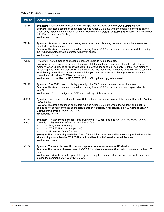### **Table 150:** WebUI Known Issues

| <b>Bug ID</b>  | <b>Description</b>                                                                                                                                                                                                                                                                                                                                                                                                                                                                                                                                                                                                                                   |
|----------------|------------------------------------------------------------------------------------------------------------------------------------------------------------------------------------------------------------------------------------------------------------------------------------------------------------------------------------------------------------------------------------------------------------------------------------------------------------------------------------------------------------------------------------------------------------------------------------------------------------------------------------------------------|
| 76836          | Symptom: A Javascript error occurs when trying to view the trend on the WLAN Summary page.<br>Scenario: This issue occurs on controllers running ArubaOS 6.2.x.x, when the trend is performed on the<br>Client entry hyperlink or distribution charts of Frame rates in Default or Tx/Rx Stats section. A blank screen<br>with JS error is seen in Firebug.<br>Workaround: None.                                                                                                                                                                                                                                                                     |
| 77274          | Symptom: An error occurs when creating an access control list using the WebUI when the invert option is<br>enabled in netdestination.<br>Scenario: This issue occurs on controllers running ArubaOS 6.2.x.x, where an error occurs while creating<br>the ACLs with netdestination created with invert option.<br><b>Workaround: None.</b>                                                                                                                                                                                                                                                                                                            |
| 77542          | Symptom: The 600 Series controller is unable to upgrade from a local file.<br>Scenario: For the local file upgrade to be successful, the controller must have at least 75 MB of free<br>memory. When upgraded to ArubaOS 6.2.x.x, the 600 Series controller has only 77 MB of free memory<br>remaining. And when the browser UI is launched, the free memory is decreased to 75 MB. In this case, the<br>local file upgrade will fail. It is recommended that you do not use the local file upgrade function in the<br>controller has less than 80 MB of free memory.<br>Workaround: None. Use the USB, TFTP, SCP, or CLI option to upgrade instead. |
| 79146          | Symptom: The SSID does not display properly if the SSID name contains special characters.<br>Scenario: This issue occurs on controllers running ArubaOS 6.2.x.x, when the cursor is placed on the<br>WLAN.<br>Workaround: Do not configure an SSID name with special characters.                                                                                                                                                                                                                                                                                                                                                                     |
| 80260          | Symptom: Users cannot add use the WebUI to add a netdestination to a whitelist or blacklist in the Captive<br>Portal profile.<br>Scenario: This issue occurs on controllers running ArubaOS 6.2.x.x, where the whitelist and blacklist<br>details do not contain any data on the Configuration > Security > Authentication > L3 Authentication ><br>Captive Portal Profile page in the WebUI.<br>Workaround: None.                                                                                                                                                                                                                                   |
| 92770<br>94692 | Symptom: The Advanced Services > Stateful Firewall > Global Settings section of the WebUI do not<br>correctly display settings defined in the following fields:<br>Monitor Ping Attack (per sec)<br>$\bullet$<br>Monitor TCP SYN Attack rate (per sec)<br>$\bullet$<br>Monitor IP Session Attack (per sec)<br>$\bullet$<br>Scenario: This issue is triggered when ArubaOS 6.2.1.4 incorrectly overrides the configured values for the<br>Monitor ping attack, Monitor TCP SYN attack, and Monitor IPv6 sessionsattack features.<br><b>Workaround: None.</b>                                                                                          |
| 95269          | Symptom: The controller WebUI does not display all entries in the remote AP whitelist.<br>Scenario: This issue is observed in ArubaOS 6.2.1.4, when the remote AP whitelist contains more than 100<br>entries.<br>Workaround: View the remote ap whitelist by accessing the command-line interface in enable mode, and<br>issuing the command show whitelist-db rap.                                                                                                                                                                                                                                                                                 |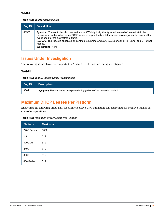## WMM

#### **Table 151:** WMM Known Issues

| <b>Bug ID</b> | <b>Description</b>                                                                                                                                                                                                                                                                                                                                                                                            |
|---------------|---------------------------------------------------------------------------------------------------------------------------------------------------------------------------------------------------------------------------------------------------------------------------------------------------------------------------------------------------------------------------------------------------------------|
| 68503         | Symptom: The controller chooses an incorrect WMM priority (background instead of best-effort) in the<br>downstream traffic. When same DSCP value is mapped to two different access categories, the lower of the<br>two is used for the downstream traffic.<br>Scenario: This issue is observed on controllers running ArubaOS 6.2.x.x or earlier in Tunnel and D-Tunnel<br>modes.<br><b>Workaround: None.</b> |

# Issues Under Investigation

The following issues have been reported in ArubaOS 6.2.1.8 and are being investigated.

## **WebUI**

**Table 152:** WebUI Issues Under Investigation

| Bug ID | <b>Description</b>                                                            |
|--------|-------------------------------------------------------------------------------|
| 93011  | <b>Symptom:</b> Users may be unexpectedly logged out of the controller WebUI. |

# Maximum DHCP Leases Per Platform

Exceeding the following limits may result in excessive CPU utilization, and unpredictable negative impact on controller operations:

| <b>Table 153: Maximum DHCP Lease Per Platform</b> |  |
|---------------------------------------------------|--|
|---------------------------------------------------|--|

| <b>Platform</b> | <b>Maximum</b> |
|-----------------|----------------|
| 7200 Series     | 5000           |
| M <sub>3</sub>  | 512            |
| 3200XM          | 512            |
| 3400            | 512            |
| 3600            | 512            |
| 600 Series      | 512            |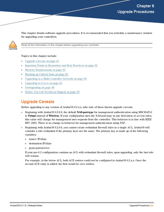<span id="page-80-1"></span>This chapter details software upgrade procedures. It is recommended that you schedule a maintenance window for upgrading your controllers.



Read all the information in this chapter before upgrading your controller.

#### Topics in this chapter include:

- [Upgrade](#page-80-0) Caveats on page 81
- <sup>l</sup> Important Points to [Remember](#page-81-0) and Best Practices on page 82
- $\bullet$  Memory [Requirements](#page-82-0) on page 83
- [Backing](#page-82-1) up Critical Data on page 83
- Upgrading in a [Multi-Controller](#page-83-0) Network on page 84
- [Upgrading](#page-84-0) to  $6.2$ .x.x on page  $85$
- [Downgrading](#page-87-0) on page 88
- <sup>l</sup> Before You Call [Technical](#page-89-0) Support on page 90

# <span id="page-80-0"></span>Upgrade Caveats

Before upgrading to any version of ArubaOS 6.2.x.x, take note of these known upgrade caveats.

- **Beginning with ArubaOS 6.2.0.0, the default <b>NAS-port-type** for management authentication using MSCHAPv2 is **Virtual** instead of **Wireless**. If your configuration uses the NAS-port-type in any derivation or access rules, this value will change for management user requests from the controller. This behavior is in line with IEEE RFC 2865. There is no change in behavior for management authentication using PAP.
- <sup>l</sup> Beginning with ArubaOS 6.2.0.0, you cannot create redundant firewall rules in a single ACL. ArubaOS will consider a rule redundant if the primary keys are the same. The primary key is made up of the following variables:
	- source IP/alias
	- $\blacksquare$  destination IP/alias
	- proto-port/service

If your pre-6.2 configuration contains an ACL with redundant firewall rules, upon upgrading, only the last rule will remain.

For example, in the below ACL, both ACE entries could not be configured in ArubaOS 6.2.x.x. Once the second ACE entry is added, the first would be over written.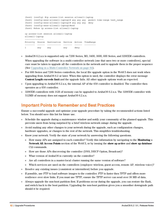```
(host) (config) #ip access-list session allowall-laptop
(host) (config-sess-allowall-laptop)# any any any permit time-range test_range
(host) (config-sess-allowall-laptop)# any any any deny
(host) (config-sess-allowall-laptop)#end
(host) #show ip access-list allowall-laptop
ip access-list session allowall-laptop
allowall-laptop
---------------
Priority Source Destination Service Action TimeRange
\mathbf{1}any
       any
                         any
                                  deny
```
- ArubaOS  $6.2 \text{...}$  is supported only on 7200 Series, M3, 3400, 3600, 600 Series, and 3200XM controllers. When upgrading the software in a multi-controller network (one that uses two or more controllers), special care must be taken to upgrade all the controllers in the network and to upgrade them in the proper sequence (See Upgrading in a [Multi-Controller](#page-83-0) Network on page 84).
- For 600 Series and 7200 Series controllers, the local file upgrade option in the WebUI does not work when upgrading from ArubaOS 6.2 or later. When this option is used, the controller displays the error message **Content Length exceeds limit** and the upgrade fails. All other upgrade options work as expected.
- $\bullet$  Upon upgrading to ArubaOS 6.2.x.x, the internal AP of the 650 controller is disabled. The controller then operates as a 650 controller.
- $\approx$  3200XM controllers with 1GB of memory can be upgraded to ArubaOS 6.2.x.x. The 3200XM controller with 512MB of memory does not support ArubaOS 6.2.x.x.

# <span id="page-81-0"></span>Important Points to Remember and Best Practices

Ensure a successful upgrade and optimize your upgrade procedure by taking the recommended actions listed below. You should save this list for future use.

- Schedule the upgrade during a maintenance window and notify your community of the planned upgrade. This prevents users from being surprised by a brief wireless network outage during the upgrade.
- $\bullet$  Avoid making any other changes to your network during the upgrade, such as configuration changes, hardware upgrades, or changes to the rest of the network. This simplifies troubleshooting.
- Know your network. Verify the state of your network by answering the following questions.
	- <sup>n</sup> How many APs are assigned to each controller? Verify this information by navigating to the **Monitoring > Network All Access Points** section of the WebUI, or by issuing the **show ap active** and **show ap database** CLI commands.
	- <sup>n</sup> How are those APs discovering the controller (DNS, DHCP Option, Broadcast)?
	- What version of ArubaOS is currently on the controller?
	- n Are all controllers in a master-local cluster running the same version of software?
	- <sup>n</sup> Which services are used on the controllers (employee wireless, guest access, remote AP, wireless voice)?
- Resolve any existing issues (consistent or intermittent) before you upgrade.
- If possible, use FTP to load software images to the controller. FTP is faster then TFTP and offers more resilience over slow links. If you must use TFTP, ensure the TFTP server can send over 30 MB of data.
- $\bullet$  Always upgrade the non-boot partition first. If problems occur during the upgrade, you can restore the flash, and switch back to the boot partition. Upgrading the non-boot partition gives you a smoother downgrade path should it be required.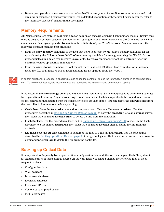$\bullet$  Before you upgrade to the current version of ArubaOS, assess your software license requirements and load any new or expanded licenses you require. For a detailed description of these new license modules, refer to the "Software Licenses" chapter in the user guide.

# <span id="page-82-0"></span>Memory Requirements

All Aruba controllers store critical configuration data on an onboard compact flash memory module. Ensure that there is always free flash space on the controller. Loading multiple large files such as JPEG images for RF Plan can consume flash space quickly. To maintain the reliability of your WLAN network, Aruba recommends the following compact memory best practices:

- **Issue the show memory** command to confirm that there is at least 40 MB of free memory available for an upgrade using the CLI, or at least 60 MB of free memory available for an upgrade using the WebUI. Do not proceed unless this much free memory is available. To recover memory, reboot the controller. After the controller comes up, upgrade immediately.
- **Issue the <b>show storage** command to confirm that there is at least 60 MB of flash available for an upgrade using the CLI, or at least 75 MB of flash available for an upgrade using the WebUI.



In certain situations, a reboot or a shutdown could cause the controller to lose the information stored in its compact flash card. To avoid such issues, it is recommended that you issue the **halt** command before power cycling.

If the output of the **show storage** command indicates that insufficient flash memory space is available, you must free up additional memory. Any controller logs. crash data or and flash backups should be copied to a location off the controller, then deleted from the controller to free up flash space. You can delete the following files from the controller to free memory before upgrading:

- <sup>l</sup> **Crash Data:** Issue the **tar crash** command to compress crash files to a file named **crash.tar**. Use the procedures described in [Backing](#page-82-1) up Critical Data on page 83 to copy the **crash.tar** file to an external server, then issue the command **tar clean crash** to delete the file from the controller.
- **Flash Backups:** Use the procedures described in [Backing](#page-82-1) up Critical Data on page 83 to back up the flash directory to a file named **flash.tar.gz**, then issue the command **tar clean flash** to delete the file from the controller.
- <sup>l</sup> **Log files:** Issue the **tar logs** command to compress log files to a file named **logs.tar**. Use the procedures described in [Backing](#page-82-1) up Critical Data on page 83 to copy the **logs.tar** file to an external server, then issue the command **tar clean logs** to delete the file from the controller.

# <span id="page-82-1"></span>Backing up Critical Data

It is important to frequently back up all critical configuration data and files on the compact flash file system to an external server or mass storage device. At the very least, you should include the following files in these frequent backups:

- $\bullet$  Configuration data
- $\bullet$  WMS database
- <sup>l</sup> Local user database
- $\bullet$  Licensing database
- Floor plan JPEGs
- $\bullet$  Custom captive portal pages
- $\bullet$  x.509 certificates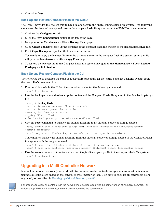• Controller Logs

### Back Up and Restore Compact Flash in the WebUI

The WebUI provides the easiest way to back up and restore the entire compact flash file system. The following steps describe how to back up and restore the compact flash file system using the WebUI on the controller:

- 1. Click on the **Configuration** tab.
- 2. Click the **Save Configuration** button at the top of the page.
- 3. Navigate to the **Maintenance > File > Backup Flash** page.
- 4. Click **Create Backup** to back up the contents of the compact flash file system to the flashbackup.tar.gz file.
- 5. Click **Copy Backup** to copy the file to an external server.

You can later copy the backup file from the external server to the compact flash file system using the file utility in the **Maintenance > File > Copy Files** page.

6. To restore the backup file to the Compact Flash file system, navigate to the **Maintenance > File > Restore Flash** page. Click **Restore**.

### Back Up and Restore Compact Flash in the CLI

The following steps describe the back up and restore procedure for the entire compact flash file system using the controller's command line:

1. Enter enable mode in the CLI on the controller, and enter the following command:

(host) # write memory

2. Use the **backup** command to back up the contents of the Compact Flash file system to the flashbackup.tar.gz file.

```
(host) # backup flash
wait while we tar relevant files from flash...
wait while we compress the tar file...
Checking for free space on flash...
Copying file to flash...
File flashbackup.tar.gz created successfully on flash.
```
3. Use the **copy** command to transfer the backup flash file to an external server or storage device:

(host) copy flash: flashbackup.tar.gz ftp: <ftphost> <ftpusername> <ftpuserpassword> <remote directory>

(host) copy flash: flashbackup.tar.qz usb: partition <partition-number>

You can later transfer the backup flash file from the external server or storage device to the Compact Flash file system with the copy command:

(host) # copy tftp: <tftphost> <filename> flash: flashbackup.tar.gz (host) # copy usb: partition <partition-number> <filename> flash: flashbackup.tar.qz

4. Use the **restore** command to untar and extract the *flashbackup.tar.gz* file to the compact flash file system: (host) # restore flash

# <span id="page-83-0"></span>Upgrading in a Multi-Controller Network

In a multi-controller network (a network with two or more Aruba controllers), special care must be taken to upgrade all controllers based on the controller type (master or local). Be sure to back up all controllers being upgraded, as described in [Backing](#page-82-1) up Critical Data on page 83.



For proper operation, all controllers in the network must be upgraded with the same version of ArubaOS software. For redundant (VRRP) environments, the controllers should be the same model.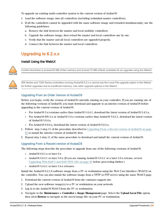To upgrade an existing multi-controller system to the current version of ArubaOS:

- 1. Load the software image onto all controllers (including redundant master controllers).
- 2. If all the controllers cannot be upgraded with the same software image and reloaded simultaneously, use the following guidelines:
	- a. Remove the link between the master and local mobility controllers.
	- b. Upgrade the software image, then reload the master and local controllers one by one.
	- c. Verify that the master and all local controllers are upgraded properly.
	- d. Connect the link between the master and local controllers.

# <span id="page-84-0"></span>Upgrading to 6.2.x.x

## Install Using the WebUI



Confirm that there is at least 60 MB of free memory and at least 75 MB of flash available for an upgrade using the WebUI.



600 Series and 7200 Series controllers running ArubaOS 6.2.x.x cannot use the Local File upgrade option in the WebUI for further upgrades due to insufficient memory. Use other upgrade options in the WebUI.

### Upgrading From an Older Version of ArubaOS

Before you begin, verify the version of ArubaOS currently running on your controller. If you are running one of the following versions of ArubaOS, you must download and upgrade to an interim version of ArubaOS before upgrading to the current version of ArubaOS.

- For ArubaOS 3.x.versions earlier than ArubaOS 3.4.4.1, download the latest version of ArubaOS 3.4.5.x.
- For ArubaOS RN-3.x or ArubaOS  $5.0.x$  versions earlier than ArubaOS  $5.0.3.1$ , download the latest version of ArubaOS 5.0.4.x.
- For ArubaOS  $6.0.0 \text{ x}$ , download the latest version of ArubaOS  $6.0.2 \text{ x}$ .
- 1. Follow step 1-step 11 of the procedure described in [Upgrading](#page-84-1) From a Recent version of ArubaOS on page [85](#page-84-1) to install the interim version of ArubaOS, then
- <span id="page-84-1"></span>2. Repeat step 1-step 11 of the same procedure to download and install the current version of ArubaOS.

#### Upgrading From a Recent version of ArubaOS

The following steps describe the procedure to upgrade from one of the following versions of ArubaOS:

- ArubaOS 6.0.1. $x$  or later 6. $x$
- ArubaOS 5.0.3.1 or later 5.0.x (If you are running ArubaOS 5.0.3.1 or a later 5.0.x release, review [Upgrading](#page-85-0) With RAP-5 and RAP-5WN APs on page 86 before proceeding further.)
- ArubaOS 3.4.4.1 or later 3.4.x releases.

Install the ArubaOS 6.2.1.8 software image from a PC or workstation using the Web User Interface (WebUI) on the controller. You can also install the software image from a TFTP or FTP server using the same WebUI page.

- 1. Download the current version of ArubaOS from the customer support site.
- 2. Upload the new software image(s) to a PC or workstation on your network.
- 3. Log in to the ArubaOS WebUI from the PC or workstation.
- 4. Navigate to the **Maintenance > Controller > Image Management** page. Select the **Upload Local File** option, then click **Browse** to navigate to the saved image file on your PC or workstation.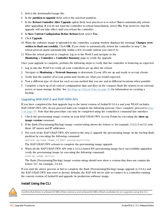- 5. Select the downloaded image file.
- 6. In the **partition to upgrade** field, select the non-boot partition.
- 7. In the **Reboot Controller After Upgrade** option field, best practices is to select **Yes** to automatically reboot after upgrading. If you do not want the controller to reboot immediately, select **No**. Note however, that the upgrade will not take effect until you reboot the controller.
- 8. In **Save Current Configuration Before Reboot** field, select **Yes**.
- 9. Click **Upgrade**.
- 10. When the software image is uploaded to the controller, a popup window displays the message **Changes were written to flash successfully**. Click **OK**. If you chose to automatically reboot the controller in step 7, the reboot process starts automatically within a few seconds (unless you cancel it).
- 11. When the reboot process is complete, log in to the WebUI and navigate to the **Monitoring > Controller > Controller Summary** page to verify the upgrade.

Once your upgrade is complete, perform the following steps to verify that the controller is behaving as expected.

- 1. Log in into the WebUI to verify all your controllers are up after the reboot.
- <span id="page-85-1"></span>2. Navigate to **Monitoring > Network Summary** to determine if your APs are up and ready to accept clients.
- 3. Verify that the number of access points and clients are what you would expected.
- 4. Test a different type of client for each access method that you use and in different locations when possible.
- 5. Complete a back up of all critical configuration data and files on the compact flash file system to an external server or mass storage facility. See [Backing](#page-82-1) up Critical Data on page 83 for information on creating a backup.

### <span id="page-85-0"></span>Upgrading With RAP-5 and RAP-5WN APs

If you have completed the first upgrade hop to the latest version of ArubaOS 5.0.4.x and your WLAN includes RAP-5/RAP-5WN APs, do not proceed until you complete the following process. Once complete, proceed to [step](#page-85-1) 5 on [page](#page-85-1) 86. Note that this procedure can only be completed using the controller's command line interface.

- 1. Check the provisioning image version on your RAP-5/RAP-5WN Access Points by executing the **show ap image version** command.
- 2. If the flash (Provisioning/Backup) image version string shows the letters *rn*, for example, 3.3.2.11-rn-3.0, note those AP names and IP addresses.
- 3. For each of the RAP-5/RAP-5WN APs noted in the step 2, upgrade the provisioning image on the backup flash partition by executing the following command:

apflash ap-name <Name\_of\_RAP> backup-partition

The RAP-5/RAP-5WN reboots to complete the provisioning image upgrade.

4. When all the RAP-5/RAP-5WN APs with a 3.3.2.x-based RN provisioning image have successfully upgraded, verify the provisioning image by executing the following command: show ap image version

The flash (Provisioning/Backup) image version string should now show a version that does not contain the letters "m", for example,  $5.0.4.8$ .

If you omit the above process or fail to complete the flash (Provisioning/Backup) image upgrade to 5.0.4.x and the RAP-5/RAP-5WN was reset to factory defaults, the RAP will not be able to connect to a controller running the current version of ArubaOS and upgrade its production software image.

## Install Using the CLI



Confirm that there is at least 40 MB of free memory and at least 60 MB of flash available for an upgrade using the CLI.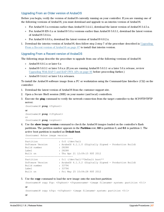## Upgrading From an Older version of ArubaOS

Before you begin, verify the version of ArubaOS currently running on your controller. If you are running one of the following versions of ArubaOS, you must download and upgrade to an interim version of ArubaOS.

- For ArubaOS 3.x.versions earlier than ArubaOS 3.4.4.1, download the latest version of ArubaOS 3.4.5.x.
- For ArubaOS RN-3.x or ArubaOS  $5.0.x$  versions earlier than ArubaOS  $5.0.3.1$ , download the latest version of Aruba $OS 5.0.4 x$ .
- For ArubaOS  $6.0.0 \text{ x}$ , download the latest version of ArubaOS  $6.0.2 \text{ x}$ .
- 1. Download the interim version of ArubaOS, then follow step 2-step 7 of the procedure described in [Upgrading](#page-86-0) From a Recent version of [ArubaOS](#page-86-0) on page 87 to install that interim version.

#### <span id="page-86-0"></span>Upgrading From a Recent version of ArubaOS

The following steps describe the procedure to upgrade from one of the following versions of ArubaOS:

- ArubaOS 6.0.1. $x$  or later 6. $x$
- ArubaOS 5.0.3.1 or later 5.0.x.x (If you are running ArubaOS 5.0.3.1 or a later 5.0.x release, review [Upgrading](#page-85-0) With RAP-5 and RAP-5WN APs on page 86 before proceeding further.)
- ArubaOS 3.4.4.1 or later 3.4.x releases.

To install the ArubaOS software image from a PC or workstation using the Command-Line Interface (CLI) on the controller:

- 1. Download the latest version of ArubaOS from the customer support site.
- 2. Open a Secure Shell session (SSH) on your master (and local) controllers.
- 3. Execute the **ping** command to verify the network connection from the target controller to the SCP/FTP/TFTP server:

```
(hostname)# ping <ftphost>
or
(hostname)# ping <tftphost>
or
(hostname)# ping <scphost>
```
4. Use the **show image version** command to check the ArubaOS images loaded on the controller's flash partitions. The partition number appears in the **Partition** row; **0:0** is partition 0, and **0:1** is partition 1. The active boot partition is marked as **Default boot**.

```
(hostname) #show image version
 ----------------------------------
Partition : 0:0 (/dev/ha1)
Software Version : ArubaOS 6.1.1.0 (Digitally Signed - Production Build)
Build number : 28288
Label : 28288
Built on : Thu Apr 21 12:09:15 PDT 2012
----------------------------------
Partition : 0:1 (/dev/ha1)**Default boot**
Software Version : ArubaOS 6.1.3.2 (Digitally Signed - Production Build)
Build number : 33796
Label : 33796
Built on : Fri May 25 10:04:28 PDT 2012
```
#### 5. Use the **copy** command to load the new image onto the non-boot partition:

```
(hostname)# copy ftp: <ftphost> <ftpusername> <image filename> system: partition <0|1>
or
(hostname)# copy tftp: <tftphost> <image filename> system: partition <0|1>
or
```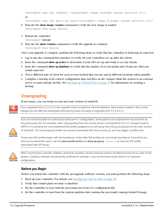```
(hostname)# copy scp: <scphost> <scpusername> <image filename> system: partition <0|1>
or
```
(hostname)# copy usb: partition <partition-number> <image filename> system: partition <0|1>

- 6. Execute the **show image version** command to verify the new image is loaded: (hostname)# show image version
- 7. Reboot the controller:

(hostname)# **reload**

8. Execute the **show version** command to verify the upgrade is complete. (hostname)# show version

Once your upgrade is complete, perform the following steps to verify that the controller is behaving as expected.

- 1. Log in into the command-line interface to verify all your controllers are up after the reboot.
- 2. Issue the command **show ap active** to determine if your APs are up and ready to accept clients.
- 3. Issue the command **show ap database** to verify that the number of access points and clients are what you would expected.
- 4. Test a different type of client for each access method that you use and in different locations when possible.
- 5. Complete a backup of all critical configuration data and files on the compact flash file system to an external server or mass storage facility. See [Backing](#page-82-1) up Critical Data on page 83 for information on creating a backup.

# <span id="page-87-0"></span>**Downgrading**

If necessary, you can return to your previous version of ArubaOS.



If you upgraded from 3.3.x to 5.0, the upgrade script encrypts the internal database. New entries created in the current release are lost after the downgrade (this warning does not apply to upgrades from 3.4.x to 6.1).

If you do not downgrade to a previously-saved pre-6.1 configuration, some parts of your deployment may not work as they previously did. For example, when downgrading from the current version of ArubaOS to 5.0.3.2, changes made to WIPS in 6.x prevents the new predefined IDS profile assigned to an AP group from being recognized by the older version of ArubaOS. This unrecognized profile can prevent associated APs from coming up, and can trigger a profile error.



These new IDS profiles begin with ids-transitional, while older IDS profiles do not include transitional. If you think you have encountered this issue, use the show profile-errors and show ap-group commands to view the IDS profile associated with AP Group.



When reverting the controller software, whenever possible, use the previous version of software known to be used on the system. Loading a release not previously confirmed to operate in your environment could result in an improper configuration.

## Before you Begin

Before you reboot the controller with the pre-upgrade software version, you must perform the following steps:

- 1. Back up your controller. For details, see [Backing](#page-82-1) up Critical Data on page 83.
- 2. Verify that control plane security is disabled.
- 3. Set the controller to boot with the previously-saved pre-6.2 configuration file.
- 4. Set the controller to boot from the system partition that contains the previously running ArubaOS image.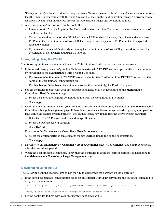When you specify a boot partition (or copy an image file to a system partition), the software checks to ensure that the image is compatible with the configuration file used on the next controller reload. An error message displays if system boot parameters are set for incompatible image and configuration files.

- 5. After downgrading the software on the controller:
	- lackup from the file stored on the controller. Do not restore the current version of the flash backup file.
	- You do not need to re-import the WMS database or RF Plan data. However, if you have added changes to RF Plan in the current version of ArubaOS, the changes do not appear in RF Plan in the downgraded ArubaOS version.
	- If you installed any certificates while running the current version of ArubaOS, you need to reinstall the certificates in the downgraded ArubaOS version.

### Downgrading Using the WebUI

The following sections describe how to use the WebUI to downgrade the software on the controller.

- 1. If the saved pre-upgrade configuration file is on an external FTP/TFTP server, copy the file to the controller by navigating to the **Maintenance > File > Copy Files** page.
	- a. For **Source Selection**, select FTP/TFTP server, and enter the IP address of the FTP/TFTP server and the name of the pre-upgrade configuration file.
	- b. For **Destination Selection**, enter a filename (other than default.cfg) for Flash File System.
- 2. Set the controller to boot with your pre-upgrade configuration file by navigating to the **Maintenance > Controller > Boot Parameters** page.
	- a. Select the saved pre-upgrade configuration file from the Configuration File menu.
	- b. Click **Apply**.
- 3. Determine the partition on which your previous software image is stored by navigating to the **Maintenance > Controller > Image Management** page. If there is no previous software image stored on your system partition, load it into the backup system partition (you cannot load a new image into the active system partition):
	- a. Enter the FTP/TFTP server address and image file name.
	- b. Select the backup system partition.
	- c. Click **Upgrade**.
- 4. Navigate to the **Maintenance > Controller > Boot Parameters** page.
	- a. Select the system partition that contains the pre-upgrade image file as the boot partition.
	- b. Click **Apply**.
- 5. Navigate to the **Maintenance > Controller > Reboot Controller** page. Click **Continue**. The controller reboots after the countdown period.
- 6. When the boot process is complete, verify that the controller is using the correct software by navigating to the **Maintenance > Controller > Image Management** page.

### Downgrading using the CLI

The following sections describe how to use the CLI to downgrade the software on the controller.

1. If the saved pre-upgrade configuration file is on an external FTP/TFTP server, use the following command to copy it to the controller:

```
(host) # copy ftp: <ftphost> <ftpusername> <image filename> system: partition 1
or
(host) # copy tftp: <tftphost> <image filename> system: partition 1
```
2. Set the controller to boot with your pre-upgrade configuration file.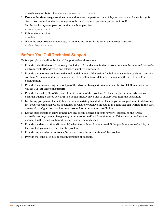# **boot config-file** <br/>backup configuration filename>

- 3. Execute the **show image version** command to view the partition on which your previous software image is stored. You cannot load a new image into the active system partition (the default boot).
- 4. Set the backup system partition as the new boot partition:

```
# boot system partition 0
```
- 5. Reboot the controller:
	- # reload
- 6. When the boot process is complete, verify that the controller is using the correct software:
	- # show image version

# <span id="page-89-0"></span>Before You Call Technical Support

Before you place a call to Technical Support, follow these steps:

- 1. Provide a detailed network topology (including all the devices in the network between the user and the Aruba controller with IP addresses and Interface numbers if possible).
- 2. Provide the wireless device's make and model number, OS version (including any service packs or patches), wireless NIC make and model number, wireless NIC's driver date and version, and the wireless NIC's configuration.
- 3. Provide the controller logs and output of the **show tech-support** command via the WebUI Maintenance tab or via the CLI (**tar logs tech-support**).
- 4. Provide the syslog file of the controller at the time of the problem. Aruba strongly recommends that you consider adding a syslog server if you do not already have one to capture logs from the controller.
- 5. Let the support person know if this is a new or existing installation. This helps the support team to determine the troubleshooting approach, depending on whether you have an outage in a network that worked in the past, a network configuration that has never worked, or a brand new installation.
- 6. Let the support person know if there are any recent changes in your network (external to the Aruba controller) or any recent changes to your controller and/or AP configuration. If there was a configuration change, list the exact configuration steps and commands used.
- 7. Provide the date and time (if possible) when the problem first occurred. If the problem is reproducible, list the exact steps taken to recreate the problem.
- 8. Provide any wired or wireless sniffer traces taken during the time of the problem.
- 9. Provide the controller site access information, if possible.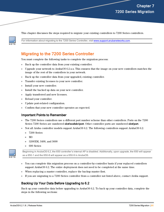This chapter discusses the steps required to migrate your existing controllers to 7200 Series controllers.

For information about migrating to the 7200 Series Controller, visit [www.support.arubanetworks.com](http://www.support.arubanetworks.com/).

# Migrating to the 7200 Series Controller

You must complete the following tasks to complete the migration process:

- <sup>l</sup> Back up the controller data from your existing controller.
- Ipgrade your network to ArubaOS 6.2.x.x. This ensures that the image on your new controllers matches the image of the rest of the controllers in your network.
- Back up the controller data from your upgraded, existing controller.
- <sup>l</sup> Transfer existing licenses to your new controller.
- $\bullet$  Install your new controller.
- $\bullet$  Install the backed up data on your new controller.
- Apply transferred and new licenses.
- Reload your controller.
- <sup>l</sup> Update port-related configuration.
- Confirm that your new controller operates as expected.

### Important Points to Remember

- <sup>l</sup> The 7200 Series controllers use a different port number scheme than other controllers. Ports on the 7200 Series 7200 Series are numbered **slot/module/port**. Other controller ports are numbered **slot/port**.
- $\bullet$  Not all Aruba controller models support ArubaOS 6.2. The following controllers support ArubaOS 6.2:
	- $\blacksquare$  7200 Series
	- $\blacksquare$  M3
	- $\blacksquare$  3200XM, 3400, and 3600
	- $\Box$  600 Series



Beginning in ArubaOS 6.2, the 650 controller's internal AP is disabled. Additionally, upon upgrade, the 650 will appear as a 650-1 and the 650-8 will appear as a 650-9 in ArubaOS.

- <sup>l</sup> You can complete this migration process on a controller-by-controller basis if your replaced controllers support ArubaOS 6.2. The entire deployment does not need to be completed at the same time.
- <sup>l</sup> When replacing a master controller, replace the backup master first.
- <span id="page-90-0"></span>If you are migrating to a 7200 Series controller from a controller not listed above, contact Aruba support.

## Backing Up Your Data Before Upgrading to 6.2

Back up your controller data before upgrading to ArubaOS 6.2. To back up your controller data, complete the steps in the following sections: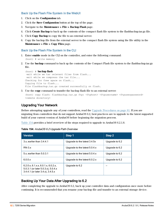## Back Up the Flash File System in the WebUI

- 1. Click on the **Configuration** tab.
- 2. Click the **Save Configuration** button at the top of the page.
- 3. Navigate to the **Maintenance > File > Backup Flash** page.
- 4. Click **Create Backup** to back up the contents of the compact flash file system to the flashbackup.tar.gz file.
- 5. Click **Copy Backup** to copy the file to an external server.
- 6. Copy the backup file from the external server to the compact flash file system using the file utility in the **Maintenance > File > Copy Files** page.

### Back Up the Flash File System in the CLI

1. Enter **enable** mode in the CLI on the controller, and enter the following command:

(host) # write memory

2. Use the **backup** command to back up the contents of the Compact Flash file system to the flashbackup.tar.gz file.

(host) # **backup flash** wait while we tar relevant files from flash... wait while we compress the tar file... Checking for free space on flash... Copying file to flash... File flashbackup.tar.gz created successfully on flash.

3. Use the **copy** command to transfer the backup flash file to an external server:

```
(host) copy flash: flashbackup.tar.gz ftp: <ftphost> <ftpusername> <ftpuserpassword>
<remote directory>
```
## Upgrading Your Network

Before attempting upgrade any of your controllers, read the Upgrade [Procedures](#page-80-1) on page 81. If you are migrating from controllers that do not support ArubaOS 6.2, best practices are to upgrade to the latest supported build of your current version of ArubaOS before beginning the migration process.

<span id="page-91-0"></span>[Table](#page-91-0) 154 provides a brief overview of the steps required to upgrade to ArubaOS 6.2.1.8.

| <b>Version</b>                                                                                                  | Step 1                        | Step 2         |
|-----------------------------------------------------------------------------------------------------------------|-------------------------------|----------------|
| 3.x. earlier than 3.4.4.1                                                                                       | Upgrade to the latest 3.4.5x  | Upgrade to 6.2 |
| $RN-3.x$                                                                                                        | Upgrade to the latest 5.0.4.x | Upgrade to 6.2 |
| 5.x, earlier than 5.0.3.1                                                                                       | Upgrade to the latest 5.0.4.x | Upgrade to 6.2 |
| 6.0.0.x                                                                                                         | Upgrade to the latest 6.0.2.x | Upgrade to 6.2 |
| 6.2.0.x, 6.1.x.x, 6.0.1.x, 6.0.2.x,<br>5.0.3.1 (or later 5.0.3.x), 5.0.4.x<br>3.4.4.1 (or later 3.4.x), 3.4.5.x | Upgrade to 6.2                |                |

## Backing Up Your Data After Upgrading to 6.2

After completing the upgrade to ArubaOS 6.2, back up your controller data and configuration once more before continuing. It is recommended that you rename your backup file and transfer to an external storage device.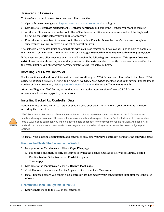## Transferring Licenses

To transfer existing licenses from one controller to another:

- 1. Open a browser, navigate to https://licensing.arubanetworks.com/, and log in.
- 2. Navigate to **Certificate Management > Transfer certificate** and select the licenses you want to transfer.
- 3. All the certificates active on the controller of the license certificate you have selected will be displayed. Select all the certificates you would like to transfer.
- 4. Enter the serial number of the new controller and click **Transfer**. When the transfer has been completed successfully, you will receive a new set of activation keys.

The selected certificates must be compatible with your new controller. If not, you will not be able to complete the transfer. You will receive the following error message: **This certificate is not compatible with your system!**

If the destinon controller does not exist, you will receive the following error message: **This system does not exist**. If you receive this error, ensure that you entered the serial number correctly. Once you have verified that the serial number you entered was correct, contact Aruba Technical Support.

## Installing Your New Controller

For instructions and additional information about installing your 7200 Series controller, refer to the *Aruba 7200 Series Controller Installation Guide* and *ArubaOS 6.2 Quick Start Guide* included with your device. For the latest version of these document, visit support.arubanetworks.com and click the **Documentation** tab.

After installing your 7200 Series, verify that it is running the latest version of ArubaOS 6.2. If not, it is recommended that you upgrade your controller.

## Installing Backed Up Controller Data

Follow the instructions below to install backed up controller data. Do not modify your configuration before reloading the controller.



7200 Series controllers use a different port numbering scheme than other controllers. Ports on the 7200 Series are numbered slot/port/module. Other controller ports are numbered slot/port. Once you've loaded your old configuration onto a 7200 Series controller, you will no longer be able to connect to the controller over the network. Additionally, all ports will become untrusted. You must connect to your new controller using a serial connection to reconfigure port settings.

To install your existing configuration and controller data onto your new controller, complete the following steps.

### Restore the Flash File System in the WebUI

- 1. Navigate to the **Maintenance > File > Copy Files** page.
	- a. For **Source Selection**, specify the server to which the flashbackup.tar.gz file was previously copied.
	- b. For **Destination Selection**, select **Flash File System**.
	- c. Click **Apply**.
- 2. Navigate to the **Maintenance > File > Restore Flash** page.
- 3. Click **Restore** to restore the flashbackup.tar.gz file to the flash file system.
- 4. Install licenses before you reboot your controller. Do not modify your configuration until after the controller reloads.

### Restore the Flash File System in the CLI

1. Enter **enable** mode in the CLI on the controller.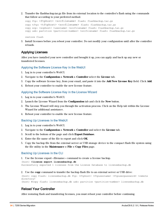2. Transfer the flashbackup.tar.gz file from its external location to the controller's flash using the commands that follow according to your preferred method.

```
copy ftp: <ftphost> <srcfilename> flash: flashbackup.tar.qz
copy tftp: <tftphost> <srcfilename> flash: flashbackup.tar.gz
copy scp: <scphost> <username> <srcfilename> flash: flashbackup.tar.gz
copy usb: partition <partition-number> <srcfilename> flash: flashbackup.tar.qz
```
restore flash

3. Install licenses before you reboot your controller. Do not modify your configuration until after the controller reloads.

## Applying Licenses

After you have installed your new controller and brought it up, you can apply and back up any new or transferred licenses.

#### Applying the Software License Key in the WebUI

- 1. Log in to your controller's WebUI.
- 2. Navigate to the **Configuration > Network > Controller** select the **License** tab.
- 3. Copy the software license key, from your email, and paste it into the **Add New License Key** field. Click **Add**.
- 4. Reboot your controller to enable the new license feature.

#### Applying the Software License Key in the License Wizard

- 1. Log in to your controller's WebUI.
- 2. Launch the License Wizard from the **Configuration** tab and click the **New** button.
- 3. The License Wizard will step you through the activation process. Click on the Help tab within the License Wizard for additional assistance.
- 4. Reboot your controller to enable the new license feature.

#### Backing Up Licenses in the WebUI

- 1. Log in to your controller's WebUI.
- 2. Navigate to the **Configuration > Network > Controller** and select the **License** tab.
- 3. Scroll to the bottom of the page and click **Export Database**.
- 4. Enter the file name of the file to export and click **OK**.
- 5. Copy the backup file from the external server or USB storage device to the compact flash file system using the file utility in the **Maintenance > File > Copy Files** page.

#### Backing Up Licenses in the CLI

1. Use the license export <filename> command to create a license backup.

```
(host) #license export licensebackup.db
Successfully exported 1 licenses from the License Database to licensebackup.db
```
2. Use the **copy** command to transfer the backup flash file to an external server or USB drive:

```
(host) copy flash: licensebackup.db ftp: <ftphost> <ftpusername> <ftpuserpassword> <remote
directory>
```

```
(host) #copy flash: licensebackup.db usb: partition <partition-number> licensebackup.db
```
### Reload Your Controller

After restoring flash and transferring licenses, you must reboot your controller before continuing.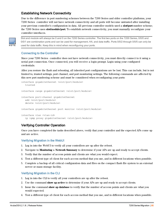## Establishing Network Connectivity

Due to the difference in port numbering schemes between the 7200 Series and older controller platforms, your 7200 Series controller will not have network connectivity and all ports will become untrusted after installing your previous controller's configuration in data. All previous controller models used a **slot/port** number scheme; the 7200 Series uses **slot/module/port**. To establish network connectivity, you must manually reconfigure your controller interfaces.



Slot and module will always be 0 and 0 on the 7200 Series controller. The first two ports on the 7200 Series, 0/0/0 and 0/0/1 are combination ports and can be used for management, HA, and data traffic. Ports 0/0/2 through 0/0/5 can only be used for data traffic. Keep this in mind when reconfiguring your ports.

## Connecting to the Controller

Since your 7200 Series controller does not have network connectivity, you must directly connect to it using a serial port connection. Once connected, you will receive a login prompt. Login using your configured credentials.

After you restore the flash and rebooting, all inherited port configurations are be lost. This can include, but is not limited to, trusted settings, port channel, and port monitoring settings. The following commands are affected by this new port numbering scheme and must be considered when reconfiguring your ports:

```
interface gigabitethernet <slot/port/module>
  trusted
interface range gigabitethernet <slot/port/module>
interface port-channel gigabitethernet
  add <slot/port/module>
  delete <slot/port/module>
interface gigabitethernet port monitor <slot/port/module>
interface vlan <vlan-id>
  ip igmp proxy gigabitethernet <slot/port/module>
```
## Verifying Controller Operation

Once you have completed the tasks described above, verify that your controller and the expected APs come up and are active.

### Verifying Migration in the WebUI

- 1. Log in into the WebUI to verify all your controllers are up after the reboot.
- 2. Navigate to **Monitoring > Network Summary** to determine if your APs are up and ready to accept clients.
- 3. Verify that the number of access points and clients are what you would expect.
- 4. Test a different type of client for each access method that you use, and in different locations when possible.
- 5. Complete a backup of all critical configuration data and files on the compact flash file system to an external server or mass storage facility.

## Verifying Migration in the CLI

- 1. Log in into the CLI to verify all your controllers are up after the reboot.
- 2. Use the command **show ap active** to determine if your APs are up and ready to accept clients.
- 3. Issue the command **show ap database** to verify that the number of access points and clients are what you would expected.
- 4. Test a different type of client for each access method that you use, and in different locations when possible.